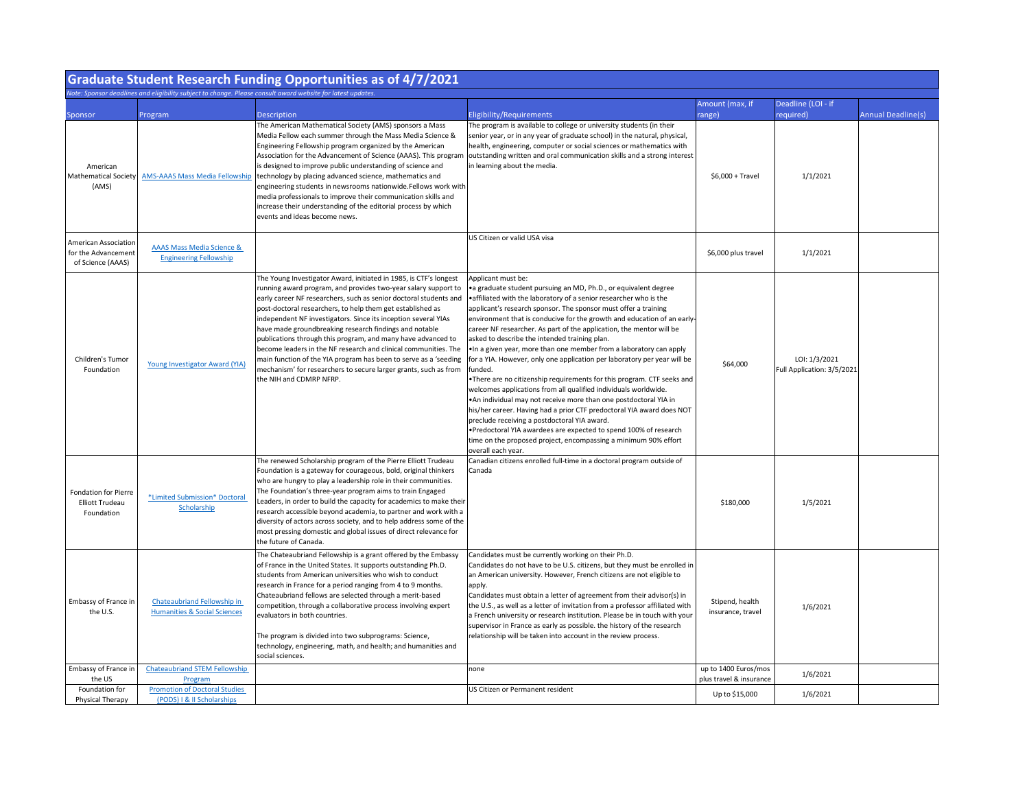| <b>Graduate Student Research Funding Opportunities as of 4/7/2021</b>   |                                                                        |                                                                                                                                                                                                                                                                                                                                                                                                                                                                                                                                                                                                                                                                                                          |                                                                                                                                                                                                                                                                                                                                                                                                                                                                                                                                                                                                                                                                                                                                                                                                                                                                                                                                                                                                                                                                                                          |                                                 |                                             |                           |  |  |
|-------------------------------------------------------------------------|------------------------------------------------------------------------|----------------------------------------------------------------------------------------------------------------------------------------------------------------------------------------------------------------------------------------------------------------------------------------------------------------------------------------------------------------------------------------------------------------------------------------------------------------------------------------------------------------------------------------------------------------------------------------------------------------------------------------------------------------------------------------------------------|----------------------------------------------------------------------------------------------------------------------------------------------------------------------------------------------------------------------------------------------------------------------------------------------------------------------------------------------------------------------------------------------------------------------------------------------------------------------------------------------------------------------------------------------------------------------------------------------------------------------------------------------------------------------------------------------------------------------------------------------------------------------------------------------------------------------------------------------------------------------------------------------------------------------------------------------------------------------------------------------------------------------------------------------------------------------------------------------------------|-------------------------------------------------|---------------------------------------------|---------------------------|--|--|
| Sponsor                                                                 | Program                                                                | Note: Sponsor deadlines and eligibility subject to change. Please consult award website for latest updates.<br><b>Description</b>                                                                                                                                                                                                                                                                                                                                                                                                                                                                                                                                                                        | Eligibility/Requirements                                                                                                                                                                                                                                                                                                                                                                                                                                                                                                                                                                                                                                                                                                                                                                                                                                                                                                                                                                                                                                                                                 | Amount (max, if<br>range)                       | Deadline (LOI - if<br>required)             | <b>Annual Deadline(s)</b> |  |  |
| American<br>Mathematical Society<br>(AMS)                               | <b>AMS-AAAS Mass Media Fellowship</b>                                  | The American Mathematical Society (AMS) sponsors a Mass<br>Media Fellow each summer through the Mass Media Science &<br>Engineering Fellowship program organized by the American<br>is designed to improve public understanding of science and<br>technology by placing advanced science, mathematics and<br>engineering students in newsrooms nationwide. Fellows work with<br>media professionals to improve their communication skills and<br>increase their understanding of the editorial process by which<br>events and ideas become news.                                                                                                                                                         | The program is available to college or university students (in their<br>senior year, or in any year of graduate school) in the natural, physical,<br>health, engineering, computer or social sciences or mathematics with<br>Association for the Advancement of Science (AAAS). This program outstanding written and oral communication skills and a strong interest<br>in learning about the media.                                                                                                                                                                                                                                                                                                                                                                                                                                                                                                                                                                                                                                                                                                     | $$6,000 + Travel$                               | 1/1/2021                                    |                           |  |  |
| <b>American Association</b><br>for the Advancement<br>of Science (AAAS) | <b>AAAS Mass Media Science &amp;</b><br><b>Engineering Fellowship</b>  |                                                                                                                                                                                                                                                                                                                                                                                                                                                                                                                                                                                                                                                                                                          | US Citizen or valid USA visa                                                                                                                                                                                                                                                                                                                                                                                                                                                                                                                                                                                                                                                                                                                                                                                                                                                                                                                                                                                                                                                                             | \$6,000 plus travel                             | 1/1/2021                                    |                           |  |  |
| Children's Tumor<br>Foundation                                          | Young Investigator Award (YIA)                                         | The Young Investigator Award, initiated in 1985, is CTF's longest<br>running award program, and provides two-year salary support to<br>early career NF researchers, such as senior doctoral students and<br>post-doctoral researchers, to help them get established as<br>independent NF investigators. Since its inception several YIAs<br>have made groundbreaking research findings and notable<br>publications through this program, and many have advanced to<br>become leaders in the NF research and clinical communities. The<br>main function of the YIA program has been to serve as a 'seeding<br>mechanism' for researchers to secure larger grants, such as from<br>the NIH and CDMRP NFRP. | Applicant must be:<br>• a graduate student pursuing an MD, Ph.D., or equivalent degree<br>• affiliated with the laboratory of a senior researcher who is the<br>applicant's research sponsor. The sponsor must offer a training<br>environment that is conducive for the growth and education of an early-<br>career NF researcher. As part of the application, the mentor will be<br>asked to describe the intended training plan.<br>.In a given year, more than one member from a laboratory can apply<br>for a YIA. However, only one application per laboratory per year will be<br>funded.<br>•There are no citizenship requirements for this program. CTF seeks and<br>welcomes applications from all qualified individuals worldwide.<br>• An individual may not receive more than one postdoctoral YIA in<br>his/her career. Having had a prior CTF predoctoral YIA award does NOT<br>preclude receiving a postdoctoral YIA award.<br>•Predoctoral YIA awardees are expected to spend 100% of research<br>time on the proposed project, encompassing a minimum 90% effort<br>overall each year. | \$64,000                                        | LOI: 1/3/2021<br>Full Application: 3/5/2021 |                           |  |  |
| <b>Fondation for Pierre</b><br><b>Elliott Trudeau</b><br>Foundation     | *Limited Submission* Doctoral<br>Scholarship                           | The renewed Scholarship program of the Pierre Elliott Trudeau<br>Foundation is a gateway for courageous, bold, original thinkers<br>who are hungry to play a leadership role in their communities.<br>The Foundation's three-year program aims to train Engaged<br>Leaders, in order to build the capacity for academics to make their<br>research accessible beyond academia, to partner and work with a<br>diversity of actors across society, and to help address some of the<br>most pressing domestic and global issues of direct relevance for<br>the future of Canada.                                                                                                                            | Canadian citizens enrolled full-time in a doctoral program outside of<br>Canada                                                                                                                                                                                                                                                                                                                                                                                                                                                                                                                                                                                                                                                                                                                                                                                                                                                                                                                                                                                                                          | \$180,000                                       | 1/5/2021                                    |                           |  |  |
| Embassy of France in<br>the U.S.                                        | Chateaubriand Fellowship in<br><b>Humanities &amp; Social Sciences</b> | The Chateaubriand Fellowship is a grant offered by the Embassy<br>of France in the United States. It supports outstanding Ph.D.<br>students from American universities who wish to conduct<br>research in France for a period ranging from 4 to 9 months.<br>Chateaubriand fellows are selected through a merit-based<br>competition, through a collaborative process involving expert<br>evaluators in both countries.<br>The program is divided into two subprograms: Science,<br>technology, engineering, math, and health; and humanities and<br>social sciences.                                                                                                                                    | Candidates must be currently working on their Ph.D.<br>Candidates do not have to be U.S. citizens, but they must be enrolled in<br>an American university. However, French citizens are not eligible to<br>apply.<br>Candidates must obtain a letter of agreement from their advisor(s) in<br>the U.S., as well as a letter of invitation from a professor affiliated with<br>a French university or research institution. Please be in touch with your<br>supervisor in France as early as possible. the history of the research<br>relationship will be taken into account in the review process.                                                                                                                                                                                                                                                                                                                                                                                                                                                                                                      | Stipend, health<br>insurance, travel            | 1/6/2021                                    |                           |  |  |
| Embassy of France in<br>the US                                          | <b>Chateaubriand STEM Fellowship</b><br>Program                        |                                                                                                                                                                                                                                                                                                                                                                                                                                                                                                                                                                                                                                                                                                          | none                                                                                                                                                                                                                                                                                                                                                                                                                                                                                                                                                                                                                                                                                                                                                                                                                                                                                                                                                                                                                                                                                                     | up to 1400 Euros/mos<br>plus travel & insurance | 1/6/2021                                    |                           |  |  |
| Foundation for<br>Physical Therapy                                      | <b>Promotion of Doctoral Studies</b><br>(PODS) I & II Scholarships     |                                                                                                                                                                                                                                                                                                                                                                                                                                                                                                                                                                                                                                                                                                          | US Citizen or Permanent resident                                                                                                                                                                                                                                                                                                                                                                                                                                                                                                                                                                                                                                                                                                                                                                                                                                                                                                                                                                                                                                                                         | Up to \$15,000                                  | 1/6/2021                                    |                           |  |  |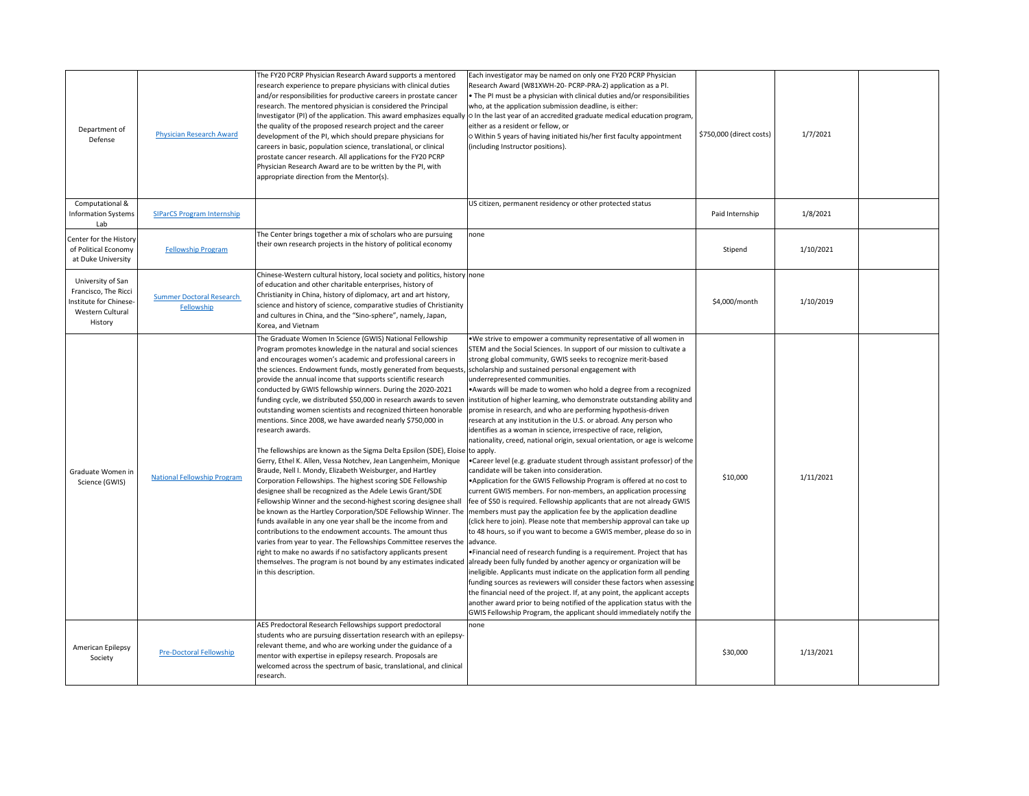| Department of<br>Defense                                                                           | <b>Physician Research Award</b>               | The FY20 PCRP Physician Research Award supports a mentored<br>research experience to prepare physicians with clinical duties<br>and/or responsibilities for productive careers in prostate cancer<br>research. The mentored physician is considered the Principal<br>Investigator (PI) of the application. This award emphasizes equally<br>the quality of the proposed research project and the career<br>development of the PI, which should prepare physicians for<br>careers in basic, population science, translational, or clinical<br>prostate cancer research. All applications for the FY20 PCRP<br>Physician Research Award are to be written by the PI, with<br>appropriate direction from the Mentor(s).                                                                                                                                                                                                                                                                                                                                                                                                                                                                                                                                                                                         | Each investigator may be named on only one FY20 PCRP Physician<br>Research Award (W81XWH-20- PCRP-PRA-2) application as a PI.<br>• The PI must be a physician with clinical duties and/or responsibilities<br>who, at the application submission deadline, is either:<br>$\sqrt{\circ}$ In the last year of an accredited graduate medical education program,<br>either as a resident or fellow, or<br>O Within 5 years of having initiated his/her first faculty appointment<br>(including Instructor positions).                                                                                                                                                                                                                                                                                                                                                                                                                                                                                                                                                                                                                                                                                                                                                                                                                                                                                                                                                                                                                                                                                                                                                                                                                                                                                                                                                                                                                                                                                                 | \$750,000 (direct costs) | 1/7/2021  |  |
|----------------------------------------------------------------------------------------------------|-----------------------------------------------|--------------------------------------------------------------------------------------------------------------------------------------------------------------------------------------------------------------------------------------------------------------------------------------------------------------------------------------------------------------------------------------------------------------------------------------------------------------------------------------------------------------------------------------------------------------------------------------------------------------------------------------------------------------------------------------------------------------------------------------------------------------------------------------------------------------------------------------------------------------------------------------------------------------------------------------------------------------------------------------------------------------------------------------------------------------------------------------------------------------------------------------------------------------------------------------------------------------------------------------------------------------------------------------------------------------|--------------------------------------------------------------------------------------------------------------------------------------------------------------------------------------------------------------------------------------------------------------------------------------------------------------------------------------------------------------------------------------------------------------------------------------------------------------------------------------------------------------------------------------------------------------------------------------------------------------------------------------------------------------------------------------------------------------------------------------------------------------------------------------------------------------------------------------------------------------------------------------------------------------------------------------------------------------------------------------------------------------------------------------------------------------------------------------------------------------------------------------------------------------------------------------------------------------------------------------------------------------------------------------------------------------------------------------------------------------------------------------------------------------------------------------------------------------------------------------------------------------------------------------------------------------------------------------------------------------------------------------------------------------------------------------------------------------------------------------------------------------------------------------------------------------------------------------------------------------------------------------------------------------------------------------------------------------------------------------------------------------------|--------------------------|-----------|--|
| Computational &<br><b>Information Systems</b><br>Lab                                               | <b>SIParCS Program Internship</b>             |                                                                                                                                                                                                                                                                                                                                                                                                                                                                                                                                                                                                                                                                                                                                                                                                                                                                                                                                                                                                                                                                                                                                                                                                                                                                                                              | US citizen, permanent residency or other protected status                                                                                                                                                                                                                                                                                                                                                                                                                                                                                                                                                                                                                                                                                                                                                                                                                                                                                                                                                                                                                                                                                                                                                                                                                                                                                                                                                                                                                                                                                                                                                                                                                                                                                                                                                                                                                                                                                                                                                          | Paid Internship          | 1/8/2021  |  |
| Center for the History<br>of Political Economy<br>at Duke University                               | <b>Fellowship Program</b>                     | The Center brings together a mix of scholars who are pursuing<br>their own research projects in the history of political economy                                                                                                                                                                                                                                                                                                                                                                                                                                                                                                                                                                                                                                                                                                                                                                                                                                                                                                                                                                                                                                                                                                                                                                             | none                                                                                                                                                                                                                                                                                                                                                                                                                                                                                                                                                                                                                                                                                                                                                                                                                                                                                                                                                                                                                                                                                                                                                                                                                                                                                                                                                                                                                                                                                                                                                                                                                                                                                                                                                                                                                                                                                                                                                                                                               | Stipend                  | 1/10/2021 |  |
| University of San<br>Francisco, The Ricci<br>Institute for Chinese-<br>Western Cultural<br>History | <b>Summer Doctoral Research</b><br>Fellowship | Chinese-Western cultural history, local society and politics, history none<br>of education and other charitable enterprises, history of<br>Christianity in China, history of diplomacy, art and art history,<br>science and history of science, comparative studies of Christianity<br>and cultures in China, and the "Sino-sphere", namely, Japan,<br>Korea, and Vietnam                                                                                                                                                                                                                                                                                                                                                                                                                                                                                                                                                                                                                                                                                                                                                                                                                                                                                                                                    |                                                                                                                                                                                                                                                                                                                                                                                                                                                                                                                                                                                                                                                                                                                                                                                                                                                                                                                                                                                                                                                                                                                                                                                                                                                                                                                                                                                                                                                                                                                                                                                                                                                                                                                                                                                                                                                                                                                                                                                                                    | \$4,000/month            | 1/10/2019 |  |
| Graduate Women in<br>Science (GWIS)                                                                | <b>National Fellowship Program</b>            | The Graduate Women In Science (GWIS) National Fellowship<br>Program promotes knowledge in the natural and social sciences<br>and encourages women's academic and professional careers in<br>the sciences. Endowment funds, mostly generated from bequests, scholarship and sustained personal engagement with<br>provide the annual income that supports scientific research<br>conducted by GWIS fellowship winners. During the 2020-2021<br>outstanding women scientists and recognized thirteen honorable<br>mentions. Since 2008, we have awarded nearly \$750,000 in<br>research awards.<br>The fellowships are known as the Sigma Delta Epsilon (SDE), Eloise to apply.<br>Gerry, Ethel K. Allen, Vessa Notchev, Jean Langenheim, Monique<br>Braude, Nell I. Mondy, Elizabeth Weisburger, and Hartley<br>Corporation Fellowships. The highest scoring SDE Fellowship<br>designee shall be recognized as the Adele Lewis Grant/SDE<br>Fellowship Winner and the second-highest scoring designee shall<br>funds available in any one year shall be the income from and<br>contributions to the endowment accounts. The amount thus<br>varies from year to year. The Fellowships Committee reserves the advance.<br>right to make no awards if no satisfactory applicants present<br>in this description. | . We strive to empower a community representative of all women in<br>STEM and the Social Sciences. In support of our mission to cultivate a<br>strong global community, GWIS seeks to recognize merit-based<br>underrepresented communities.<br>• Awards will be made to women who hold a degree from a recognized<br>funding cycle, we distributed \$50,000 in research awards to seven  institution of higher learning, who demonstrate outstanding ability and<br>promise in research, and who are performing hypothesis-driven<br>research at any institution in the U.S. or abroad. Any person who<br>identifies as a woman in science, irrespective of race, religion,<br>nationality, creed, national origin, sexual orientation, or age is welcome<br>• Career level (e.g. graduate student through assistant professor) of the<br>candidate will be taken into consideration.<br>. Application for the GWIS Fellowship Program is offered at no cost to<br>current GWIS members. For non-members, an application processing<br>fee of \$50 is required. Fellowship applicants that are not already GWIS<br>be known as the Hartley Corporation/SDE Fellowship Winner. The  members must pay the application fee by the application deadline<br>(click here to join). Please note that membership approval can take up<br>to 48 hours, so if you want to become a GWIS member, please do so in<br>• Financial need of research funding is a requirement. Project that has<br>themselves. The program is not bound by any estimates indicated  already been fully funded by another agency or organization will be<br>ineligible. Applicants must indicate on the application form all pending<br>funding sources as reviewers will consider these factors when assessing<br>the financial need of the project. If, at any point, the applicant accepts<br>another award prior to being notified of the application status with the<br>GWIS Fellowship Program, the applicant should immediately notify the | \$10,000                 | 1/11/2021 |  |
| American Epilepsy<br>Society                                                                       | <b>Pre-Doctoral Fellowship</b>                | AES Predoctoral Research Fellowships support predoctoral<br>students who are pursuing dissertation research with an epilepsy-<br>relevant theme, and who are working under the guidance of a<br>mentor with expertise in epilepsy research. Proposals are<br>welcomed across the spectrum of basic, translational, and clinical<br>research.                                                                                                                                                                                                                                                                                                                                                                                                                                                                                                                                                                                                                                                                                                                                                                                                                                                                                                                                                                 | none                                                                                                                                                                                                                                                                                                                                                                                                                                                                                                                                                                                                                                                                                                                                                                                                                                                                                                                                                                                                                                                                                                                                                                                                                                                                                                                                                                                                                                                                                                                                                                                                                                                                                                                                                                                                                                                                                                                                                                                                               | \$30,000                 | 1/13/2021 |  |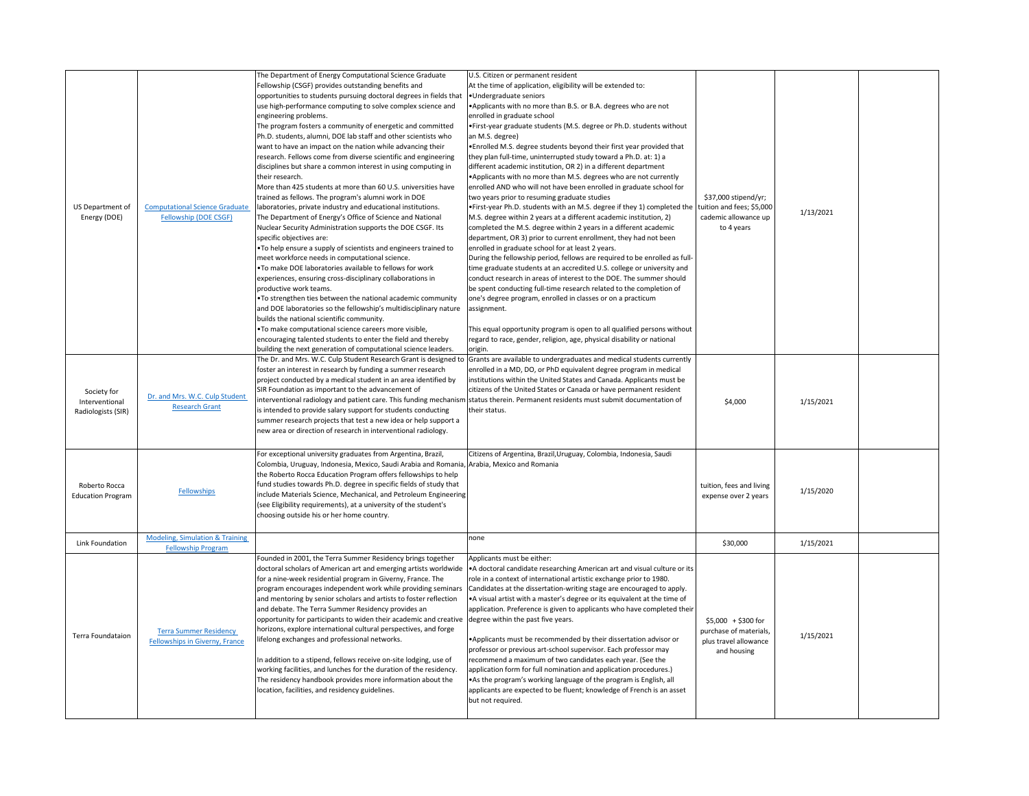| US Department of<br>Energy (DOE)                    | <b>Computational Science Graduate</b><br>Fellowship (DOE CSGF)          | The Department of Energy Computational Science Graduate<br>Fellowship (CSGF) provides outstanding benefits and<br>opportunities to students pursuing doctoral degrees in fields that<br>use high-performance computing to solve complex science and<br>engineering problems.<br>The program fosters a community of energetic and committed<br>Ph.D. students, alumni, DOE lab staff and other scientists who<br>want to have an impact on the nation while advancing their<br>research. Fellows come from diverse scientific and engineering<br>disciplines but share a common interest in using computing in<br>their research.<br>More than 425 students at more than 60 U.S. universities have<br>trained as fellows. The program's alumni work in DOE<br>laboratories, private industry and educational institutions.<br>The Department of Energy's Office of Science and National<br>Nuclear Security Administration supports the DOE CSGF. Its<br>specific objectives are:<br>. To help ensure a supply of scientists and engineers trained to<br>meet workforce needs in computational science.<br>. To make DOE laboratories available to fellows for work<br>experiences, ensuring cross-disciplinary collaborations in<br>productive work teams.<br>. To strengthen ties between the national academic community<br>and DOE laboratories so the fellowship's multidisciplinary nature<br>builds the national scientific community.<br>.To make computational science careers more visible,<br>encouraging talented students to enter the field and thereby<br>building the next generation of computational science leaders. | U.S. Citizen or permanent resident<br>At the time of application, eligibility will be extended to:<br>•Undergraduate seniors<br>•Applicants with no more than B.S. or B.A. degrees who are not<br>enrolled in graduate school<br>• First-year graduate students (M.S. degree or Ph.D. students without<br>an M.S. degree)<br>• Enrolled M.S. degree students beyond their first year provided that<br>they plan full-time, uninterrupted study toward a Ph.D. at: 1) a<br>different academic institution, OR 2) in a different department<br>• Applicants with no more than M.S. degrees who are not currently<br>enrolled AND who will not have been enrolled in graduate school for<br>two years prior to resuming graduate studies<br> ●First-year Ph.D. students with an M.S. degree if they 1) completed the tuition and fees; \$5,000<br>M.S. degree within 2 years at a different academic institution, 2)<br>completed the M.S. degree within 2 years in a different academic<br>department, OR 3) prior to current enrollment, they had not been<br>enrolled in graduate school for at least 2 years.<br>During the fellowship period, fellows are required to be enrolled as full-<br>time graduate students at an accredited U.S. college or university and<br>conduct research in areas of interest to the DOE. The summer should<br>be spent conducting full-time research related to the completion of<br>one's degree program, enrolled in classes or on a practicum<br>assignment.<br>This equal opportunity program is open to all qualified persons without<br>regard to race, gender, religion, age, physical disability or national<br>origin. | \$37,000 stipend/yr;<br>cademic allowance up<br>to 4 years                            | 1/13/2021 |  |
|-----------------------------------------------------|-------------------------------------------------------------------------|----------------------------------------------------------------------------------------------------------------------------------------------------------------------------------------------------------------------------------------------------------------------------------------------------------------------------------------------------------------------------------------------------------------------------------------------------------------------------------------------------------------------------------------------------------------------------------------------------------------------------------------------------------------------------------------------------------------------------------------------------------------------------------------------------------------------------------------------------------------------------------------------------------------------------------------------------------------------------------------------------------------------------------------------------------------------------------------------------------------------------------------------------------------------------------------------------------------------------------------------------------------------------------------------------------------------------------------------------------------------------------------------------------------------------------------------------------------------------------------------------------------------------------------------------------------------------------------------------------------------------------------|--------------------------------------------------------------------------------------------------------------------------------------------------------------------------------------------------------------------------------------------------------------------------------------------------------------------------------------------------------------------------------------------------------------------------------------------------------------------------------------------------------------------------------------------------------------------------------------------------------------------------------------------------------------------------------------------------------------------------------------------------------------------------------------------------------------------------------------------------------------------------------------------------------------------------------------------------------------------------------------------------------------------------------------------------------------------------------------------------------------------------------------------------------------------------------------------------------------------------------------------------------------------------------------------------------------------------------------------------------------------------------------------------------------------------------------------------------------------------------------------------------------------------------------------------------------------------------------------------------------------------------------------------------------------|---------------------------------------------------------------------------------------|-----------|--|
| Society for<br>Interventional<br>Radiologists (SIR) | Dr. and Mrs. W.C. Culp Student<br><b>Research Grant</b>                 | The Dr. and Mrs. W.C. Culp Student Research Grant is designed to<br>foster an interest in research by funding a summer research<br>project conducted by a medical student in an area identified by<br>SIR Foundation as important to the advancement of<br>is intended to provide salary support for students conducting<br>summer research projects that test a new idea or help support a<br>new area or direction of research in interventional radiology.                                                                                                                                                                                                                                                                                                                                                                                                                                                                                                                                                                                                                                                                                                                                                                                                                                                                                                                                                                                                                                                                                                                                                                          | Grants are available to undergraduates and medical students currently<br>enrolled in a MD, DO, or PhD equivalent degree program in medical<br>institutions within the United States and Canada. Applicants must be<br>citizens of the United States or Canada or have permanent resident<br>interventional radiology and patient care. This funding mechanism status therein. Permanent residents must submit documentation of<br>their status.                                                                                                                                                                                                                                                                                                                                                                                                                                                                                                                                                                                                                                                                                                                                                                                                                                                                                                                                                                                                                                                                                                                                                                                                                    | \$4,000                                                                               | 1/15/2021 |  |
| Roberto Rocca<br><b>Education Program</b>           | <b>Fellowships</b>                                                      | For exceptional university graduates from Argentina, Brazil,<br>Colombia, Uruguay, Indonesia, Mexico, Saudi Arabia and Romania, Arabia, Mexico and Romania<br>the Roberto Rocca Education Program offers fellowships to help<br>fund studies towards Ph.D. degree in specific fields of study that<br>include Materials Science, Mechanical, and Petroleum Engineering<br>(see Eligibility requirements), at a university of the student's<br>choosing outside his or her home country.                                                                                                                                                                                                                                                                                                                                                                                                                                                                                                                                                                                                                                                                                                                                                                                                                                                                                                                                                                                                                                                                                                                                                | Citizens of Argentina, Brazil, Uruguay, Colombia, Indonesia, Saudi                                                                                                                                                                                                                                                                                                                                                                                                                                                                                                                                                                                                                                                                                                                                                                                                                                                                                                                                                                                                                                                                                                                                                                                                                                                                                                                                                                                                                                                                                                                                                                                                 | tuition, fees and living<br>expense over 2 years                                      | 1/15/2020 |  |
| Link Foundation                                     | <b>Modeling, Simulation &amp; Training</b><br><b>Fellowship Program</b> |                                                                                                                                                                                                                                                                                                                                                                                                                                                                                                                                                                                                                                                                                                                                                                                                                                                                                                                                                                                                                                                                                                                                                                                                                                                                                                                                                                                                                                                                                                                                                                                                                                        | none                                                                                                                                                                                                                                                                                                                                                                                                                                                                                                                                                                                                                                                                                                                                                                                                                                                                                                                                                                                                                                                                                                                                                                                                                                                                                                                                                                                                                                                                                                                                                                                                                                                               | \$30,000                                                                              | 1/15/2021 |  |
| <b>Terra Foundataion</b>                            | <b>Terra Summer Residency</b><br>Fellowships in Giverny, France         | Founded in 2001, the Terra Summer Residency brings together<br>doctoral scholars of American art and emerging artists worldwide<br>for a nine-week residential program in Giverny, France. The<br>program encourages independent work while providing seminars<br>and mentoring by senior scholars and artists to foster reflection<br>and debate. The Terra Summer Residency provides an<br>opportunity for participants to widen their academic and creative degree within the past five years.<br>horizons, explore international cultural perspectives, and forge<br>lifelong exchanges and professional networks.<br>In addition to a stipend, fellows receive on-site lodging, use of<br>working facilities, and lunches for the duration of the residency.<br>The residency handbook provides more information about the<br>location, facilities, and residency guidelines.                                                                                                                                                                                                                                                                                                                                                                                                                                                                                                                                                                                                                                                                                                                                                     | Applicants must be either:<br>A doctoral candidate researching American art and visual culture or its<br>role in a context of international artistic exchange prior to 1980.<br>Candidates at the dissertation-writing stage are encouraged to apply.<br>• A visual artist with a master's degree or its equivalent at the time of<br>application. Preference is given to applicants who have completed their<br>• Applicants must be recommended by their dissertation advisor or<br>professor or previous art-school supervisor. Each professor may<br>recommend a maximum of two candidates each year. (See the<br>application form for full nomination and application procedures.)<br>• As the program's working language of the program is English, all<br>applicants are expected to be fluent; knowledge of French is an asset<br>but not required.                                                                                                                                                                                                                                                                                                                                                                                                                                                                                                                                                                                                                                                                                                                                                                                                        | $$5,000 + $300$ for<br>purchase of materials,<br>plus travel allowance<br>and housing | 1/15/2021 |  |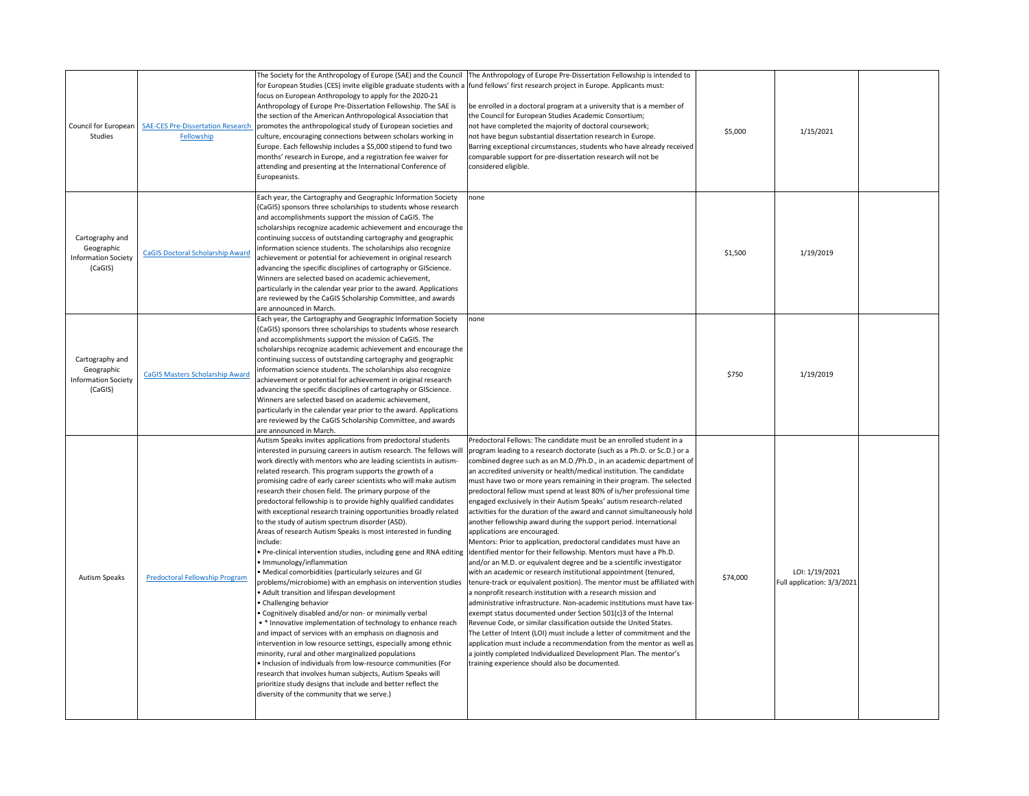| Council for European<br>Studies                                        | <b>SAE-CES Pre-Dissertation Research</b><br>Fellowship | The Society for the Anthropology of Europe (SAE) and the Council<br>for European Studies (CES) invite eligible graduate students with a fund fellows' first research project in Europe. Applicants must:<br>focus on European Anthropology to apply for the 2020-21<br>Anthropology of Europe Pre-Dissertation Fellowship. The SAE is<br>the section of the American Anthropological Association that<br>promotes the anthropological study of European societies and<br>culture, encouraging connections between scholars working in<br>Europe. Each fellowship includes a \$5,000 stipend to fund two<br>months' research in Europe, and a registration fee waiver for<br>attending and presenting at the International Conference of<br>Europeanists.                                                                                                                                                                                                                                                                                                                                                                                                                                                                                                                                                                                                                                                                                                                                                                       | The Anthropology of Europe Pre-Dissertation Fellowship is intended to<br>be enrolled in a doctoral program at a university that is a member of<br>the Council for European Studies Academic Consortium;<br>not have completed the majority of doctoral coursework;<br>not have begun substantial dissertation research in Europe.<br>Barring exceptional circumstances, students who have already received<br>comparable support for pre-dissertation research will not be<br>considered eligible.                                                                                                                                                                                                                                                                                                                                                                                                                                                                                                                                                                                                                                                                                                                                                                                                                                                                                                                                                                                                                                                                                                                                     | \$5,000  | 1/15/2021                                    |  |
|------------------------------------------------------------------------|--------------------------------------------------------|--------------------------------------------------------------------------------------------------------------------------------------------------------------------------------------------------------------------------------------------------------------------------------------------------------------------------------------------------------------------------------------------------------------------------------------------------------------------------------------------------------------------------------------------------------------------------------------------------------------------------------------------------------------------------------------------------------------------------------------------------------------------------------------------------------------------------------------------------------------------------------------------------------------------------------------------------------------------------------------------------------------------------------------------------------------------------------------------------------------------------------------------------------------------------------------------------------------------------------------------------------------------------------------------------------------------------------------------------------------------------------------------------------------------------------------------------------------------------------------------------------------------------------|----------------------------------------------------------------------------------------------------------------------------------------------------------------------------------------------------------------------------------------------------------------------------------------------------------------------------------------------------------------------------------------------------------------------------------------------------------------------------------------------------------------------------------------------------------------------------------------------------------------------------------------------------------------------------------------------------------------------------------------------------------------------------------------------------------------------------------------------------------------------------------------------------------------------------------------------------------------------------------------------------------------------------------------------------------------------------------------------------------------------------------------------------------------------------------------------------------------------------------------------------------------------------------------------------------------------------------------------------------------------------------------------------------------------------------------------------------------------------------------------------------------------------------------------------------------------------------------------------------------------------------------|----------|----------------------------------------------|--|
| Cartography and<br>Geographic<br><b>Information Society</b><br>(CaGIS) | <b>CaGIS Doctoral Scholarship Award</b>                | Each year, the Cartography and Geographic Information Society<br>(CaGIS) sponsors three scholarships to students whose research<br>and accomplishments support the mission of CaGIS. The<br>scholarships recognize academic achievement and encourage the<br>continuing success of outstanding cartography and geographic<br>information science students. The scholarships also recognize<br>achievement or potential for achievement in original research<br>advancing the specific disciplines of cartography or GIScience.<br>Winners are selected based on academic achievement,<br>particularly in the calendar year prior to the award. Applications<br>are reviewed by the CaGIS Scholarship Committee, and awards<br>are announced in March.                                                                                                                                                                                                                                                                                                                                                                                                                                                                                                                                                                                                                                                                                                                                                                          | none                                                                                                                                                                                                                                                                                                                                                                                                                                                                                                                                                                                                                                                                                                                                                                                                                                                                                                                                                                                                                                                                                                                                                                                                                                                                                                                                                                                                                                                                                                                                                                                                                                   | \$1,500  | 1/19/2019                                    |  |
| Cartography and<br>Geographic<br><b>Information Society</b><br>(CaGIS) | <b>CaGIS Masters Scholarship Award</b>                 | Each year, the Cartography and Geographic Information Society<br>(CaGIS) sponsors three scholarships to students whose research<br>and accomplishments support the mission of CaGIS. The<br>scholarships recognize academic achievement and encourage the<br>continuing success of outstanding cartography and geographic<br>information science students. The scholarships also recognize<br>achievement or potential for achievement in original research<br>advancing the specific disciplines of cartography or GIScience.<br>Winners are selected based on academic achievement,<br>particularly in the calendar year prior to the award. Applications<br>are reviewed by the CaGIS Scholarship Committee, and awards<br>are announced in March.                                                                                                                                                                                                                                                                                                                                                                                                                                                                                                                                                                                                                                                                                                                                                                          | none                                                                                                                                                                                                                                                                                                                                                                                                                                                                                                                                                                                                                                                                                                                                                                                                                                                                                                                                                                                                                                                                                                                                                                                                                                                                                                                                                                                                                                                                                                                                                                                                                                   | \$750    | 1/19/2019                                    |  |
| <b>Autism Speaks</b>                                                   | Predoctoral Fellowship Program                         | Autism Speaks invites applications from predoctoral students<br>nterested in pursuing careers in autism research. The fellows will<br>work directly with mentors who are leading scientists in autism-<br>related research. This program supports the growth of a<br>promising cadre of early career scientists who will make autism<br>research their chosen field. The primary purpose of the<br>predoctoral fellowship is to provide highly qualified candidates<br>with exceptional research training opportunities broadly related<br>to the study of autism spectrum disorder (ASD).<br>Areas of research Autism Speaks is most interested in funding<br>include:<br>Pre-clinical intervention studies, including gene and RNA editing<br>· Immunology/inflammation<br>• Medical comorbidities (particularly seizures and GI<br>problems/microbiome) with an emphasis on intervention studies<br>Adult transition and lifespan development<br>Challenging behavior<br>Cognitively disabled and/or non- or minimally verbal<br>• * Innovative implementation of technology to enhance reach<br>and impact of services with an emphasis on diagnosis and<br>intervention in low resource settings, especially among ethnic<br>minority, rural and other marginalized populations<br>Inclusion of individuals from low-resource communities (For<br>research that involves human subjects, Autism Speaks will<br>prioritize study designs that include and better reflect the<br>diversity of the community that we serve.) | Predoctoral Fellows: The candidate must be an enrolled student in a<br>program leading to a research doctorate (such as a Ph.D. or Sc.D.) or a<br>combined degree such as an M.D./Ph.D., in an academic department of<br>an accredited university or health/medical institution. The candidate<br>must have two or more years remaining in their program. The selected<br>predoctoral fellow must spend at least 80% of is/her professional time<br>engaged exclusively in their Autism Speaks' autism research-related<br>activities for the duration of the award and cannot simultaneously hold<br>another fellowship award during the support period. International<br>applications are encouraged.<br>Mentors: Prior to application, predoctoral candidates must have an<br>identified mentor for their fellowship. Mentors must have a Ph.D.<br>and/or an M.D. or equivalent degree and be a scientific investigator<br>with an academic or research institutional appointment (tenured,<br>tenure-track or equivalent position). The mentor must be affiliated with<br>a nonprofit research institution with a research mission and<br>administrative infrastructure. Non-academic institutions must have tax-<br>exempt status documented under Section 501(c)3 of the Internal<br>Revenue Code, or similar classification outside the United States.<br>The Letter of Intent (LOI) must include a letter of commitment and the<br>application must include a recommendation from the mentor as well as<br>a jointly completed Individualized Development Plan. The mentor's<br>training experience should also be documented. | \$74,000 | LOI: 1/19/2021<br>Full application: 3/3/2021 |  |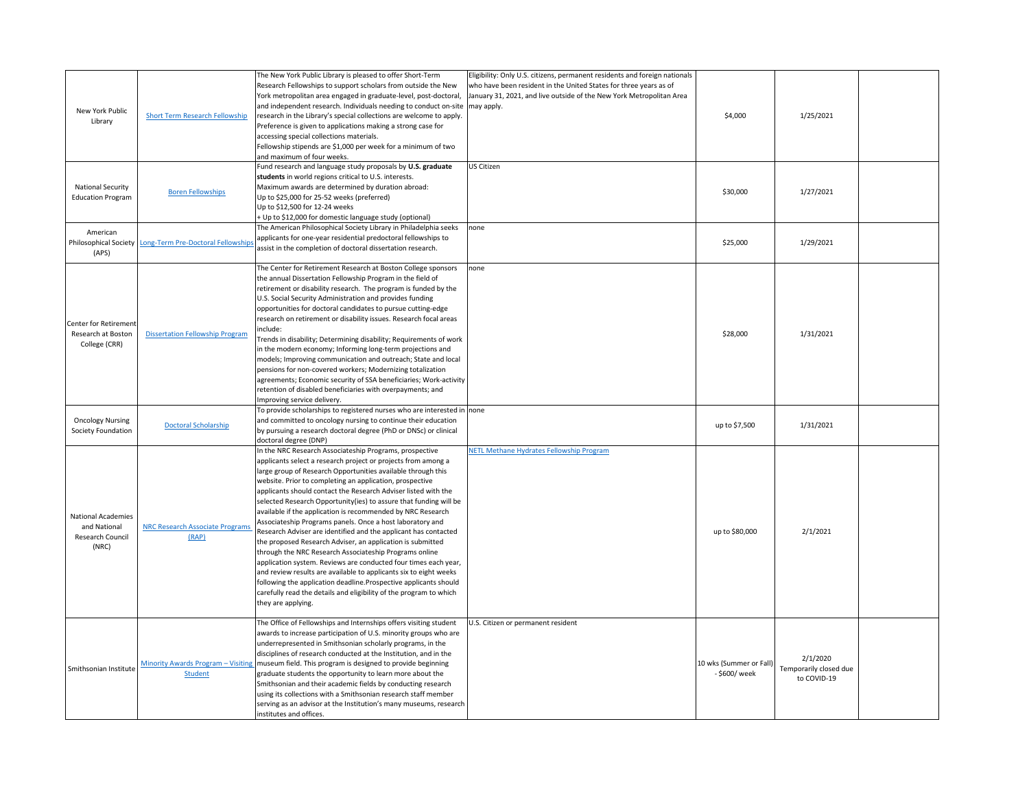| New York Public<br>Library                                             | <b>Short Term Research Fellowship</b>                      | The New York Public Library is pleased to offer Short-Term<br>Research Fellowships to support scholars from outside the New<br>York metropolitan area engaged in graduate-level, post-doctoral,<br>and independent research. Individuals needing to conduct on-site   may apply.<br>research in the Library's special collections are welcome to apply.<br>Preference is given to applications making a strong case for<br>accessing special collections materials.<br>Fellowship stipends are \$1,000 per week for a minimum of two<br>and maximum of four weeks.                                                                                                                                                                                                                                                                                                                                                                                                                                                       | Eligibility: Only U.S. citizens, permanent residents and foreign nationals<br>who have been resident in the United States for three years as of<br>January 31, 2021, and live outside of the New York Metropolitan Area | \$4,000                                  | 1/25/2021                                         |  |
|------------------------------------------------------------------------|------------------------------------------------------------|--------------------------------------------------------------------------------------------------------------------------------------------------------------------------------------------------------------------------------------------------------------------------------------------------------------------------------------------------------------------------------------------------------------------------------------------------------------------------------------------------------------------------------------------------------------------------------------------------------------------------------------------------------------------------------------------------------------------------------------------------------------------------------------------------------------------------------------------------------------------------------------------------------------------------------------------------------------------------------------------------------------------------|-------------------------------------------------------------------------------------------------------------------------------------------------------------------------------------------------------------------------|------------------------------------------|---------------------------------------------------|--|
| <b>National Security</b><br><b>Education Program</b>                   | <b>Boren Fellowships</b>                                   | Fund research and language study proposals by U.S. graduate<br>students in world regions critical to U.S. interests.<br>Maximum awards are determined by duration abroad:<br>Up to \$25,000 for 25-52 weeks (preferred)<br>Up to \$12,500 for 12-24 weeks<br>+ Up to \$12,000 for domestic language study (optional)                                                                                                                                                                                                                                                                                                                                                                                                                                                                                                                                                                                                                                                                                                     | US Citizen                                                                                                                                                                                                              | \$30,000                                 | 1/27/2021                                         |  |
| American<br>(APS)                                                      | Philosophical Society   Long-Term Pre-Doctoral Fellowships | The American Philosophical Society Library in Philadelphia seeks<br>applicants for one-year residential predoctoral fellowships to<br>assist in the completion of doctoral dissertation research.                                                                                                                                                                                                                                                                                                                                                                                                                                                                                                                                                                                                                                                                                                                                                                                                                        | none                                                                                                                                                                                                                    | \$25,000                                 | 1/29/2021                                         |  |
| Center for Retirement<br>Research at Boston<br>College (CRR)           | <b>Dissertation Fellowship Program</b>                     | The Center for Retirement Research at Boston College sponsors<br>the annual Dissertation Fellowship Program in the field of<br>retirement or disability research. The program is funded by the<br>J.S. Social Security Administration and provides funding<br>opportunities for doctoral candidates to pursue cutting-edge<br>research on retirement or disability issues. Research focal areas<br>include:<br>Trends in disability; Determining disability; Requirements of work<br>in the modern economy; Informing long-term projections and<br>models; Improving communication and outreach; State and local<br>pensions for non-covered workers; Modernizing totalization<br>agreements; Economic security of SSA beneficiaries; Work-activity<br>retention of disabled beneficiaries with overpayments; and<br>Improving service delivery.                                                                                                                                                                         | none                                                                                                                                                                                                                    | \$28,000                                 | 1/31/2021                                         |  |
| <b>Oncology Nursing</b><br>Society Foundation                          | <b>Doctoral Scholarship</b>                                | To provide scholarships to registered nurses who are interested in none<br>and committed to oncology nursing to continue their education<br>by pursuing a research doctoral degree (PhD or DNSc) or clinical<br>doctoral degree (DNP)                                                                                                                                                                                                                                                                                                                                                                                                                                                                                                                                                                                                                                                                                                                                                                                    |                                                                                                                                                                                                                         | up to \$7,500                            | 1/31/2021                                         |  |
| <b>National Academies</b><br>and National<br>Research Council<br>(NRC) | <b>NRC Research Associate Programs</b><br>(RAP)            | In the NRC Research Associateship Programs, prospective<br>applicants select a research project or projects from among a<br>arge group of Research Opportunities available through this<br>website. Prior to completing an application, prospective<br>applicants should contact the Research Adviser listed with the<br>selected Research Opportunity(ies) to assure that funding will be<br>available if the application is recommended by NRC Research<br>Associateship Programs panels. Once a host laboratory and<br>Research Adviser are identified and the applicant has contacted<br>the proposed Research Adviser, an application is submitted<br>hrough the NRC Research Associateship Programs online<br>application system. Reviews are conducted four times each year,<br>and review results are available to applicants six to eight weeks<br>following the application deadline.Prospective applicants should<br>carefully read the details and eligibility of the program to which<br>they are applying. | NETL Methane Hydrates Fellowship Program                                                                                                                                                                                | up to \$80,000                           | 2/1/2021                                          |  |
| Smithsonian Institute                                                  | Minority Awards Program - Visiting<br><b>Student</b>       | The Office of Fellowships and Internships offers visiting student<br>awards to increase participation of U.S. minority groups who are<br>underrepresented in Smithsonian scholarly programs, in the<br>disciplines of research conducted at the Institution, and in the<br>museum field. This program is designed to provide beginning<br>graduate students the opportunity to learn more about the<br>Smithsonian and their academic fields by conducting research<br>using its collections with a Smithsonian research staff member<br>serving as an advisor at the Institution's many museums, research<br>institutes and offices.                                                                                                                                                                                                                                                                                                                                                                                    | U.S. Citizen or permanent resident                                                                                                                                                                                      | 10 wks (Summer or Fall)<br>- \$600/ week | 2/1/2020<br>Temporarily closed due<br>to COVID-19 |  |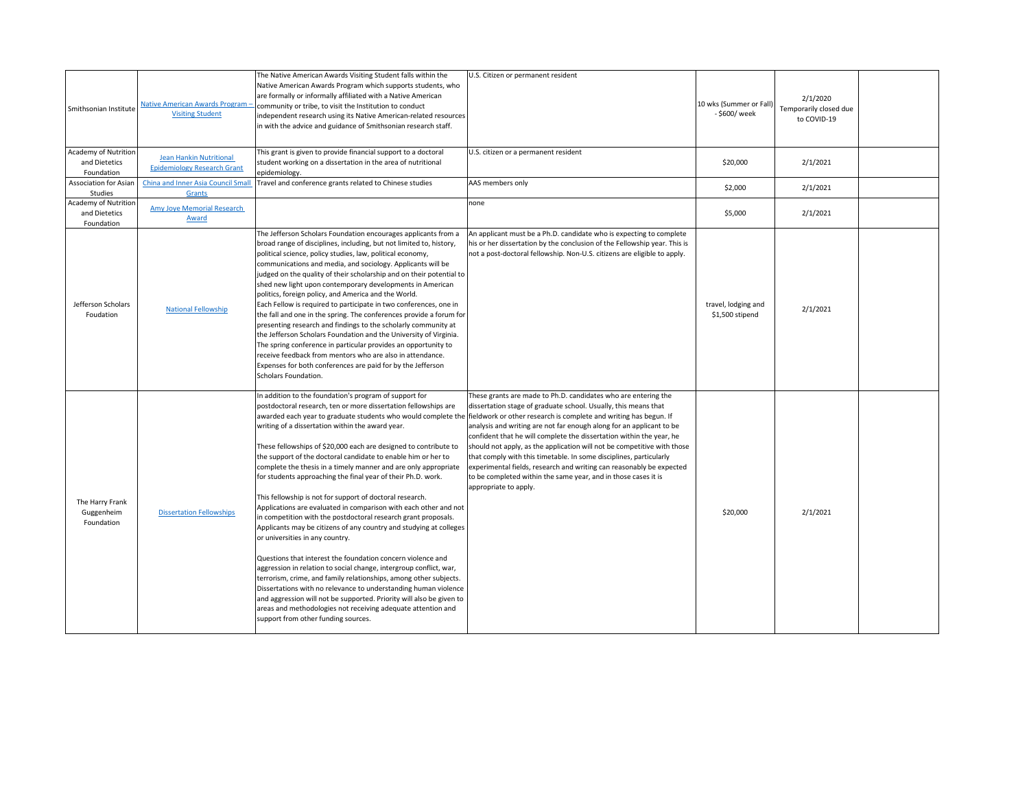| Smithsonian Institute                                      | <b>Native American Awards Program -</b><br><b>Visiting Student</b>   | The Native American Awards Visiting Student falls within the<br>Native American Awards Program which supports students, who<br>are formally or informally affiliated with a Native American<br>community or tribe, to visit the Institution to conduct<br>independent research using its Native American-related resources<br>in with the advice and guidance of Smithsonian research staff.                                                                                                                                                                                                                                                                                                                                                                                                                                                                                                                                                                                                                                                                                                                                                                                                                                                                                                                                                                    | U.S. Citizen or permanent resident                                                                                                                                                                                                                                                                                                                                                                                                                                                                                                                                                                    | 10 wks (Summer or Fall)<br>- \$600/ week | 2/1/2020<br>Temporarily closed due<br>to COVID-19 |  |
|------------------------------------------------------------|----------------------------------------------------------------------|-----------------------------------------------------------------------------------------------------------------------------------------------------------------------------------------------------------------------------------------------------------------------------------------------------------------------------------------------------------------------------------------------------------------------------------------------------------------------------------------------------------------------------------------------------------------------------------------------------------------------------------------------------------------------------------------------------------------------------------------------------------------------------------------------------------------------------------------------------------------------------------------------------------------------------------------------------------------------------------------------------------------------------------------------------------------------------------------------------------------------------------------------------------------------------------------------------------------------------------------------------------------------------------------------------------------------------------------------------------------|-------------------------------------------------------------------------------------------------------------------------------------------------------------------------------------------------------------------------------------------------------------------------------------------------------------------------------------------------------------------------------------------------------------------------------------------------------------------------------------------------------------------------------------------------------------------------------------------------------|------------------------------------------|---------------------------------------------------|--|
| Academy of Nutrition<br>and Dietetics<br>Foundation        | <b>Jean Hankin Nutritional</b><br><b>Epidemiology Research Grant</b> | This grant is given to provide financial support to a doctoral<br>student working on a dissertation in the area of nutritional<br>epidemiology.                                                                                                                                                                                                                                                                                                                                                                                                                                                                                                                                                                                                                                                                                                                                                                                                                                                                                                                                                                                                                                                                                                                                                                                                                 | U.S. citizen or a permanent resident                                                                                                                                                                                                                                                                                                                                                                                                                                                                                                                                                                  | \$20,000                                 | 2/1/2021                                          |  |
| <b>Association for Asian</b><br>Studies                    | <b>China and Inner Asia Council Small</b><br>Grants                  | Travel and conference grants related to Chinese studies                                                                                                                                                                                                                                                                                                                                                                                                                                                                                                                                                                                                                                                                                                                                                                                                                                                                                                                                                                                                                                                                                                                                                                                                                                                                                                         | AAS members only                                                                                                                                                                                                                                                                                                                                                                                                                                                                                                                                                                                      | \$2,000                                  | 2/1/2021                                          |  |
| <b>Academy of Nutrition</b><br>and Dietetics<br>Foundation | Amy Joye Memorial Research<br>Award                                  |                                                                                                                                                                                                                                                                                                                                                                                                                                                                                                                                                                                                                                                                                                                                                                                                                                                                                                                                                                                                                                                                                                                                                                                                                                                                                                                                                                 | none                                                                                                                                                                                                                                                                                                                                                                                                                                                                                                                                                                                                  | \$5,000                                  | 2/1/2021                                          |  |
| Jefferson Scholars<br>Foudation                            | <b>National Fellowship</b>                                           | The Jefferson Scholars Foundation encourages applicants from a<br>broad range of disciplines, including, but not limited to, history,<br>political science, policy studies, law, political economy,<br>communications and media, and sociology. Applicants will be<br>judged on the quality of their scholarship and on their potential to<br>shed new light upon contemporary developments in American<br>politics, foreign policy, and America and the World.<br>Each Fellow is required to participate in two conferences, one in<br>the fall and one in the spring. The conferences provide a forum for<br>presenting research and findings to the scholarly community at<br>the Jefferson Scholars Foundation and the University of Virginia.<br>The spring conference in particular provides an opportunity to<br>receive feedback from mentors who are also in attendance.<br>Expenses for both conferences are paid for by the Jefferson<br>Scholars Foundation.                                                                                                                                                                                                                                                                                                                                                                                        | An applicant must be a Ph.D. candidate who is expecting to complete<br>his or her dissertation by the conclusion of the Fellowship year. This is<br>not a post-doctoral fellowship. Non-U.S. citizens are eligible to apply.                                                                                                                                                                                                                                                                                                                                                                          | travel, lodging and<br>\$1,500 stipend   | 2/1/2021                                          |  |
| The Harry Frank<br>Guggenheim<br>Foundation                | <b>Dissertation Fellowships</b>                                      | In addition to the foundation's program of support for<br>postdoctoral research, ten or more dissertation fellowships are<br>awarded each year to graduate students who would complete the fieldwork or other research is complete and writing has begun. If<br>writing of a dissertation within the award year.<br>These fellowships of \$20,000 each are designed to contribute to<br>the support of the doctoral candidate to enable him or her to<br>complete the thesis in a timely manner and are only appropriate<br>for students approaching the final year of their Ph.D. work.<br>This fellowship is not for support of doctoral research.<br>Applications are evaluated in comparison with each other and not<br>in competition with the postdoctoral research grant proposals.<br>Applicants may be citizens of any country and studying at colleges<br>or universities in any country.<br>Questions that interest the foundation concern violence and<br>aggression in relation to social change, intergroup conflict, war,<br>terrorism, crime, and family relationships, among other subjects.<br>Dissertations with no relevance to understanding human violence<br>and aggression will not be supported. Priority will also be given to<br>areas and methodologies not receiving adequate attention and<br>support from other funding sources. | These grants are made to Ph.D. candidates who are entering the<br>dissertation stage of graduate school. Usually, this means that<br>analysis and writing are not far enough along for an applicant to be<br>confident that he will complete the dissertation within the year, he<br>should not apply, as the application will not be competitive with those<br>that comply with this timetable. In some disciplines, particularly<br>experimental fields, research and writing can reasonably be expected<br>to be completed within the same year, and in those cases it is<br>appropriate to apply. | \$20,000                                 | 2/1/2021                                          |  |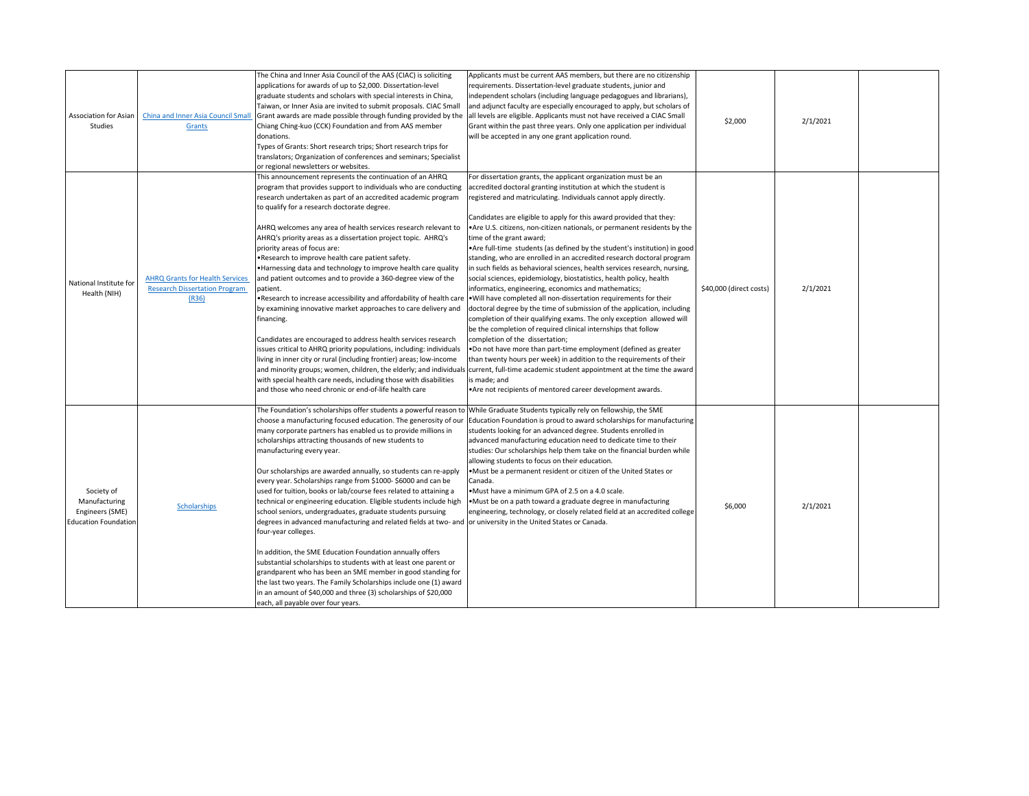| <b>Association for Asian</b><br>Studies                                       | China and Inner Asia Council Small<br>Grants                                            | The China and Inner Asia Council of the AAS (CIAC) is soliciting<br>applications for awards of up to \$2,000. Dissertation-level<br>graduate students and scholars with special interests in China,<br>Taiwan, or Inner Asia are invited to submit proposals. CIAC Small<br>Grant awards are made possible through funding provided by the<br>Chiang Ching-kuo (CCK) Foundation and from AAS member<br>donations.<br>Types of Grants: Short research trips; Short research trips for<br>translators; Organization of conferences and seminars; Specialist<br>or regional newsletters or websites.                                                                                                                                                                                                                                                                                                                                                                                                                                                                                                                                                        | Applicants must be current AAS members, but there are no citizenship<br>requirements. Dissertation-level graduate students, junior and<br>independent scholars (including language pedagogues and librarians),<br>and adjunct faculty are especially encouraged to apply, but scholars of<br>all levels are eligible. Applicants must not have received a CIAC Small<br>Grant within the past three years. Only one application per individual<br>will be accepted in any one grant application round.                                                                                                                                                                                                                                                                                                                                                                                                                                                                                                                                                                                                                                                                                                                                                                                                                                                                                                                                                      | \$2,000                 | 2/1/2021 |  |
|-------------------------------------------------------------------------------|-----------------------------------------------------------------------------------------|----------------------------------------------------------------------------------------------------------------------------------------------------------------------------------------------------------------------------------------------------------------------------------------------------------------------------------------------------------------------------------------------------------------------------------------------------------------------------------------------------------------------------------------------------------------------------------------------------------------------------------------------------------------------------------------------------------------------------------------------------------------------------------------------------------------------------------------------------------------------------------------------------------------------------------------------------------------------------------------------------------------------------------------------------------------------------------------------------------------------------------------------------------|-------------------------------------------------------------------------------------------------------------------------------------------------------------------------------------------------------------------------------------------------------------------------------------------------------------------------------------------------------------------------------------------------------------------------------------------------------------------------------------------------------------------------------------------------------------------------------------------------------------------------------------------------------------------------------------------------------------------------------------------------------------------------------------------------------------------------------------------------------------------------------------------------------------------------------------------------------------------------------------------------------------------------------------------------------------------------------------------------------------------------------------------------------------------------------------------------------------------------------------------------------------------------------------------------------------------------------------------------------------------------------------------------------------------------------------------------------------|-------------------------|----------|--|
| National Institute for<br>Health (NIH)                                        | <b>AHRQ Grants for Health Services</b><br><b>Research Dissertation Program</b><br>(R36) | This announcement represents the continuation of an AHRQ<br>program that provides support to individuals who are conducting<br>research undertaken as part of an accredited academic program<br>to qualify for a research doctorate degree.<br>AHRQ welcomes any area of health services research relevant to<br>AHRQ's priority areas as a dissertation project topic. AHRQ's<br>priority areas of focus are:<br>.Research to improve health care patient safety.<br>. Harnessing data and technology to improve health care quality<br>and patient outcomes and to provide a 360-degree view of the<br>patient.<br>. Research to increase accessibility and affordability of health care<br>by examining innovative market approaches to care delivery and<br>financing.<br>Candidates are encouraged to address health services research<br>issues critical to AHRQ priority populations, including: individuals<br>living in inner city or rural (including frontier) areas; low-income<br>with special health care needs, including those with disabilities<br>and those who need chronic or end-of-life health care                                | For dissertation grants, the applicant organization must be an<br>accredited doctoral granting institution at which the student is<br>registered and matriculating. Individuals cannot apply directly.<br>Candidates are eligible to apply for this award provided that they:<br>• Are U.S. citizens, non-citizen nationals, or permanent residents by the<br>time of the grant award;<br>• Are full-time students (as defined by the student's institution) in good<br>standing, who are enrolled in an accredited research doctoral program<br>in such fields as behavioral sciences, health services research, nursing,<br>social sciences, epidemiology, biostatistics, health policy, health<br>informatics, engineering, economics and mathematics;<br>. Will have completed all non-dissertation requirements for their<br>doctoral degree by the time of submission of the application, including<br>completion of their qualifying exams. The only exception allowed will<br>be the completion of required clinical internships that follow<br>completion of the dissertation;<br>.Do not have more than part-time employment (defined as greater<br>than twenty hours per week) in addition to the requirements of their<br>and minority groups; women, children, the elderly; and individuals current, full-time academic student appointment at the time the award<br>is made; and<br>Are not recipients of mentored career development awards. | \$40,000 (direct costs) | 2/1/2021 |  |
| Society of<br>Manufacturing<br>Engineers (SME)<br><b>Education Foundation</b> | Scholarships                                                                            | The Foundation's scholarships offer students a powerful reason to While Graduate Students typically rely on fellowship, the SME<br>many corporate partners has enabled us to provide millions in<br>scholarships attracting thousands of new students to<br>manufacturing every year.<br>Our scholarships are awarded annually, so students can re-apply<br>every year. Scholarships range from \$1000-\$6000 and can be<br>used for tuition, books or lab/course fees related to attaining a<br>technical or engineering education. Eligible students include high<br>school seniors, undergraduates, graduate students pursuing<br>degrees in advanced manufacturing and related fields at two- and or university in the United States or Canada.<br>four-year colleges.<br>In addition, the SME Education Foundation annually offers<br>substantial scholarships to students with at least one parent or<br>grandparent who has been an SME member in good standing for<br>the last two years. The Family Scholarships include one (1) award<br>in an amount of \$40,000 and three (3) scholarships of \$20,000<br>each, all payable over four years. | choose a manufacturing focused education. The generosity of our Education Foundation is proud to award scholarships for manufacturing<br>students looking for an advanced degree. Students enrolled in<br>advanced manufacturing education need to dedicate time to their<br>studies: Our scholarships help them take on the financial burden while<br>allowing students to focus on their education.<br>. Must be a permanent resident or citizen of the United States or<br>Canada.<br>•Must have a minimum GPA of 2.5 on a 4.0 scale.<br>•Must be on a path toward a graduate degree in manufacturing<br>engineering, technology, or closely related field at an accredited college                                                                                                                                                                                                                                                                                                                                                                                                                                                                                                                                                                                                                                                                                                                                                                      | \$6,000                 | 2/1/2021 |  |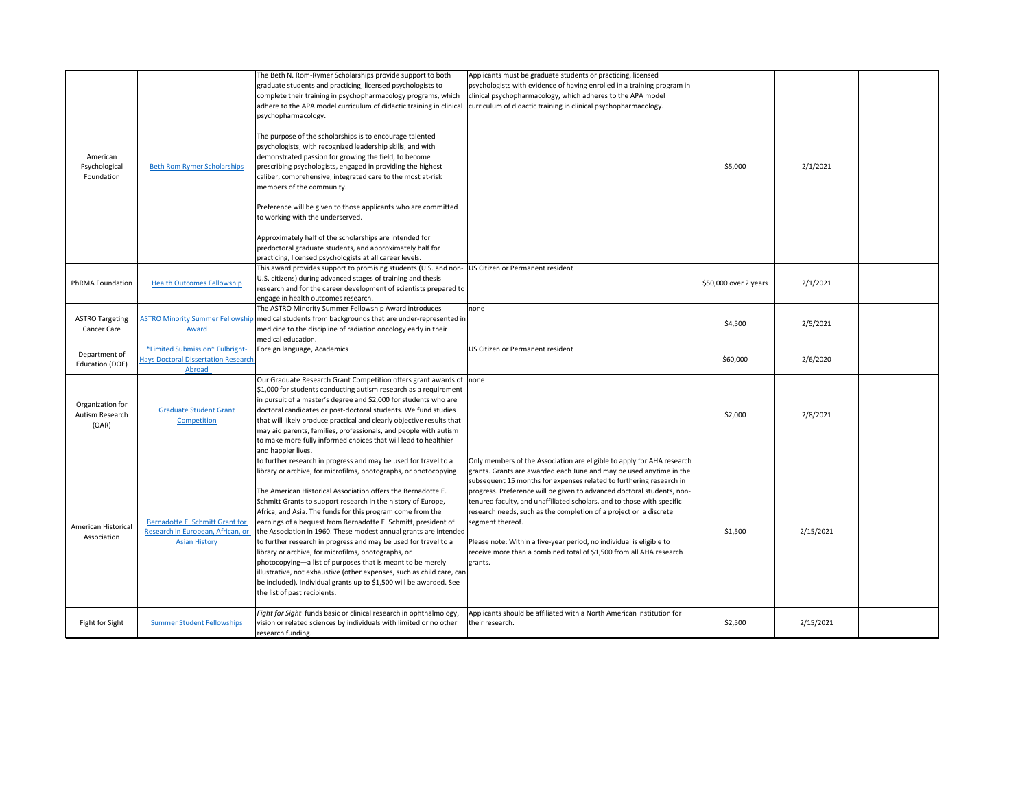| American<br>Psychological<br>Foundation      | <b>Beth Rom Rymer Scholarships</b>                                                           | The Beth N. Rom-Rymer Scholarships provide support to both<br>graduate students and practicing, licensed psychologists to<br>complete their training in psychopharmacology programs, which<br>adhere to the APA model curriculum of didactic training in clinical<br>psychopharmacology.<br>The purpose of the scholarships is to encourage talented<br>psychologists, with recognized leadership skills, and with<br>demonstrated passion for growing the field, to become<br>prescribing psychologists, engaged in providing the highest<br>caliber, comprehensive, integrated care to the most at-risk<br>members of the community.<br>Preference will be given to those applicants who are committed<br>to working with the underserved.<br>Approximately half of the scholarships are intended for<br>predoctoral graduate students, and approximately half for<br>practicing, licensed psychologists at all career levels. | Applicants must be graduate students or practicing, licensed<br>psychologists with evidence of having enrolled in a training program in<br>clinical psychopharmacology, which adheres to the APA model<br>curriculum of didactic training in clinical psychopharmacology.                                                                                                                                                                                                                                                                                                                                                   | \$5,000               | 2/1/2021  |  |
|----------------------------------------------|----------------------------------------------------------------------------------------------|----------------------------------------------------------------------------------------------------------------------------------------------------------------------------------------------------------------------------------------------------------------------------------------------------------------------------------------------------------------------------------------------------------------------------------------------------------------------------------------------------------------------------------------------------------------------------------------------------------------------------------------------------------------------------------------------------------------------------------------------------------------------------------------------------------------------------------------------------------------------------------------------------------------------------------|-----------------------------------------------------------------------------------------------------------------------------------------------------------------------------------------------------------------------------------------------------------------------------------------------------------------------------------------------------------------------------------------------------------------------------------------------------------------------------------------------------------------------------------------------------------------------------------------------------------------------------|-----------------------|-----------|--|
| PhRMA Foundation                             | <b>Health Outcomes Fellowship</b>                                                            | This award provides support to promising students (U.S. and non-<br>U.S. citizens) during advanced stages of training and thesis<br>research and for the career development of scientists prepared to<br>engage in health outcomes research.                                                                                                                                                                                                                                                                                                                                                                                                                                                                                                                                                                                                                                                                                     | US Citizen or Permanent resident                                                                                                                                                                                                                                                                                                                                                                                                                                                                                                                                                                                            | \$50,000 over 2 years | 2/1/2021  |  |
| <b>ASTRO Targeting</b><br><b>Cancer Care</b> | <b>ASTRO Minority Summer Fellowship</b><br>Award                                             | The ASTRO Minority Summer Fellowship Award introduces<br>medical students from backgrounds that are under-represented in<br>medicine to the discipline of radiation oncology early in their<br>medical education.                                                                                                                                                                                                                                                                                                                                                                                                                                                                                                                                                                                                                                                                                                                | none                                                                                                                                                                                                                                                                                                                                                                                                                                                                                                                                                                                                                        | \$4,500               | 2/5/2021  |  |
| Department of<br>Education (DOE)             | *Limited Submission* Fulbright-<br><b>Hays Doctoral Dissertation Research</b><br>Abroad      | Foreign language, Academics                                                                                                                                                                                                                                                                                                                                                                                                                                                                                                                                                                                                                                                                                                                                                                                                                                                                                                      | US Citizen or Permanent resident                                                                                                                                                                                                                                                                                                                                                                                                                                                                                                                                                                                            | \$60,000              | 2/6/2020  |  |
| Organization for<br>Autism Research<br>(OAR) | <b>Graduate Student Grant</b><br>Competition                                                 | Our Graduate Research Grant Competition offers grant awards of none<br>$\frac{1}{2}$ ,000 for students conducting autism research as a requirement<br>in pursuit of a master's degree and \$2,000 for students who are<br>doctoral candidates or post-doctoral students. We fund studies<br>that will likely produce practical and clearly objective results that<br>may aid parents, families, professionals, and people with autism<br>to make more fully informed choices that will lead to healthier<br>and happier lives.                                                                                                                                                                                                                                                                                                                                                                                                   |                                                                                                                                                                                                                                                                                                                                                                                                                                                                                                                                                                                                                             | \$2,000               | 2/8/2021  |  |
| American Historical<br>Association           | Bernadotte E. Schmitt Grant for<br>Research in European, African, or<br><b>Asian History</b> | to further research in progress and may be used for travel to a<br>library or archive, for microfilms, photographs, or photocopying<br>The American Historical Association offers the Bernadotte E.<br>Schmitt Grants to support research in the history of Europe,<br>Africa, and Asia. The funds for this program come from the<br>earnings of a bequest from Bernadotte E. Schmitt, president of<br>the Association in 1960. These modest annual grants are intended<br>to further research in progress and may be used for travel to a<br>library or archive, for microfilms, photographs, or<br>photocopying—a list of purposes that is meant to be merely<br>illustrative, not exhaustive (other expenses, such as child care, can<br>be included). Individual grants up to \$1,500 will be awarded. See<br>the list of past recipients.                                                                                   | Only members of the Association are eligible to apply for AHA research<br>grants. Grants are awarded each June and may be used anytime in the<br>subsequent 15 months for expenses related to furthering research in<br>progress. Preference will be given to advanced doctoral students, non-<br>tenured faculty, and unaffiliated scholars, and to those with specific<br>research needs, such as the completion of a project or a discrete<br>segment thereof.<br>Please note: Within a five-year period, no individual is eligible to<br>receive more than a combined total of \$1,500 from all AHA research<br>grants. | \$1,500               | 2/15/2021 |  |
| Fight for Sight                              | <b>Summer Student Fellowships</b>                                                            | Fight for Sight funds basic or clinical research in ophthalmology,<br>vision or related sciences by individuals with limited or no other<br>research funding.                                                                                                                                                                                                                                                                                                                                                                                                                                                                                                                                                                                                                                                                                                                                                                    | Applicants should be affiliated with a North American institution for<br>their research.                                                                                                                                                                                                                                                                                                                                                                                                                                                                                                                                    | \$2,500               | 2/15/2021 |  |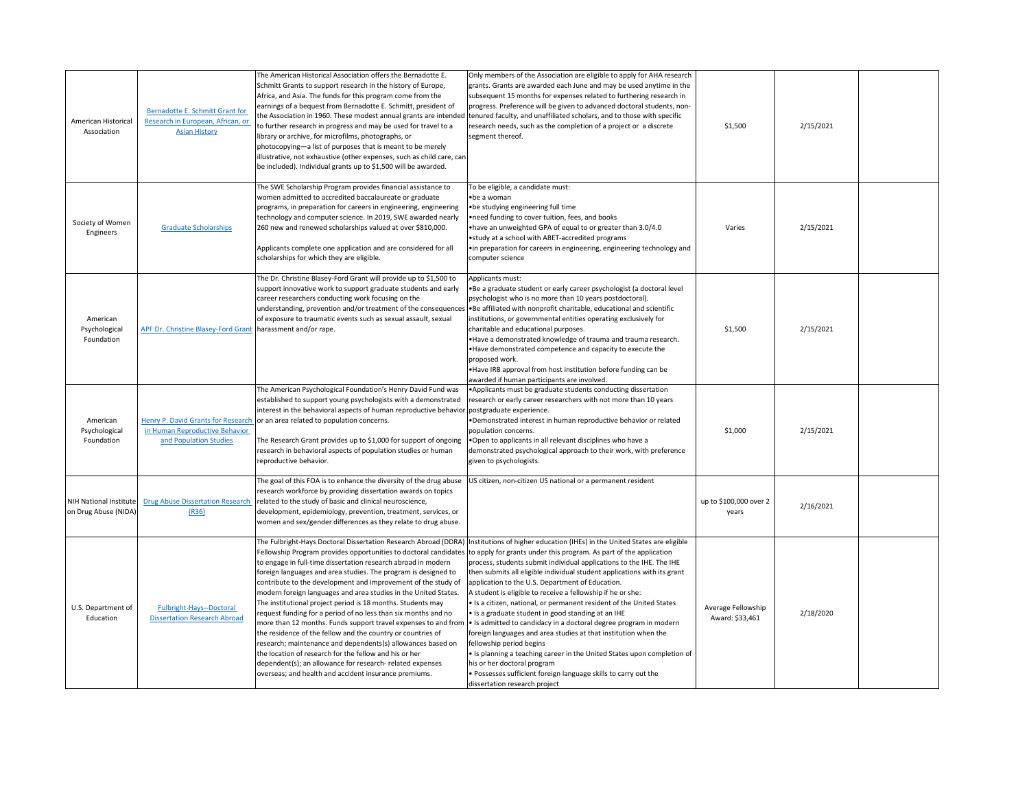| American Historical<br>Association             | Bernadotte E. Schmitt Grant for<br>Research in European, African, or<br><b>Asian History</b> | The American Historical Association offers the Bernadotte E.<br>Schmitt Grants to support research in the history of Europe,<br>Africa, and Asia. The funds for this program come from the<br>earnings of a bequest from Bernadotte E. Schmitt, president of<br>to further research in progress and may be used for travel to a<br>library or archive, for microfilms, photographs, or<br>photocopying-a list of purposes that is meant to be merely<br>illustrative, not exhaustive (other expenses, such as child care, can<br>be included). Individual grants up to \$1,500 will be awarded.                                                                                                                                                                                                                                                                                                                            | Only members of the Association are eligible to apply for AHA research<br>grants. Grants are awarded each June and may be used anytime in the<br>subsequent 15 months for expenses related to furthering research in<br>progress. Preference will be given to advanced doctoral students, non-<br>the Association in 1960. These modest annual grants are intended tenured faculty, and unaffiliated scholars, and to those with specific<br>research needs, such as the completion of a project or a discrete<br>segment thereof.                                                                                                                                                                                                                                                                                                                                                                                                | \$1,500                               | 2/15/2021 |  |
|------------------------------------------------|----------------------------------------------------------------------------------------------|----------------------------------------------------------------------------------------------------------------------------------------------------------------------------------------------------------------------------------------------------------------------------------------------------------------------------------------------------------------------------------------------------------------------------------------------------------------------------------------------------------------------------------------------------------------------------------------------------------------------------------------------------------------------------------------------------------------------------------------------------------------------------------------------------------------------------------------------------------------------------------------------------------------------------|-----------------------------------------------------------------------------------------------------------------------------------------------------------------------------------------------------------------------------------------------------------------------------------------------------------------------------------------------------------------------------------------------------------------------------------------------------------------------------------------------------------------------------------------------------------------------------------------------------------------------------------------------------------------------------------------------------------------------------------------------------------------------------------------------------------------------------------------------------------------------------------------------------------------------------------|---------------------------------------|-----------|--|
| Society of Women<br>Engineers                  | <b>Graduate Scholarships</b>                                                                 | The SWE Scholarship Program provides financial assistance to<br>women admitted to accredited baccalaureate or graduate<br>programs, in preparation for careers in engineering, engineering<br>technology and computer science. In 2019, SWE awarded nearly<br>260 new and renewed scholarships valued at over \$810,000.<br>Applicants complete one application and are considered for all<br>scholarships for which they are eligible.                                                                                                                                                                                                                                                                                                                                                                                                                                                                                    | To be eligible, a candidate must:<br>• be a woman<br>• be studying engineering full time<br>• need funding to cover tuition, fees, and books<br>.have an unweighted GPA of equal to or greater than 3.0/4.0<br>• study at a school with ABET-accredited programs<br>• in preparation for careers in engineering, engineering technology and<br>computer science                                                                                                                                                                                                                                                                                                                                                                                                                                                                                                                                                                   | Varies                                | 2/15/2021 |  |
| American<br>Psychological<br>Foundation        | <b>APF Dr. Christine Blasey-Ford Grant</b>                                                   | The Dr. Christine Blasey-Ford Grant will provide up to \$1,500 to<br>support innovative work to support graduate students and early<br>career researchers conducting work focusing on the<br>of exposure to traumatic events such as sexual assault, sexual<br>harassment and/or rape.                                                                                                                                                                                                                                                                                                                                                                                                                                                                                                                                                                                                                                     | Applicants must:<br>. Be a graduate student or early career psychologist (a doctoral level<br>psychologist who is no more than 10 years postdoctoral).<br>understanding, prevention and/or treatment of the consequences •Be affiliated with nonprofit charitable, educational and scientific<br>institutions, or governmental entities operating exclusively for<br>charitable and educational purposes.<br>. Have a demonstrated knowledge of trauma and trauma research.<br>. Have demonstrated competence and capacity to execute the<br>proposed work.<br>. Have IRB approval from host institution before funding can be<br>awarded if human participants are involved.                                                                                                                                                                                                                                                     | \$1,500                               | 2/15/2021 |  |
| American<br>Psychological<br>Foundation        | in Human Reproductive Behavior<br>and Population Studies                                     | The American Psychological Foundation's Henry David Fund was<br>established to support young psychologists with a demonstrated<br>interest in the behavioral aspects of human reproductive behavior postgraduate experience.<br>Henry P. David Grants for Research   or an area related to population concerns.<br>The Research Grant provides up to \$1,000 for support of ongoing<br>research in behavioral aspects of population studies or human<br>reproductive behavior.                                                                                                                                                                                                                                                                                                                                                                                                                                             | • Applicants must be graduate students conducting dissertation<br>research or early career researchers with not more than 10 years<br>•Demonstrated interest in human reproductive behavior or related<br>population concerns.<br>.Open to applicants in all relevant disciplines who have a<br>demonstrated psychological approach to their work, with preference<br>given to psychologists.                                                                                                                                                                                                                                                                                                                                                                                                                                                                                                                                     | \$1,000                               | 2/15/2021 |  |
| NIH National Institute<br>on Drug Abuse (NIDA) | <b>Drug Abuse Dissertation Research</b><br>(R36)                                             | The goal of this FOA is to enhance the diversity of the drug abuse<br>research workforce by providing dissertation awards on topics<br>related to the study of basic and clinical neuroscience,<br>development, epidemiology, prevention, treatment, services, or<br>women and sex/gender differences as they relate to drug abuse.                                                                                                                                                                                                                                                                                                                                                                                                                                                                                                                                                                                        | US citizen, non-citizen US national or a permanent resident                                                                                                                                                                                                                                                                                                                                                                                                                                                                                                                                                                                                                                                                                                                                                                                                                                                                       | up to \$100,000 over 2<br>years       | 2/16/2021 |  |
| U.S. Department of<br>Education                | Fulbright-Hays--Doctoral<br><b>Dissertation Research Abroad</b>                              | Fellowship Program provides opportunities to doctoral candidates to apply for grants under this program. As part of the application<br>to engage in full-time dissertation research abroad in modern<br>foreign languages and area studies. The program is designed to<br>contribute to the development and improvement of the study of<br>modern foreign languages and area studies in the United States.<br>The institutional project period is 18 months. Students may<br>request funding for a period of no less than six months and no<br>more than 12 months. Funds support travel expenses to and from<br>the residence of the fellow and the country or countries of<br>research; maintenance and dependents(s) allowances based on<br>the location of research for the fellow and his or her<br>dependent(s); an allowance for research-related expenses<br>overseas; and health and accident insurance premiums. | The Fulbright-Hays Doctoral Dissertation Research Abroad (DDRA)  Institutions of higher education (IHEs) in the United States are eligible<br>process, students submit individual applications to the IHE. The IHE<br>then submits all eligible individual student applications with its grant<br>application to the U.S. Department of Education.<br>A student is eligible to receive a fellowship if he or she:<br>• Is a citizen, national, or permanent resident of the United States<br>• Is a graduate student in good standing at an IHE<br>I Is admitted to candidacy in a doctoral degree program in modern<br>foreign languages and area studies at that institution when the<br>fellowship period begins<br>• Is planning a teaching career in the United States upon completion of<br>his or her doctoral program<br>. Possesses sufficient foreign language skills to carry out the<br>dissertation research project | Average Fellowship<br>Award: \$33,461 | 2/18/2020 |  |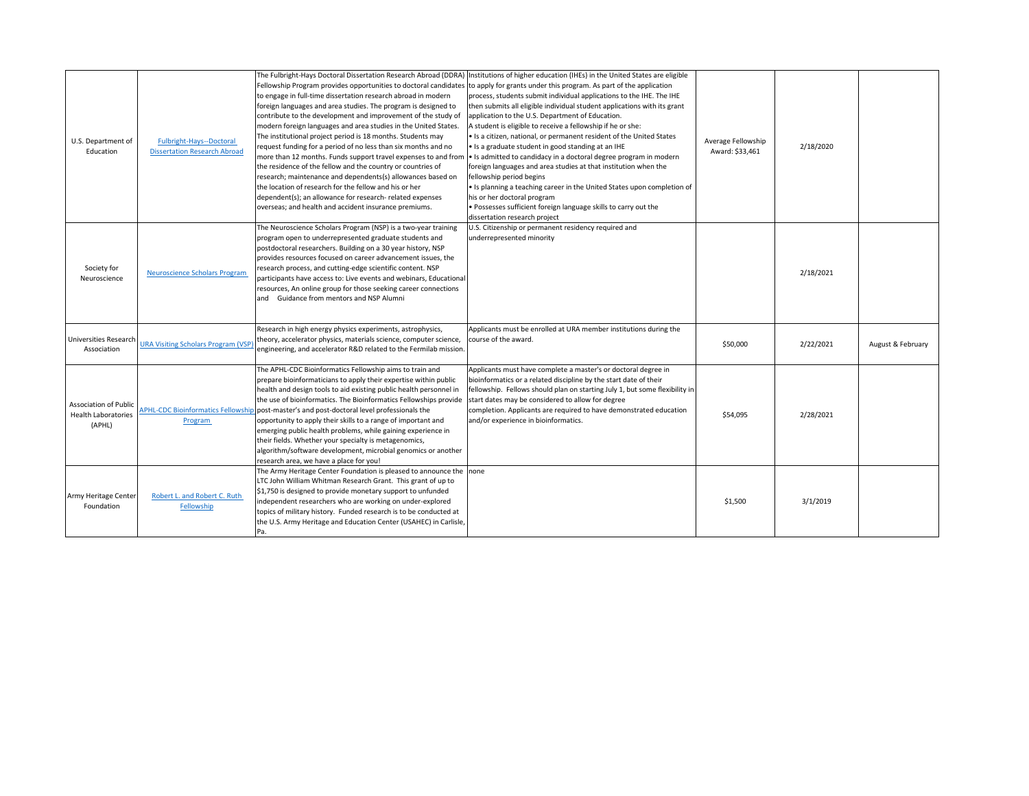| U.S. Department of<br>Education                                      | Fulbright-Hays--Doctoral<br><b>Dissertation Research Abroad</b> | Fellowship Program provides opportunities to doctoral candidates to apply for grants under this program. As part of the application<br>to engage in full-time dissertation research abroad in modern<br>foreign languages and area studies. The program is designed to<br>contribute to the development and improvement of the study of<br>modern foreign languages and area studies in the United States.<br>The institutional project period is 18 months. Students may<br>request funding for a period of no less than six months and no<br>more than 12 months. Funds support travel expenses to and from<br>the residence of the fellow and the country or countries of<br>research; maintenance and dependents(s) allowances based on<br>the location of research for the fellow and his or her<br>dependent(s); an allowance for research-related expenses<br>overseas; and health and accident insurance premiums. | The Fulbright-Hays Doctoral Dissertation Research Abroad (DDRA) Institutions of higher education (IHEs) in the United States are eligible<br>process, students submit individual applications to the IHE. The IHE<br>then submits all eligible individual student applications with its grant<br>application to the U.S. Department of Education.<br>A student is eligible to receive a fellowship if he or she:<br>Io Is a citizen, national, or permanent resident of the United States<br>$\cdot$ Is a graduate student in good standing at an IHE<br>• Is admitted to candidacy in a doctoral degree program in modern<br>foreign languages and area studies at that institution when the<br>fellowship period begins<br>I Is planning a teaching career in the United States upon completion of<br>his or her doctoral program<br>• Possesses sufficient foreign language skills to carry out the<br>dissertation research project | Average Fellowship<br>Award: \$33,461 | 2/18/2020 |                   |
|----------------------------------------------------------------------|-----------------------------------------------------------------|----------------------------------------------------------------------------------------------------------------------------------------------------------------------------------------------------------------------------------------------------------------------------------------------------------------------------------------------------------------------------------------------------------------------------------------------------------------------------------------------------------------------------------------------------------------------------------------------------------------------------------------------------------------------------------------------------------------------------------------------------------------------------------------------------------------------------------------------------------------------------------------------------------------------------|-----------------------------------------------------------------------------------------------------------------------------------------------------------------------------------------------------------------------------------------------------------------------------------------------------------------------------------------------------------------------------------------------------------------------------------------------------------------------------------------------------------------------------------------------------------------------------------------------------------------------------------------------------------------------------------------------------------------------------------------------------------------------------------------------------------------------------------------------------------------------------------------------------------------------------------------|---------------------------------------|-----------|-------------------|
| Society for<br>Neuroscience                                          | <b>Neuroscience Scholars Program</b>                            | The Neuroscience Scholars Program (NSP) is a two-year training<br>program open to underrepresented graduate students and<br>postdoctoral researchers. Building on a 30 year history, NSP<br>provides resources focused on career advancement issues, the<br>research process, and cutting-edge scientific content. NSP<br>participants have access to: Live events and webinars, Educational<br>resources, An online group for those seeking career connections<br>and Guidance from mentors and NSP Alumni                                                                                                                                                                                                                                                                                                                                                                                                                | U.S. Citizenship or permanent residency required and<br>underrepresented minority                                                                                                                                                                                                                                                                                                                                                                                                                                                                                                                                                                                                                                                                                                                                                                                                                                                       |                                       | 2/18/2021 |                   |
| <b>Universities Research</b><br>Association                          | <b>URA Visiting Scholars Program (VSP</b>                       | Research in high energy physics experiments, astrophysics,<br>theory, accelerator physics, materials science, computer science,<br>engineering, and accelerator R&D related to the Fermilab mission.                                                                                                                                                                                                                                                                                                                                                                                                                                                                                                                                                                                                                                                                                                                       | Applicants must be enrolled at URA member institutions during the<br>course of the award.                                                                                                                                                                                                                                                                                                                                                                                                                                                                                                                                                                                                                                                                                                                                                                                                                                               | \$50,000                              | 2/22/2021 | August & February |
| <b>Association of Public</b><br><b>Health Laboratories</b><br>(APHL) | Program                                                         | The APHL-CDC Bioinformatics Fellowship aims to train and<br>prepare bioinformaticians to apply their expertise within public<br>health and design tools to aid existing public health personnel in<br>the use of bioinformatics. The Bioinformatics Fellowships provide<br>APHL-CDC Bioinformatics Fellowship post-master's and post-doctoral level professionals the<br>opportunity to apply their skills to a range of important and<br>emerging public health problems, while gaining experience in<br>their fields. Whether your specialty is metagenomics,<br>algorithm/software development, microbial genomics or another<br>research area, we have a place for you!                                                                                                                                                                                                                                                | Applicants must have complete a master's or doctoral degree in<br>bioinformatics or a related discipline by the start date of their<br>fellowship. Fellows should plan on starting July 1, but some flexibility in<br>start dates may be considered to allow for degree<br>completion. Applicants are required to have demonstrated education<br>and/or experience in bioinformatics.                                                                                                                                                                                                                                                                                                                                                                                                                                                                                                                                                   | \$54,095                              | 2/28/2021 |                   |
| Army Heritage Center<br>Foundation                                   | Robert L. and Robert C. Ruth<br>Fellowship                      | The Army Heritage Center Foundation is pleased to announce the none<br>LTC John William Whitman Research Grant. This grant of up to<br>$\mid$ \$1,750 is designed to provide monetary support to unfunded<br>independent researchers who are working on under-explored<br>topics of military history. Funded research is to be conducted at<br>the U.S. Army Heritage and Education Center (USAHEC) in Carlisle,<br>IPa.                                                                                                                                                                                                                                                                                                                                                                                                                                                                                                   |                                                                                                                                                                                                                                                                                                                                                                                                                                                                                                                                                                                                                                                                                                                                                                                                                                                                                                                                         | \$1,500                               | 3/1/2019  |                   |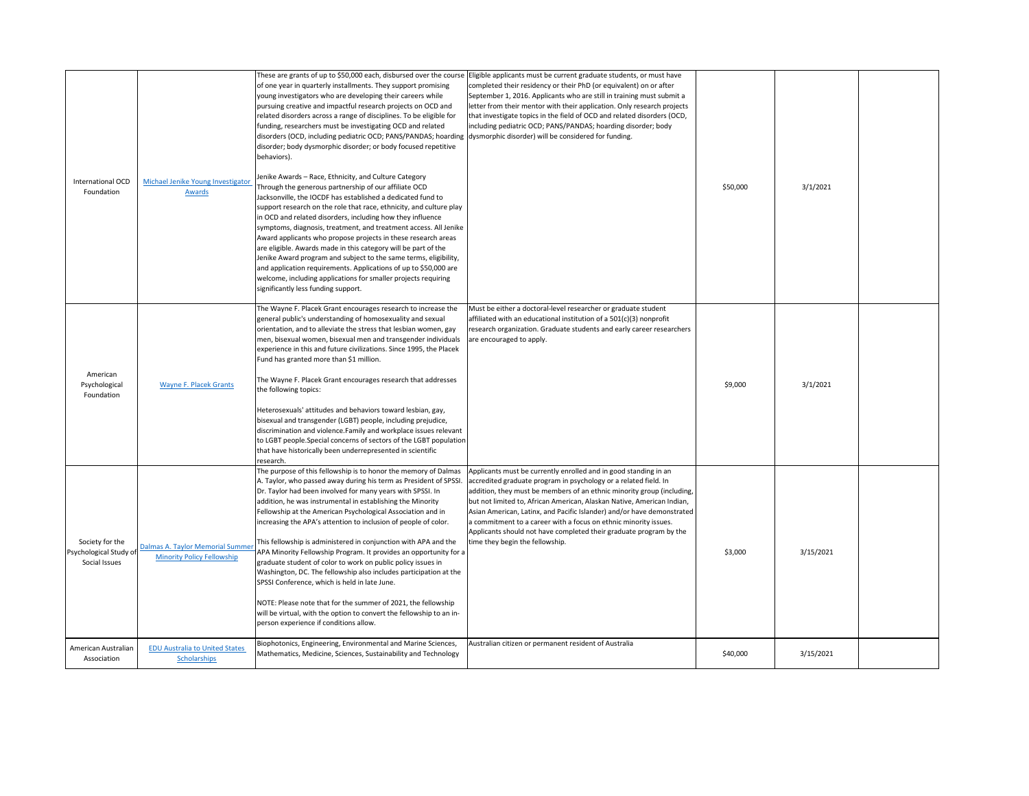| International OCD<br>Foundation                            | Michael Jenike Young Investigator<br>Awards                                  | of one year in quarterly installments. They support promising<br>young investigators who are developing their careers while<br>pursuing creative and impactful research projects on OCD and<br>related disorders across a range of disciplines. To be eligible for<br>funding, researchers must be investigating OCD and related<br>disorders (OCD, including pediatric OCD; PANS/PANDAS; hoarding dysmorphic disorder) will be considered for funding.<br>disorder; body dysmorphic disorder; or body focused repetitive<br>behaviors).<br>Jenike Awards - Race, Ethnicity, and Culture Category<br>Through the generous partnership of our affiliate OCD<br>Jacksonville, the IOCDF has established a dedicated fund to<br>support research on the role that race, ethnicity, and culture play<br>in OCD and related disorders, including how they influence<br>symptoms, diagnosis, treatment, and treatment access. All Jenike<br>Award applicants who propose projects in these research areas<br>are eligible. Awards made in this category will be part of the<br>Jenike Award program and subject to the same terms, eligibility,<br>and application requirements. Applications of up to \$50,000 are<br>welcome, including applications for smaller projects requiring<br>significantly less funding support. | These are grants of up to \$50,000 each, disbursed over the course  Eligible applicants must be current graduate students, or must have<br>completed their residency or their PhD (or equivalent) on or after<br>September 1, 2016. Applicants who are still in training must submit a<br>letter from their mentor with their application. Only research projects<br>that investigate topics in the field of OCD and related disorders (OCD,<br>including pediatric OCD; PANS/PANDAS; hoarding disorder; body                                   | \$50,000 | 3/1/2021  |  |
|------------------------------------------------------------|------------------------------------------------------------------------------|------------------------------------------------------------------------------------------------------------------------------------------------------------------------------------------------------------------------------------------------------------------------------------------------------------------------------------------------------------------------------------------------------------------------------------------------------------------------------------------------------------------------------------------------------------------------------------------------------------------------------------------------------------------------------------------------------------------------------------------------------------------------------------------------------------------------------------------------------------------------------------------------------------------------------------------------------------------------------------------------------------------------------------------------------------------------------------------------------------------------------------------------------------------------------------------------------------------------------------------------------------------------------------------------------------------------|-------------------------------------------------------------------------------------------------------------------------------------------------------------------------------------------------------------------------------------------------------------------------------------------------------------------------------------------------------------------------------------------------------------------------------------------------------------------------------------------------------------------------------------------------|----------|-----------|--|
| American<br>Psychological<br>Foundation                    | <b>Wayne F. Placek Grants</b>                                                | The Wayne F. Placek Grant encourages research to increase the<br>general public's understanding of homosexuality and sexual<br>orientation, and to alleviate the stress that lesbian women, gay<br>men, bisexual women, bisexual men and transgender individuals<br>experience in this and future civilizations. Since 1995, the Placek<br>Fund has granted more than \$1 million.<br>The Wayne F. Placek Grant encourages research that addresses<br>the following topics:<br>Heterosexuals' attitudes and behaviors toward lesbian, gay,<br>bisexual and transgender (LGBT) people, including prejudice,<br>discrimination and violence.Family and workplace issues relevant<br>to LGBT people. Special concerns of sectors of the LGBT population<br>that have historically been underrepresented in scientific<br>research.                                                                                                                                                                                                                                                                                                                                                                                                                                                                                        | Must be either a doctoral-level researcher or graduate student<br>affiliated with an educational institution of a 501(c)(3) nonprofit<br>research organization. Graduate students and early career researchers<br>are encouraged to apply.                                                                                                                                                                                                                                                                                                      | \$9,000  | 3/1/2021  |  |
| Society for the<br>Psychological Study of<br>Social Issues | <b>Dalmas A. Taylor Memorial Summer</b><br><b>Minority Policy Fellowship</b> | The purpose of this fellowship is to honor the memory of Dalmas<br>A. Taylor, who passed away during his term as President of SPSSI<br>Dr. Taylor had been involved for many years with SPSSI. In<br>addition, he was instrumental in establishing the Minority<br>Fellowship at the American Psychological Association and in<br>increasing the APA's attention to inclusion of people of color.<br>This fellowship is administered in conjunction with APA and the<br>APA Minority Fellowship Program. It provides an opportunity for a<br>graduate student of color to work on public policy issues in<br>Washington, DC. The fellowship also includes participation at the<br>SPSSI Conference, which is held in late June.<br>NOTE: Please note that for the summer of 2021, the fellowship<br>will be virtual, with the option to convert the fellowship to an in-<br>person experience if conditions allow.                                                                                                                                                                                                                                                                                                                                                                                                     | Applicants must be currently enrolled and in good standing in an<br>accredited graduate program in psychology or a related field. In<br>addition, they must be members of an ethnic minority group (including,<br>but not limited to, African American, Alaskan Native, American Indian,<br>Asian American, Latinx, and Pacific Islander) and/or have demonstrated<br>a commitment to a career with a focus on ethnic minority issues.<br>Applicants should not have completed their graduate program by the<br>time they begin the fellowship. | \$3,000  | 3/15/2021 |  |
| American Australian<br>Association                         | <b>EDU Australia to United States</b><br><b>Scholarships</b>                 | Biophotonics, Engineering, Environmental and Marine Sciences,<br>Mathematics, Medicine, Sciences, Sustainability and Technology                                                                                                                                                                                                                                                                                                                                                                                                                                                                                                                                                                                                                                                                                                                                                                                                                                                                                                                                                                                                                                                                                                                                                                                        | Australian citizen or permanent resident of Australia                                                                                                                                                                                                                                                                                                                                                                                                                                                                                           | \$40,000 | 3/15/2021 |  |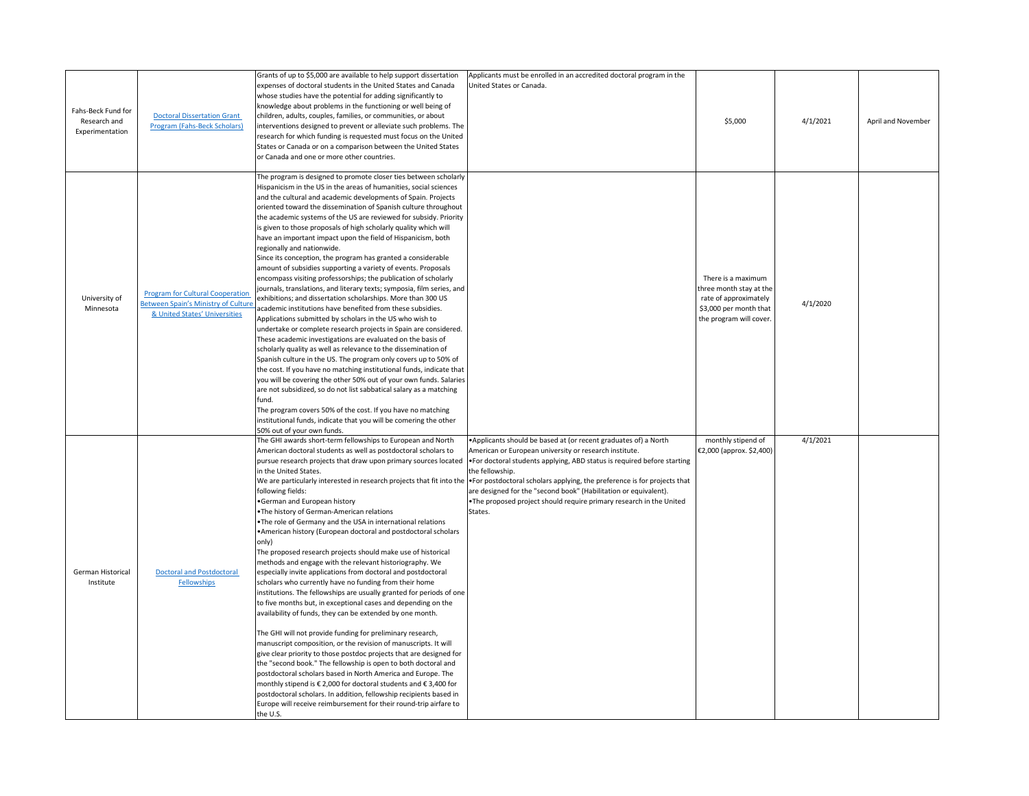| Fahs-Beck Fund for<br>Research and<br>Experimentation | <b>Doctoral Dissertation Grant</b><br><b>Program (Fahs-Beck Scholars)</b>                                              | Grants of up to \$5,000 are available to help support dissertation<br>expenses of doctoral students in the United States and Canada<br>whose studies have the potential for adding significantly to<br>knowledge about problems in the functioning or well being of<br>children, adults, couples, families, or communities, or about<br>interventions designed to prevent or alleviate such problems. The<br>research for which funding is requested must focus on the United<br>States or Canada or on a comparison between the United States<br>or Canada and one or more other countries.                                                                                                                                                                                                                                                                                                                                                                                                                                                                                                                                                                                                                                                                                                                                                                                                                                                                                                                                                                                                                                                                    | Applicants must be enrolled in an accredited doctoral program in the<br>United States or Canada.                                                                                                                                                                                                                                                                                                                                                                                                                                         | \$5,000                                                                                                                     | 4/1/2021 | April and November |
|-------------------------------------------------------|------------------------------------------------------------------------------------------------------------------------|-----------------------------------------------------------------------------------------------------------------------------------------------------------------------------------------------------------------------------------------------------------------------------------------------------------------------------------------------------------------------------------------------------------------------------------------------------------------------------------------------------------------------------------------------------------------------------------------------------------------------------------------------------------------------------------------------------------------------------------------------------------------------------------------------------------------------------------------------------------------------------------------------------------------------------------------------------------------------------------------------------------------------------------------------------------------------------------------------------------------------------------------------------------------------------------------------------------------------------------------------------------------------------------------------------------------------------------------------------------------------------------------------------------------------------------------------------------------------------------------------------------------------------------------------------------------------------------------------------------------------------------------------------------------|------------------------------------------------------------------------------------------------------------------------------------------------------------------------------------------------------------------------------------------------------------------------------------------------------------------------------------------------------------------------------------------------------------------------------------------------------------------------------------------------------------------------------------------|-----------------------------------------------------------------------------------------------------------------------------|----------|--------------------|
| University of<br>Minnesota                            | <b>Program for Cultural Cooperation</b><br><b>Between Spain's Ministry of Culture</b><br>& United States' Universities | The program is designed to promote closer ties between scholarly<br>Hispanicism in the US in the areas of humanities, social sciences<br>and the cultural and academic developments of Spain. Projects<br>oriented toward the dissemination of Spanish culture throughout<br>the academic systems of the US are reviewed for subsidy. Priority<br>is given to those proposals of high scholarly quality which will<br>have an important impact upon the field of Hispanicism, both<br>regionally and nationwide.<br>Since its conception, the program has granted a considerable<br>amount of subsidies supporting a variety of events. Proposals<br>encompass visiting professorships; the publication of scholarly<br>journals, translations, and literary texts; symposia, film series, and<br>exhibitions; and dissertation scholarships. More than 300 US<br>academic institutions have benefited from these subsidies.<br>Applications submitted by scholars in the US who wish to<br>undertake or complete research projects in Spain are considered.<br>These academic investigations are evaluated on the basis of<br>scholarly quality as well as relevance to the dissemination of<br>Spanish culture in the US. The program only covers up to 50% of<br>the cost. If you have no matching institutional funds, indicate that<br>you will be covering the other 50% out of your own funds. Salaries<br>are not subsidized, so do not list sabbatical salary as a matching<br>fund.<br>The program covers 50% of the cost. If you have no matching<br>institutional funds, indicate that you will be comering the other<br>50% out of your own funds. |                                                                                                                                                                                                                                                                                                                                                                                                                                                                                                                                          | There is a maximum<br>three month stay at the<br>rate of approximately<br>\$3,000 per month that<br>the program will cover. | 4/1/2020 |                    |
| German Historical<br>Institute                        | <b>Doctoral and Postdoctoral</b><br>Fellowships                                                                        | The GHI awards short-term fellowships to European and North<br>American doctoral students as well as postdoctoral scholars to<br>pursue research projects that draw upon primary sources located<br>in the United States.<br>following fields:<br>German and European history<br>•The history of German-American relations<br>•The role of Germany and the USA in international relations<br>American history (European doctoral and postdoctoral scholars<br>only)<br>The proposed research projects should make use of historical<br>methods and engage with the relevant historiography. We<br>especially invite applications from doctoral and postdoctoral<br>scholars who currently have no funding from their home<br>institutions. The fellowships are usually granted for periods of one<br>to five months but, in exceptional cases and depending on the<br>availability of funds, they can be extended by one month.<br>The GHI will not provide funding for preliminary research,<br>manuscript composition, or the revision of manuscripts. It will<br>give clear priority to those postdoc projects that are designed for<br>the "second book." The fellowship is open to both doctoral and<br>postdoctoral scholars based in North America and Europe. The<br>monthly stipend is $\epsilon$ 2,000 for doctoral students and $\epsilon$ 3,400 for<br>postdoctoral scholars. In addition, fellowship recipients based in<br>Europe will receive reimbursement for their round-trip airfare to<br>the U.S.                                                                                                                                          | • Applicants should be based at (or recent graduates of) a North<br>American or European university or research institute.<br><b>•</b> For doctoral students applying, ABD status is required before starting<br>the fellowship.<br>We are particularly interested in research projects that fit into the •For postdoctoral scholars applying, the preference is for projects that<br>are designed for the "second book" (Habilitation or equivalent).<br>•The proposed project should require primary research in the United<br>States. | monthly stipend of<br>$\in$ 2,000 (approx. \$2,400)                                                                         | 4/1/2021 |                    |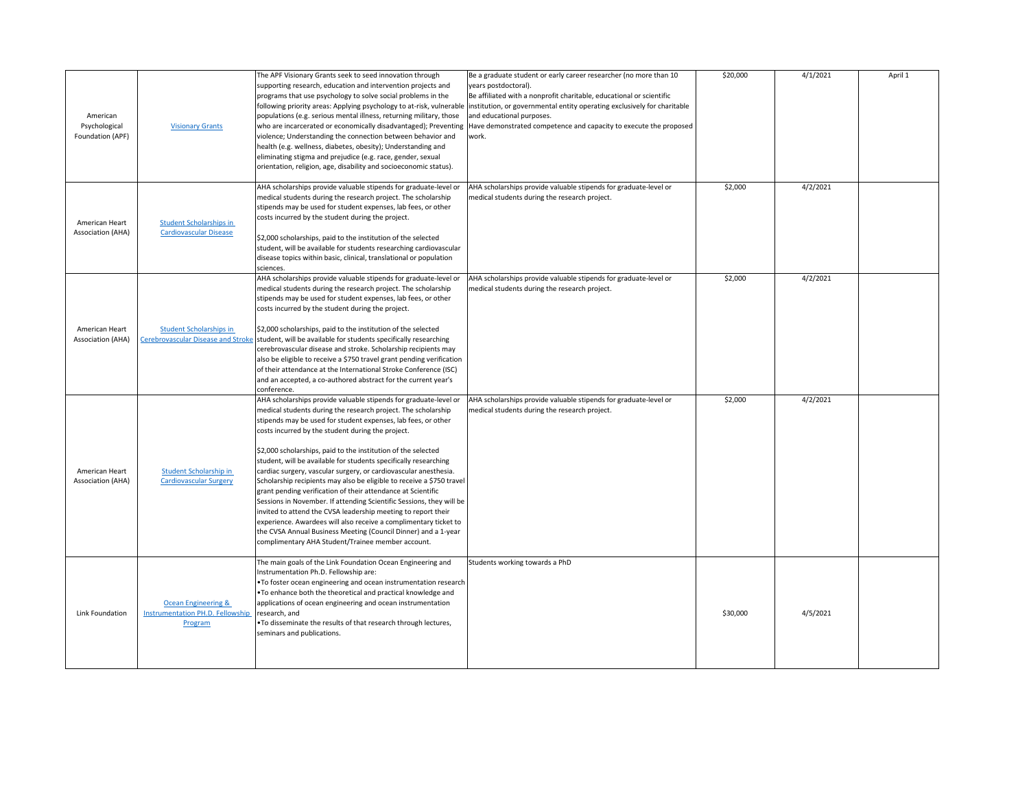| American<br>Psychological<br>Foundation (APF) | <b>Visionary Grants</b>                                                              | The APF Visionary Grants seek to seed innovation through<br>supporting research, education and intervention projects and<br>programs that use psychology to solve social problems in the<br>populations (e.g. serious mental illness, returning military, those<br>violence; Understanding the connection between behavior and<br>health (e.g. wellness, diabetes, obesity); Understanding and<br>eliminating stigma and prejudice (e.g. race, gender, sexual<br>orientation, religion, age, disability and socioeconomic status).                                                                                                                                                                                                                                                                                                                                                                                                            | Be a graduate student or early career researcher (no more than 10<br>years postdoctoral).<br>Be affiliated with a nonprofit charitable, educational or scientific<br>following priority areas: Applying psychology to at-risk, vulnerable linstitution, or governmental entity operating exclusively for charitable<br>and educational purposes.<br>who are incarcerated or economically disadvantaged); Preventing Have demonstrated competence and capacity to execute the proposed<br>work. | \$20,000 | 4/1/2021 | April 1 |
|-----------------------------------------------|--------------------------------------------------------------------------------------|-----------------------------------------------------------------------------------------------------------------------------------------------------------------------------------------------------------------------------------------------------------------------------------------------------------------------------------------------------------------------------------------------------------------------------------------------------------------------------------------------------------------------------------------------------------------------------------------------------------------------------------------------------------------------------------------------------------------------------------------------------------------------------------------------------------------------------------------------------------------------------------------------------------------------------------------------|------------------------------------------------------------------------------------------------------------------------------------------------------------------------------------------------------------------------------------------------------------------------------------------------------------------------------------------------------------------------------------------------------------------------------------------------------------------------------------------------|----------|----------|---------|
| American Heart<br><b>Association (AHA)</b>    | <b>Student Scholarships in</b><br><b>Cardiovascular Disease</b>                      | AHA scholarships provide valuable stipends for graduate-level or<br>medical students during the research project. The scholarship<br>stipends may be used for student expenses, lab fees, or other<br>costs incurred by the student during the project.<br>$\frac{1}{2}$ ,000 scholarships, paid to the institution of the selected<br>student, will be available for students researching cardiovascular<br>disease topics within basic, clinical, translational or population<br>sciences.                                                                                                                                                                                                                                                                                                                                                                                                                                                  | AHA scholarships provide valuable stipends for graduate-level or<br>medical students during the research project.                                                                                                                                                                                                                                                                                                                                                                              | \$2,000  | 4/2/2021 |         |
| American Heart<br><b>Association (AHA)</b>    | <b>Student Scholarships in</b><br>Cerebrovascular Disease and Stroke                 | AHA scholarships provide valuable stipends for graduate-level or<br>medical students during the research project. The scholarship<br>stipends may be used for student expenses, lab fees, or other<br>costs incurred by the student during the project.<br>$\frac{1}{2}$ ,000 scholarships, paid to the institution of the selected<br>student, will be available for students specifically researching<br>cerebrovascular disease and stroke. Scholarship recipients may<br>also be eligible to receive a \$750 travel grant pending verification<br>of their attendance at the International Stroke Conference (ISC)<br>and an accepted, a co-authored abstract for the current year's<br>conference.                                                                                                                                                                                                                                       | AHA scholarships provide valuable stipends for graduate-level or<br>medical students during the research project.                                                                                                                                                                                                                                                                                                                                                                              | \$2,000  | 4/2/2021 |         |
| American Heart<br><b>Association (AHA)</b>    | Student Scholarship in<br><b>Cardiovascular Surgery</b>                              | AHA scholarships provide valuable stipends for graduate-level or<br>medical students during the research project. The scholarship<br>stipends may be used for student expenses, lab fees, or other<br>costs incurred by the student during the project.<br>\$2,000 scholarships, paid to the institution of the selected<br>student, will be available for students specifically researching<br>cardiac surgery, vascular surgery, or cardiovascular anesthesia.<br>Scholarship recipients may also be eligible to receive a \$750 travel<br>grant pending verification of their attendance at Scientific<br>Sessions in November. If attending Scientific Sessions, they will be<br>invited to attend the CVSA leadership meeting to report their<br>experience. Awardees will also receive a complimentary ticket to<br>the CVSA Annual Business Meeting (Council Dinner) and a 1-year<br>complimentary AHA Student/Trainee member account. | AHA scholarships provide valuable stipends for graduate-level or<br>medical students during the research project.                                                                                                                                                                                                                                                                                                                                                                              | \$2,000  | 4/2/2021 |         |
| Link Foundation                               | <b>Ocean Engineering &amp;</b><br><b>Instrumentation PH.D. Fellowship</b><br>Program | The main goals of the Link Foundation Ocean Engineering and<br>Instrumentation Ph.D. Fellowship are:<br>•To foster ocean engineering and ocean instrumentation research<br><b>•To enhance both the theoretical and practical knowledge and</b><br>applications of ocean engineering and ocean instrumentation<br>research, and<br>•To disseminate the results of that research through lectures,<br>seminars and publications.                                                                                                                                                                                                                                                                                                                                                                                                                                                                                                                | Students working towards a PhD                                                                                                                                                                                                                                                                                                                                                                                                                                                                 | \$30,000 | 4/5/2021 |         |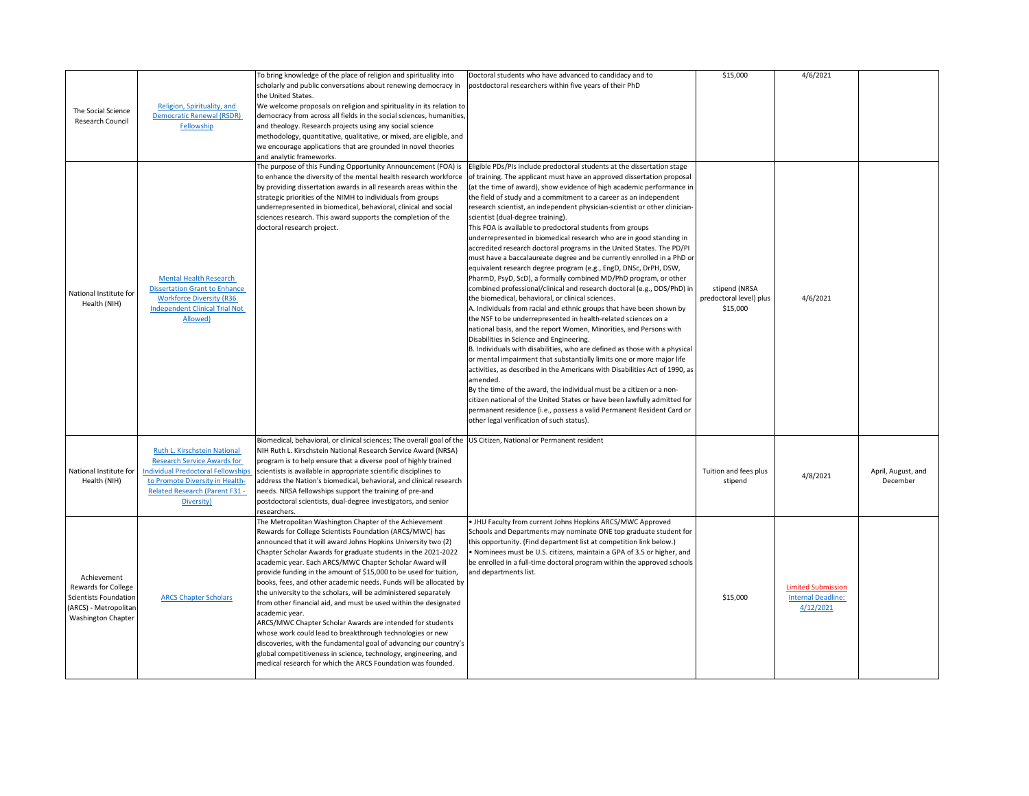| The Social Science<br>Research Council                                                                                   | Religion, Spirituality, and<br><b>Democratic Renewal (RSDR)</b><br>Fellowship                                                                                                                             | To bring knowledge of the place of religion and spirituality into<br>scholarly and public conversations about renewing democracy in<br>the United States.<br>We welcome proposals on religion and spirituality in its relation to<br>democracy from across all fields in the social sciences, humanities,<br>and theology. Research projects using any social science<br>methodology, quantitative, qualitative, or mixed, are eligible, and<br>we encourage applications that are grounded in novel theories<br>and analytic frameworks.                                                                                                                                                                                                                                                                                                                                                                                                           | Doctoral students who have advanced to candidacy and to<br>postdoctoral researchers within five years of their PhD                                                                                                                                                                                                                                                                                                                                                                                                                                                                                                                                                                                                                                                                                                                                                                                                                                                                                                                                                                                                                                                                                                                                                                                                                                                                                                                                                                                                                                                                                                                                                                                                                                                          | \$15,000                                             | 4/6/2021                                                            |                                |
|--------------------------------------------------------------------------------------------------------------------------|-----------------------------------------------------------------------------------------------------------------------------------------------------------------------------------------------------------|-----------------------------------------------------------------------------------------------------------------------------------------------------------------------------------------------------------------------------------------------------------------------------------------------------------------------------------------------------------------------------------------------------------------------------------------------------------------------------------------------------------------------------------------------------------------------------------------------------------------------------------------------------------------------------------------------------------------------------------------------------------------------------------------------------------------------------------------------------------------------------------------------------------------------------------------------------|-----------------------------------------------------------------------------------------------------------------------------------------------------------------------------------------------------------------------------------------------------------------------------------------------------------------------------------------------------------------------------------------------------------------------------------------------------------------------------------------------------------------------------------------------------------------------------------------------------------------------------------------------------------------------------------------------------------------------------------------------------------------------------------------------------------------------------------------------------------------------------------------------------------------------------------------------------------------------------------------------------------------------------------------------------------------------------------------------------------------------------------------------------------------------------------------------------------------------------------------------------------------------------------------------------------------------------------------------------------------------------------------------------------------------------------------------------------------------------------------------------------------------------------------------------------------------------------------------------------------------------------------------------------------------------------------------------------------------------------------------------------------------------|------------------------------------------------------|---------------------------------------------------------------------|--------------------------------|
| National Institute for<br>Health (NIH)                                                                                   | <b>Mental Health Research</b><br><b>Dissertation Grant to Enhance</b><br><b>Workforce Diversity (R36</b><br><b>Independent Clinical Trial Not</b><br>Allowed)                                             | The purpose of this Funding Opportunity Announcement (FOA) is<br>to enhance the diversity of the mental health research workforce<br>by providing dissertation awards in all research areas within the<br>strategic priorities of the NIMH to individuals from groups<br>underrepresented in biomedical, behavioral, clinical and social<br>sciences research. This award supports the completion of the<br>doctoral research project.                                                                                                                                                                                                                                                                                                                                                                                                                                                                                                              | Eligible PDs/PIs include predoctoral students at the dissertation stage<br>of training. The applicant must have an approved dissertation proposal<br>(at the time of award), show evidence of high academic performance in  <br>the field of study and a commitment to a career as an independent<br>research scientist, an independent physician-scientist or other clinician-<br>scientist (dual-degree training).<br>This FOA is available to predoctoral students from groups<br>underrepresented in biomedical research who are in good standing in<br>accredited research doctoral programs in the United States. The PD/PI<br>must have a baccalaureate degree and be currently enrolled in a PhD or<br>equivalent research degree program (e.g., EngD, DNSc, DrPH, DSW,<br>PharmD, PsyD, ScD), a formally combined MD/PhD program, or other<br>combined professional/clinical and research doctoral (e.g., DDS/PhD) in<br>the biomedical, behavioral, or clinical sciences.<br>A. Individuals from racial and ethnic groups that have been shown by<br>the NSF to be underrepresented in health-related sciences on a<br>national basis, and the report Women, Minorities, and Persons with<br>Disabilities in Science and Engineering.<br>B. Individuals with disabilities, who are defined as those with a physical<br>or mental impairment that substantially limits one or more major life<br>activities, as described in the Americans with Disabilities Act of 1990, as<br>amended.<br>By the time of the award, the individual must be a citizen or a non-<br>citizen national of the United States or have been lawfully admitted for<br>permanent residence (i.e., possess a valid Permanent Resident Card or<br>other legal verification of such status). | stipend (NRSA<br>predoctoral level) plus<br>\$15,000 | 4/6/2021                                                            |                                |
| National Institute for<br>Health (NIH)                                                                                   | Ruth L. Kirschstein National<br><b>Research Service Awards for</b><br><b>Individual Predoctoral Fellowships</b><br>to Promote Diversity in Health-<br><b>Related Research (Parent F31 -</b><br>Diversity) | Biomedical, behavioral, or clinical sciences; The overall goal of the<br>NIH Ruth L. Kirschstein National Research Service Award (NRSA)<br>program is to help ensure that a diverse pool of highly trained<br>scientists is available in appropriate scientific disciplines to<br>address the Nation's biomedical, behavioral, and clinical research<br>needs. NRSA fellowships support the training of pre-and<br>postdoctoral scientists, dual-degree investigators, and senior<br>researchers.                                                                                                                                                                                                                                                                                                                                                                                                                                                   | US Citizen, National or Permanent resident                                                                                                                                                                                                                                                                                                                                                                                                                                                                                                                                                                                                                                                                                                                                                                                                                                                                                                                                                                                                                                                                                                                                                                                                                                                                                                                                                                                                                                                                                                                                                                                                                                                                                                                                  | Tuition and fees plus<br>stipend                     | 4/8/2021                                                            | April, August, and<br>December |
| Achievement<br><b>Rewards for College</b><br>Scientists Foundation<br>(ARCS) - Metropolitan<br><b>Washington Chapter</b> | <b>ARCS Chapter Scholars</b>                                                                                                                                                                              | The Metropolitan Washington Chapter of the Achievement<br>Rewards for College Scientists Foundation (ARCS/MWC) has<br>announced that it will award Johns Hopkins University two (2)<br>Chapter Scholar Awards for graduate students in the 2021-2022<br>academic year. Each ARCS/MWC Chapter Scholar Award will<br>provide funding in the amount of \$15,000 to be used for tuition,<br>books, fees, and other academic needs. Funds will be allocated by<br>the university to the scholars, will be administered separately<br>from other financial aid, and must be used within the designated<br>academic year.<br>ARCS/MWC Chapter Scholar Awards are intended for students<br>whose work could lead to breakthrough technologies or new<br>discoveries, with the fundamental goal of advancing our country's<br>global competitiveness in science, technology, engineering, and<br>medical research for which the ARCS Foundation was founded. | • JHU Faculty from current Johns Hopkins ARCS/MWC Approved<br>Schools and Departments may nominate ONE top graduate student for<br>this opportunity. (Find department list at competition link below.)<br>. Nominees must be U.S. citizens, maintain a GPA of 3.5 or higher, and<br>be enrolled in a full-time doctoral program within the approved schools<br>and departments list.                                                                                                                                                                                                                                                                                                                                                                                                                                                                                                                                                                                                                                                                                                                                                                                                                                                                                                                                                                                                                                                                                                                                                                                                                                                                                                                                                                                        | \$15,000                                             | <b>Limited Submission</b><br><b>Internal Deadline:</b><br>4/12/2021 |                                |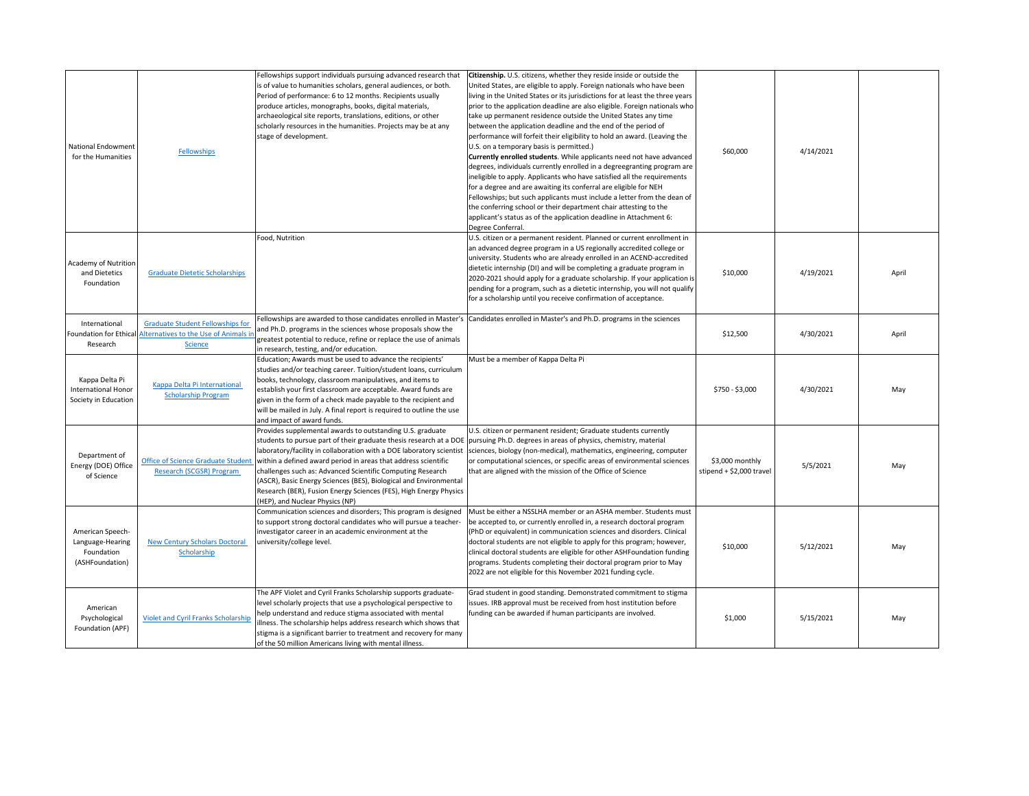| National Endowment<br>for the Humanities                              | <b>Fellowships</b>                                                                                                        | Fellowships support individuals pursuing advanced research that<br>is of value to humanities scholars, general audiences, or both.<br>Period of performance: 6 to 12 months. Recipients usually<br>produce articles, monographs, books, digital materials,<br>archaeological site reports, translations, editions, or other<br>scholarly resources in the humanities. Projects may be at any<br>stage of development.                                                                                                                                                                | Citizenship. U.S. citizens, whether they reside inside or outside the<br>United States, are eligible to apply. Foreign nationals who have been<br>living in the United States or its jurisdictions for at least the three years<br>prior to the application deadline are also eligible. Foreign nationals who<br>take up permanent residence outside the United States any time<br>between the application deadline and the end of the period of<br>performance will forfeit their eligibility to hold an award. (Leaving the<br>U.S. on a temporary basis is permitted.)<br>Currently enrolled students. While applicants need not have advanced<br>degrees, individuals currently enrolled in a degreegranting program are<br>ineligible to apply. Applicants who have satisfied all the requirements<br>for a degree and are awaiting its conferral are eligible for NEH<br>Fellowships; but such applicants must include a letter from the dean of<br>the conferring school or their department chair attesting to the<br>applicant's status as of the application deadline in Attachment 6:<br>Degree Conferral. | \$60,000                                     | 4/14/2021 |       |
|-----------------------------------------------------------------------|---------------------------------------------------------------------------------------------------------------------------|--------------------------------------------------------------------------------------------------------------------------------------------------------------------------------------------------------------------------------------------------------------------------------------------------------------------------------------------------------------------------------------------------------------------------------------------------------------------------------------------------------------------------------------------------------------------------------------|-----------------------------------------------------------------------------------------------------------------------------------------------------------------------------------------------------------------------------------------------------------------------------------------------------------------------------------------------------------------------------------------------------------------------------------------------------------------------------------------------------------------------------------------------------------------------------------------------------------------------------------------------------------------------------------------------------------------------------------------------------------------------------------------------------------------------------------------------------------------------------------------------------------------------------------------------------------------------------------------------------------------------------------------------------------------------------------------------------------------------|----------------------------------------------|-----------|-------|
| Academy of Nutrition<br>and Dietetics<br>Foundation                   | <b>Graduate Dietetic Scholarships</b>                                                                                     | Food, Nutrition                                                                                                                                                                                                                                                                                                                                                                                                                                                                                                                                                                      | U.S. citizen or a permanent resident. Planned or current enrollment in<br>an advanced degree program in a US regionally accredited college or<br>university. Students who are already enrolled in an ACEND-accredited<br>dietetic internship (DI) and will be completing a graduate program in<br>2020-2021 should apply for a graduate scholarship. If your application is<br>pending for a program, such as a dietetic internship, you will not qualify<br>for a scholarship until you receive confirmation of acceptance.                                                                                                                                                                                                                                                                                                                                                                                                                                                                                                                                                                                          | \$10,000                                     | 4/19/2021 | April |
| International<br>Research                                             | <b>Graduate Student Fellowships for</b><br>Foundation for Ethical Alternatives to the Use of Animals in<br><b>Science</b> | and Ph.D. programs in the sciences whose proposals show the<br>greatest potential to reduce, refine or replace the use of animals<br>in research, testing, and/or education.                                                                                                                                                                                                                                                                                                                                                                                                         | Fellowships are awarded to those candidates enrolled in Master's Candidates enrolled in Master's and Ph.D. programs in the sciences                                                                                                                                                                                                                                                                                                                                                                                                                                                                                                                                                                                                                                                                                                                                                                                                                                                                                                                                                                                   | \$12,500                                     | 4/30/2021 | April |
| Kappa Delta Pi<br><b>International Honor</b><br>Society in Education  | Kappa Delta Pi International<br><b>Scholarship Program</b>                                                                | Education; Awards must be used to advance the recipients'<br>studies and/or teaching career. Tuition/student loans, curriculum<br>books, technology, classroom manipulatives, and items to<br>establish your first classroom are acceptable. Award funds are<br>given in the form of a check made payable to the recipient and<br>will be mailed in July. A final report is required to outline the use<br>and impact of award funds.                                                                                                                                                | Must be a member of Kappa Delta Pi                                                                                                                                                                                                                                                                                                                                                                                                                                                                                                                                                                                                                                                                                                                                                                                                                                                                                                                                                                                                                                                                                    | \$750 - \$3,000                              | 4/30/2021 | May   |
| Department of<br>Energy (DOE) Office<br>of Science                    | <b>Office of Science Graduate Student</b><br><b>Research (SCGSR) Program</b>                                              | Provides supplemental awards to outstanding U.S. graduate<br>students to pursue part of their graduate thesis research at a DOE pursuing Ph.D. degrees in areas of physics, chemistry, material<br>laboratory/facility in collaboration with a DOE laboratory scientist<br>within a defined award period in areas that address scientific<br>challenges such as: Advanced Scientific Computing Research<br>(ASCR), Basic Energy Sciences (BES), Biological and Environmental<br>Research (BER), Fusion Energy Sciences (FES), High Energy Physics<br>(HEP), and Nuclear Physics (NP) | U.S. citizen or permanent resident; Graduate students currently<br>sciences, biology (non-medical), mathematics, engineering, computer<br>or computational sciences, or specific areas of environmental sciences<br>that are aligned with the mission of the Office of Science                                                                                                                                                                                                                                                                                                                                                                                                                                                                                                                                                                                                                                                                                                                                                                                                                                        | \$3,000 monthly<br>stipend + $$2,000$ travel | 5/5/2021  | May   |
| American Speech-<br>Language-Hearing<br>Foundation<br>(ASHFoundation) | <b>New Century Scholars Doctoral</b><br>Scholarship                                                                       | Communication sciences and disorders; This program is designed<br>to support strong doctoral candidates who will pursue a teacher-<br>investigator career in an academic environment at the<br>university/college level.                                                                                                                                                                                                                                                                                                                                                             | Must be either a NSSLHA member or an ASHA member. Students must<br>be accepted to, or currently enrolled in, a research doctoral program<br>(PhD or equivalent) in communication sciences and disorders. Clinical<br>doctoral students are not eligible to apply for this program; however,<br>clinical doctoral students are eligible for other ASHFoundation funding<br>programs. Students completing their doctoral program prior to May<br>2022 are not eligible for this November 2021 funding cycle.                                                                                                                                                                                                                                                                                                                                                                                                                                                                                                                                                                                                            | \$10,000                                     | 5/12/2021 | May   |
| American<br>Psychological<br>Foundation (APF)                         | <b>Violet and Cyril Franks Scholarship</b>                                                                                | The APF Violet and Cyril Franks Scholarship supports graduate-<br>level scholarly projects that use a psychological perspective to<br>help understand and reduce stigma associated with mental<br>illness. The scholarship helps address research which shows that<br>stigma is a significant barrier to treatment and recovery for many<br>of the 50 million Americans living with mental illness.                                                                                                                                                                                  | Grad student in good standing. Demonstrated commitment to stigma<br>issues. IRB approval must be received from host institution before<br>funding can be awarded if human participants are involved.                                                                                                                                                                                                                                                                                                                                                                                                                                                                                                                                                                                                                                                                                                                                                                                                                                                                                                                  | \$1,000                                      | 5/15/2021 | May   |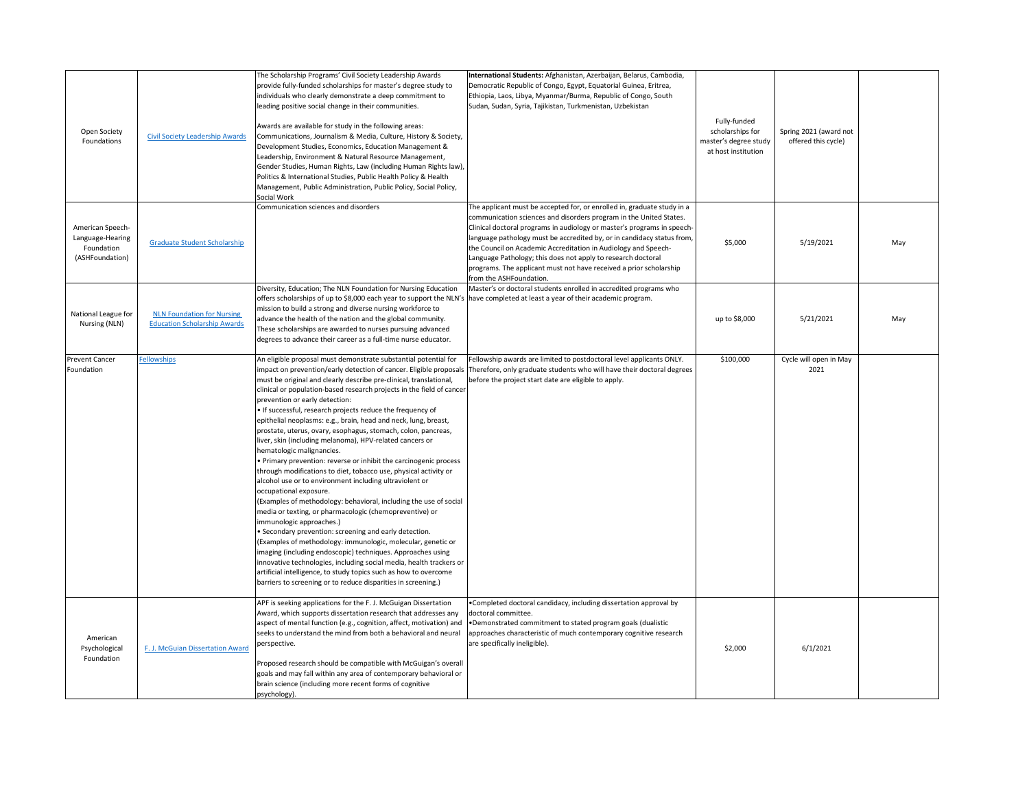| Open Society<br>Foundations                                           | <b>Civil Society Leadership Awards</b>                                   | The Scholarship Programs' Civil Society Leadership Awards<br>provide fully-funded scholarships for master's degree study to<br>individuals who clearly demonstrate a deep commitment to<br>leading positive social change in their communities.<br>Awards are available for study in the following areas:<br>Communications, Journalism & Media, Culture, History & Society,<br>Development Studies, Economics, Education Management &<br>Leadership, Environment & Natural Resource Management,<br>Gender Studies, Human Rights, Law (including Human Rights law),<br>Politics & International Studies, Public Health Policy & Health<br>Management, Public Administration, Public Policy, Social Policy,<br>Social Work                                                                                                                                                                                                                                                                                                                                                                                                                                                                                                                                                                                                                                                                                        | International Students: Afghanistan, Azerbaijan, Belarus, Cambodia,<br>Democratic Republic of Congo, Egypt, Equatorial Guinea, Eritrea,<br>Ethiopia, Laos, Libya, Myanmar/Burma, Republic of Congo, South<br>Sudan, Sudan, Syria, Tajikistan, Turkmenistan, Uzbekistan                                                                                                                                                                                                                                                                | Fully-funded<br>scholarships for<br>master's degree study<br>at host institution | Spring 2021 (award not<br>offered this cycle) |     |
|-----------------------------------------------------------------------|--------------------------------------------------------------------------|------------------------------------------------------------------------------------------------------------------------------------------------------------------------------------------------------------------------------------------------------------------------------------------------------------------------------------------------------------------------------------------------------------------------------------------------------------------------------------------------------------------------------------------------------------------------------------------------------------------------------------------------------------------------------------------------------------------------------------------------------------------------------------------------------------------------------------------------------------------------------------------------------------------------------------------------------------------------------------------------------------------------------------------------------------------------------------------------------------------------------------------------------------------------------------------------------------------------------------------------------------------------------------------------------------------------------------------------------------------------------------------------------------------|---------------------------------------------------------------------------------------------------------------------------------------------------------------------------------------------------------------------------------------------------------------------------------------------------------------------------------------------------------------------------------------------------------------------------------------------------------------------------------------------------------------------------------------|----------------------------------------------------------------------------------|-----------------------------------------------|-----|
| American Speech-<br>Language-Hearing<br>Foundation<br>(ASHFoundation) | <b>Graduate Student Scholarship</b>                                      | Communication sciences and disorders                                                                                                                                                                                                                                                                                                                                                                                                                                                                                                                                                                                                                                                                                                                                                                                                                                                                                                                                                                                                                                                                                                                                                                                                                                                                                                                                                                             | The applicant must be accepted for, or enrolled in, graduate study in a<br>communication sciences and disorders program in the United States.<br>Clinical doctoral programs in audiology or master's programs in speech-<br>language pathology must be accredited by, or in candidacy status from,<br>the Council on Academic Accreditation in Audiology and Speech-<br>Language Pathology; this does not apply to research doctoral<br>programs. The applicant must not have received a prior scholarship<br>from the ASHFoundation. | \$5,000                                                                          | 5/19/2021                                     | May |
| National League for<br>Nursing (NLN)                                  | <b>NLN Foundation for Nursing</b><br><b>Education Scholarship Awards</b> | Diversity, Education; The NLN Foundation for Nursing Education<br>offers scholarships of up to \$8,000 each year to support the NLN's<br>mission to build a strong and diverse nursing workforce to<br>advance the health of the nation and the global community.<br>These scholarships are awarded to nurses pursuing advanced<br>degrees to advance their career as a full-time nurse educator.                                                                                                                                                                                                                                                                                                                                                                                                                                                                                                                                                                                                                                                                                                                                                                                                                                                                                                                                                                                                                | Master's or doctoral students enrolled in accredited programs who<br>have completed at least a year of their academic program.                                                                                                                                                                                                                                                                                                                                                                                                        | up to \$8,000                                                                    | 5/21/2021                                     | May |
| <b>Prevent Cancer</b><br>Foundation                                   | <b>Fellowships</b>                                                       | An eligible proposal must demonstrate substantial potential for<br>impact on prevention/early detection of cancer. Eligible proposals<br>must be original and clearly describe pre-clinical, translational,<br>clinical or population-based research projects in the field of cancer<br>prevention or early detection:<br>. If successful, research projects reduce the frequency of<br>epithelial neoplasms: e.g., brain, head and neck, lung, breast,<br>prostate, uterus, ovary, esophagus, stomach, colon, pancreas,<br>liver, skin (including melanoma), HPV-related cancers or<br>hematologic malignancies.<br>• Primary prevention: reverse or inhibit the carcinogenic process<br>through modifications to diet, tobacco use, physical activity or<br>alcohol use or to environment including ultraviolent or<br>occupational exposure.<br>(Examples of methodology: behavioral, including the use of social<br>media or texting, or pharmacologic (chemopreventive) or<br>immunologic approaches.)<br>• Secondary prevention: screening and early detection.<br>(Examples of methodology: immunologic, molecular, genetic or<br>imaging (including endoscopic) techniques. Approaches using<br>innovative technologies, including social media, health trackers or<br>artificial intelligence, to study topics such as how to overcome<br>barriers to screening or to reduce disparities in screening.) | Fellowship awards are limited to postdoctoral level applicants ONLY.<br>Therefore, only graduate students who will have their doctoral degrees<br>before the project start date are eligible to apply.                                                                                                                                                                                                                                                                                                                                | \$100,000                                                                        | Cycle will open in May<br>2021                |     |
| American<br>Psychological<br>Foundation                               | F. J. McGuian Dissertation Award                                         | APF is seeking applications for the F. J. McGuigan Dissertation<br>Award, which supports dissertation research that addresses any<br>aspect of mental function (e.g., cognition, affect, motivation) and<br>seeks to understand the mind from both a behavioral and neural<br>perspective.<br>Proposed research should be compatible with McGuigan's overall<br>goals and may fall within any area of contemporary behavioral or<br>brain science (including more recent forms of cognitive<br>psychology).                                                                                                                                                                                                                                                                                                                                                                                                                                                                                                                                                                                                                                                                                                                                                                                                                                                                                                      | •Completed doctoral candidacy, including dissertation approval by<br>doctoral committee.<br>•Demonstrated commitment to stated program goals (dualistic<br>approaches characteristic of much contemporary cognitive research<br>are specifically ineligible).                                                                                                                                                                                                                                                                         | \$2,000                                                                          | 6/1/2021                                      |     |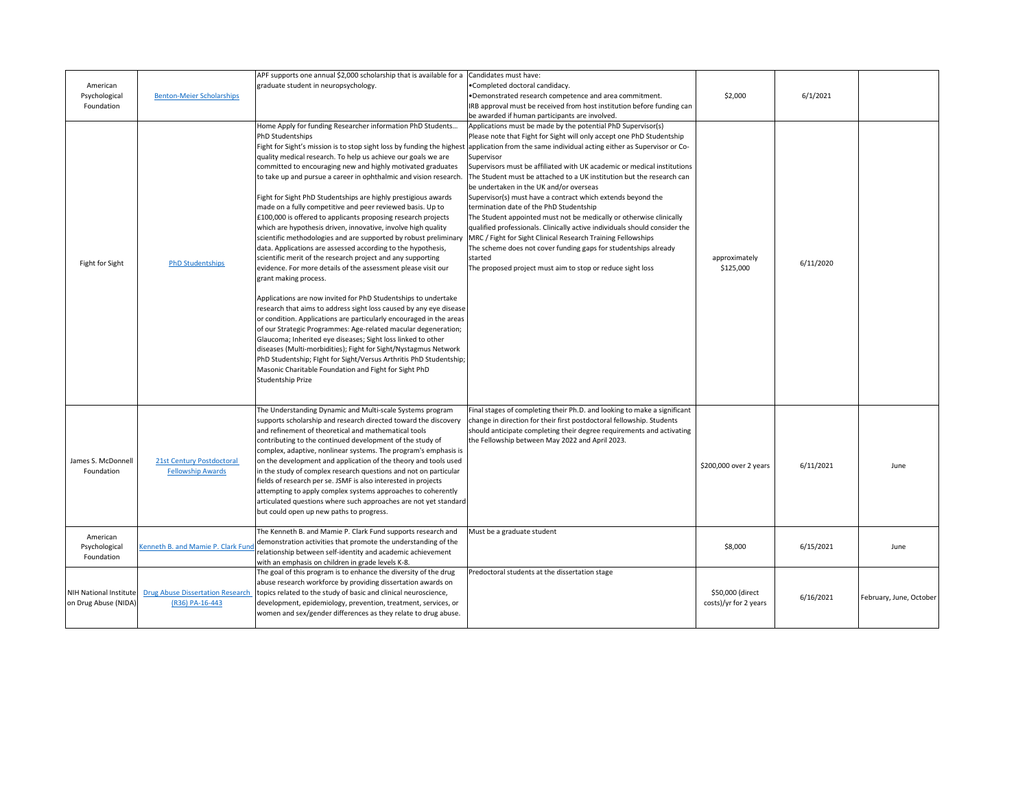| American<br>Psychological<br>Foundation               | <b>Benton-Meier Scholarships</b>                           | APF supports one annual \$2,000 scholarship that is available for a<br>graduate student in neuropsychology.                                                                                                                                                                                                                                                                                                                                                                                                                                                                                                                                                                                                                                                                                                                                                                                                                                                                                                                                                                                                                                                                                                                                                                                                                                                                                                               | Candidates must have:<br>•Completed doctoral candidacy.<br>•Demonstrated research competence and area commitment.<br>IRB approval must be received from host institution before funding can<br>be awarded if human participants are involved.                                                                                                                                                                                                                                                                                                                                                                                                                                                                                                                                                                                                                                                                                                                                   | \$2,000                                   | 6/1/2021  |                         |
|-------------------------------------------------------|------------------------------------------------------------|---------------------------------------------------------------------------------------------------------------------------------------------------------------------------------------------------------------------------------------------------------------------------------------------------------------------------------------------------------------------------------------------------------------------------------------------------------------------------------------------------------------------------------------------------------------------------------------------------------------------------------------------------------------------------------------------------------------------------------------------------------------------------------------------------------------------------------------------------------------------------------------------------------------------------------------------------------------------------------------------------------------------------------------------------------------------------------------------------------------------------------------------------------------------------------------------------------------------------------------------------------------------------------------------------------------------------------------------------------------------------------------------------------------------------|---------------------------------------------------------------------------------------------------------------------------------------------------------------------------------------------------------------------------------------------------------------------------------------------------------------------------------------------------------------------------------------------------------------------------------------------------------------------------------------------------------------------------------------------------------------------------------------------------------------------------------------------------------------------------------------------------------------------------------------------------------------------------------------------------------------------------------------------------------------------------------------------------------------------------------------------------------------------------------|-------------------------------------------|-----------|-------------------------|
| Fight for Sight                                       | <b>PhD Studentships</b>                                    | Home Apply for funding Researcher information PhD Students<br>PhD Studentships<br>quality medical research. To help us achieve our goals we are<br>committed to encouraging new and highly motivated graduates<br>to take up and pursue a career in ophthalmic and vision research<br>Fight for Sight PhD Studentships are highly prestigious awards<br>made on a fully competitive and peer reviewed basis. Up to<br>£100,000 is offered to applicants proposing research projects<br>which are hypothesis driven, innovative, involve high quality<br>scientific methodologies and are supported by robust preliminary<br>data. Applications are assessed according to the hypothesis,<br>scientific merit of the research project and any supporting<br>evidence. For more details of the assessment please visit our<br>grant making process.<br>Applications are now invited for PhD Studentships to undertake<br>research that aims to address sight loss caused by any eye disease<br>or condition. Applications are particularly encouraged in the areas<br>of our Strategic Programmes: Age-related macular degeneration;<br>Glaucoma; Inherited eye diseases; Sight loss linked to other<br>diseases (Multi-morbidities); Fight for Sight/Nystagmus Network<br>PhD Studentship; Fight for Sight/Versus Arthritis PhD Studentship;<br>Masonic Charitable Foundation and Fight for Sight PhD<br>Studentship Prize | Applications must be made by the potential PhD Supervisor(s)<br>Please note that Fight for Sight will only accept one PhD Studentship<br>Fight for Sight's mission is to stop sight loss by funding the highest application from the same individual acting either as Supervisor or Co-<br>Supervisor<br>Supervisors must be affiliated with UK academic or medical institutions<br>The Student must be attached to a UK institution but the research can<br>be undertaken in the UK and/or overseas<br>Supervisor(s) must have a contract which extends beyond the<br>termination date of the PhD Studentship<br>The Student appointed must not be medically or otherwise clinically<br>qualified professionals. Clinically active individuals should consider the<br>MRC / Fight for Sight Clinical Research Training Fellowships<br>The scheme does not cover funding gaps for studentships already<br>started<br>The proposed project must aim to stop or reduce sight loss | approximately<br>\$125,000                | 6/11/2020 |                         |
| James S. McDonnell<br>Foundation                      | 21st Century Postdoctoral<br><b>Fellowship Awards</b>      | The Understanding Dynamic and Multi-scale Systems program<br>supports scholarship and research directed toward the discovery<br>and refinement of theoretical and mathematical tools<br>contributing to the continued development of the study of<br>complex, adaptive, nonlinear systems. The program's emphasis is<br>on the development and application of the theory and tools used<br>in the study of complex research questions and not on particular<br>fields of research per se. JSMF is also interested in projects<br>attempting to apply complex systems approaches to coherently<br>articulated questions where such approaches are not yet standard<br>but could open up new paths to progress.                                                                                                                                                                                                                                                                                                                                                                                                                                                                                                                                                                                                                                                                                                             | Final stages of completing their Ph.D. and looking to make a significant<br>change in direction for their first postdoctoral fellowship. Students<br>should anticipate completing their degree requirements and activating<br>the Fellowship between May 2022 and April 2023.                                                                                                                                                                                                                                                                                                                                                                                                                                                                                                                                                                                                                                                                                                   | \$200,000 over 2 years                    | 6/11/2021 | June                    |
| American<br>Psychological<br>Foundation               | Kenneth B. and Mamie P. Clark Fund                         | The Kenneth B. and Mamie P. Clark Fund supports research and<br>demonstration activities that promote the understanding of the<br>relationship between self-identity and academic achievement<br>with an emphasis on children in grade levels K-8.                                                                                                                                                                                                                                                                                                                                                                                                                                                                                                                                                                                                                                                                                                                                                                                                                                                                                                                                                                                                                                                                                                                                                                        | Must be a graduate student                                                                                                                                                                                                                                                                                                                                                                                                                                                                                                                                                                                                                                                                                                                                                                                                                                                                                                                                                      | \$8,000                                   | 6/15/2021 | June                    |
| <b>NIH National Institute</b><br>on Drug Abuse (NIDA) | <b>Drug Abuse Dissertation Research</b><br>(R36) PA-16-443 | The goal of this program is to enhance the diversity of the drug<br>abuse research workforce by providing dissertation awards on<br>topics related to the study of basic and clinical neuroscience,<br>development, epidemiology, prevention, treatment, services, or<br>women and sex/gender differences as they relate to drug abuse.                                                                                                                                                                                                                                                                                                                                                                                                                                                                                                                                                                                                                                                                                                                                                                                                                                                                                                                                                                                                                                                                                   | Predoctoral students at the dissertation stage                                                                                                                                                                                                                                                                                                                                                                                                                                                                                                                                                                                                                                                                                                                                                                                                                                                                                                                                  | \$50,000 (direct<br>costs)/yr for 2 years | 6/16/2021 | February, June, October |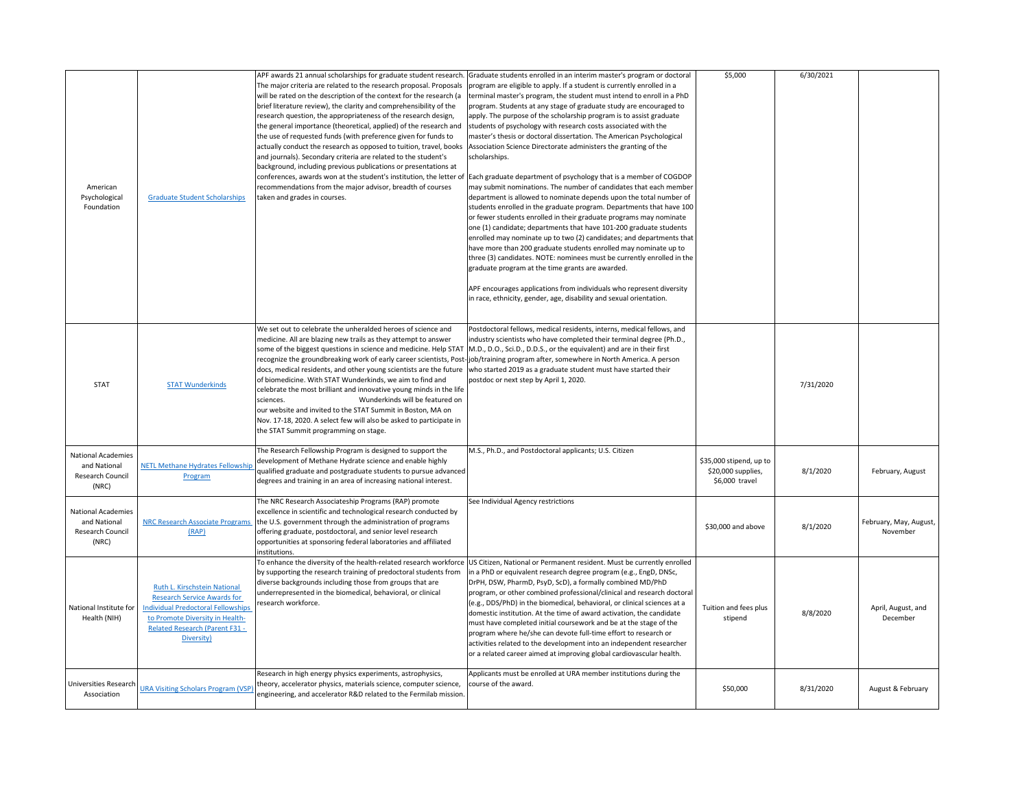| American<br>Psychological<br>Foundation                                | <b>Graduate Student Scholarships</b>                                                                                                                                                                      | APF awards 21 annual scholarships for graduate student research.<br>will be rated on the description of the context for the research (a<br>brief literature review), the clarity and comprehensibility of the<br>research question, the appropriateness of the research design,<br>the general importance (theoretical, applied) of the research and<br>the use of requested funds (with preference given for funds to<br>actually conduct the research as opposed to tuition, travel, books  Association Science Directorate administers the granting of the<br>and journals). Secondary criteria are related to the student's<br>background, including previous publications or presentations at<br>recommendations from the major advisor, breadth of courses<br>taken and grades in courses. | . Graduate students enrolled in an interim master's program or doctoral<br>The major criteria are related to the research proposal. Proposals  program are eligible to apply. If a student is currently enrolled in a<br>terminal master's program, the student must intend to enroll in a PhD<br>program. Students at any stage of graduate study are encouraged to<br>apply. The purpose of the scholarship program is to assist graduate<br>students of psychology with research costs associated with the<br>master's thesis or doctoral dissertation. The American Psychological<br>scholarships.<br>conferences, awards won at the student's institution, the letter of Each graduate department of psychology that is a member of COGDOP<br>may submit nominations. The number of candidates that each member<br>department is allowed to nominate depends upon the total number of<br>students enrolled in the graduate program. Departments that have 100<br>or fewer students enrolled in their graduate programs may nominate<br>one (1) candidate; departments that have 101-200 graduate students<br>enrolled may nominate up to two (2) candidates; and departments that<br>have more than 200 graduate students enrolled may nominate up to<br>three (3) candidates. NOTE: nominees must be currently enrolled in the<br>graduate program at the time grants are awarded.<br>APF encourages applications from individuals who represent diversity<br>in race, ethnicity, gender, age, disability and sexual orientation. | \$5,000                                                         | 6/30/2021 |                                    |
|------------------------------------------------------------------------|-----------------------------------------------------------------------------------------------------------------------------------------------------------------------------------------------------------|--------------------------------------------------------------------------------------------------------------------------------------------------------------------------------------------------------------------------------------------------------------------------------------------------------------------------------------------------------------------------------------------------------------------------------------------------------------------------------------------------------------------------------------------------------------------------------------------------------------------------------------------------------------------------------------------------------------------------------------------------------------------------------------------------|-----------------------------------------------------------------------------------------------------------------------------------------------------------------------------------------------------------------------------------------------------------------------------------------------------------------------------------------------------------------------------------------------------------------------------------------------------------------------------------------------------------------------------------------------------------------------------------------------------------------------------------------------------------------------------------------------------------------------------------------------------------------------------------------------------------------------------------------------------------------------------------------------------------------------------------------------------------------------------------------------------------------------------------------------------------------------------------------------------------------------------------------------------------------------------------------------------------------------------------------------------------------------------------------------------------------------------------------------------------------------------------------------------------------------------------------------------------------------------------------------------------------------------------------|-----------------------------------------------------------------|-----------|------------------------------------|
| <b>STAT</b>                                                            | <b>STAT Wunderkinds</b>                                                                                                                                                                                   | We set out to celebrate the unheralded heroes of science and<br>medicine. All are blazing new trails as they attempt to answer<br>some of the biggest questions in science and medicine. Help STAT  M.D., D.O., Sci.D., D.D.S., or the equivalent) and are in their first<br>docs, medical residents, and other young scientists are the future who started 2019 as a graduate student must have started their<br>of biomedicine. With STAT Wunderkinds, we aim to find and<br>celebrate the most brilliant and innovative young minds in the life<br>Wunderkinds will be featured on<br>sciences.<br>our website and invited to the STAT Summit in Boston, MA on<br>Nov. 17-18, 2020. A select few will also be asked to participate in<br>the STAT Summit programming on stage.                | Postdoctoral fellows, medical residents, interns, medical fellows, and<br>industry scientists who have completed their terminal degree (Ph.D.,<br>recognize the groundbreaking work of early career scientists, Post-job/training program after, somewhere in North America. A person<br>postdoc or next step by April 1, 2020.                                                                                                                                                                                                                                                                                                                                                                                                                                                                                                                                                                                                                                                                                                                                                                                                                                                                                                                                                                                                                                                                                                                                                                                                         |                                                                 | 7/31/2020 |                                    |
| <b>National Academies</b><br>and National<br>Research Council<br>(NRC) | <b>NETL Methane Hydrates Fellowship</b><br>Program                                                                                                                                                        | The Research Fellowship Program is designed to support the<br>development of Methane Hydrate science and enable highly<br>qualified graduate and postgraduate students to pursue advanced<br>degrees and training in an area of increasing national interest.                                                                                                                                                                                                                                                                                                                                                                                                                                                                                                                                    | M.S., Ph.D., and Postdoctoral applicants; U.S. Citizen                                                                                                                                                                                                                                                                                                                                                                                                                                                                                                                                                                                                                                                                                                                                                                                                                                                                                                                                                                                                                                                                                                                                                                                                                                                                                                                                                                                                                                                                                  | \$35,000 stipend, up to<br>\$20,000 supplies,<br>\$6,000 travel | 8/1/2020  | February, August                   |
| <b>National Academies</b><br>and National<br>Research Council<br>(NRC) | <b>NRC Research Associate Programs</b><br>(RAP)                                                                                                                                                           | The NRC Research Associateship Programs (RAP) promote<br>excellence in scientific and technological research conducted by<br>the U.S. government through the administration of programs<br>offering graduate, postdoctoral, and senior level research<br>opportunities at sponsoring federal laboratories and affiliated<br>institutions.                                                                                                                                                                                                                                                                                                                                                                                                                                                        | See Individual Agency restrictions                                                                                                                                                                                                                                                                                                                                                                                                                                                                                                                                                                                                                                                                                                                                                                                                                                                                                                                                                                                                                                                                                                                                                                                                                                                                                                                                                                                                                                                                                                      | \$30,000 and above                                              | 8/1/2020  | February, May, August,<br>November |
| National Institute for<br>Health (NIH)                                 | Ruth L. Kirschstein National<br><b>Research Service Awards for</b><br><b>Individual Predoctoral Fellowships</b><br>to Promote Diversity in Health-<br><b>Related Research (Parent F31 -</b><br>Diversity) | by supporting the research training of predoctoral students from<br>diverse backgrounds including those from groups that are<br>underrepresented in the biomedical, behavioral, or clinical<br>research workforce.                                                                                                                                                                                                                                                                                                                                                                                                                                                                                                                                                                               | To enhance the diversity of the health-related research workforce  US Citizen, National or Permanent resident. Must be currently enrolled<br>in a PhD or equivalent research degree program (e.g., EngD, DNSc,<br>DrPH, DSW, PharmD, PsyD, ScD), a formally combined MD/PhD<br>program, or other combined professional/clinical and research doctoral<br>(e.g., DDS/PhD) in the biomedical, behavioral, or clinical sciences at a<br>domestic institution. At the time of award activation, the candidate<br>must have completed initial coursework and be at the stage of the<br>program where he/she can devote full-time effort to research or<br>activities related to the development into an independent researcher<br>or a related career aimed at improving global cardiovascular health.                                                                                                                                                                                                                                                                                                                                                                                                                                                                                                                                                                                                                                                                                                                                       | Tuition and fees plus<br>stipend                                | 8/8/2020  | April, August, and<br>December     |
| <b>Universities Research</b><br>Association                            | <b>URA Visiting Scholars Program (VSP</b>                                                                                                                                                                 | Research in high energy physics experiments, astrophysics,<br>theory, accelerator physics, materials science, computer science,<br>engineering, and accelerator R&D related to the Fermilab mission.                                                                                                                                                                                                                                                                                                                                                                                                                                                                                                                                                                                             | Applicants must be enrolled at URA member institutions during the<br>course of the award.                                                                                                                                                                                                                                                                                                                                                                                                                                                                                                                                                                                                                                                                                                                                                                                                                                                                                                                                                                                                                                                                                                                                                                                                                                                                                                                                                                                                                                               | \$50,000                                                        | 8/31/2020 | August & February                  |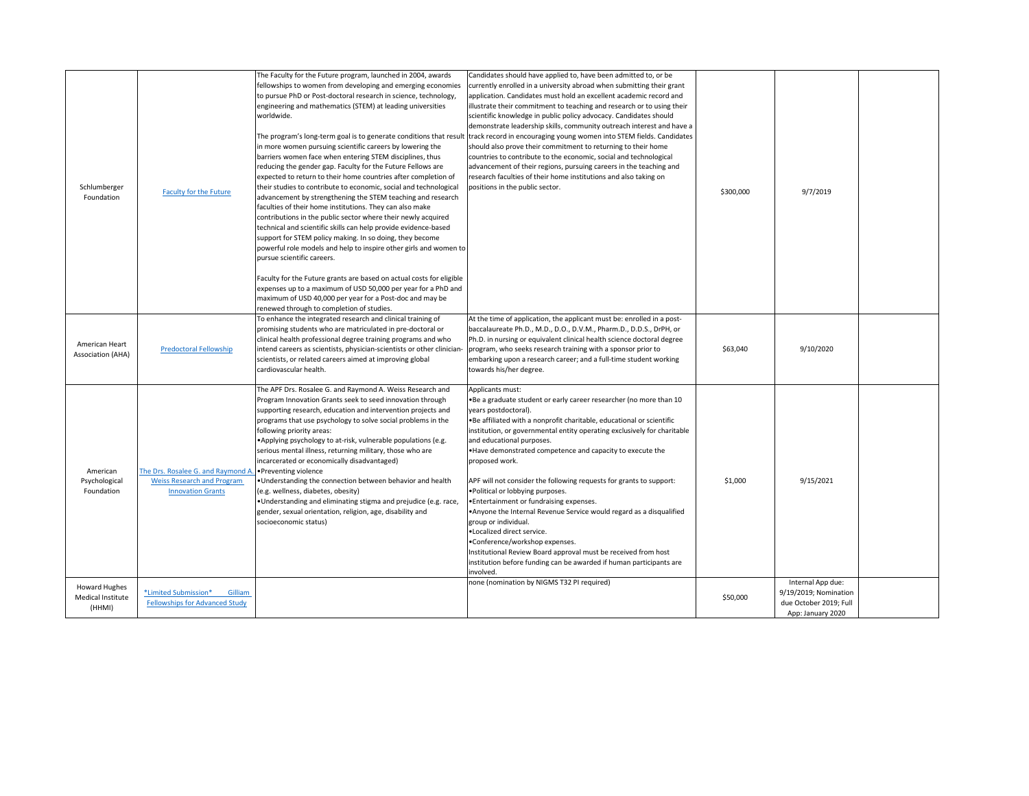| Schlumberger<br>Foundation                          | <b>Faculty for the Future</b>                                                                       | The Faculty for the Future program, launched in 2004, awards<br>fellowships to women from developing and emerging economies<br>to pursue PhD or Post-doctoral research in science, technology,<br>engineering and mathematics (STEM) at leading universities<br>worldwide.<br>in more women pursuing scientific careers by lowering the<br>barriers women face when entering STEM disciplines, thus<br>reducing the gender gap. Faculty for the Future Fellows are<br>expected to return to their home countries after completion of<br>their studies to contribute to economic, social and technological<br>advancement by strengthening the STEM teaching and research<br>faculties of their home institutions. They can also make<br>contributions in the public sector where their newly acquired<br>technical and scientific skills can help provide evidence-based<br>support for STEM policy making. In so doing, they become<br>powerful role models and help to inspire other girls and women to<br>pursue scientific careers.<br>Faculty for the Future grants are based on actual costs for eligible<br>expenses up to a maximum of USD 50,000 per year for a PhD and<br>maximum of USD 40,000 per year for a Post-doc and may be<br>renewed through to completion of studies. | Candidates should have applied to, have been admitted to, or be<br>currently enrolled in a university abroad when submitting their grant<br>application. Candidates must hold an excellent academic record and<br>illustrate their commitment to teaching and research or to using their<br>scientific knowledge in public policy advocacy. Candidates should<br>demonstrate leadership skills, community outreach interest and have a<br>The program's long-term goal is to generate conditions that result track record in encouraging young women into STEM fields. Candidates<br>should also prove their commitment to returning to their home<br>countries to contribute to the economic, social and technological<br>advancement of their regions, pursuing careers in the teaching and<br>research faculties of their home institutions and also taking on<br>positions in the public sector. | \$300,000 | 9/7/2019                                                                                  |  |
|-----------------------------------------------------|-----------------------------------------------------------------------------------------------------|-------------------------------------------------------------------------------------------------------------------------------------------------------------------------------------------------------------------------------------------------------------------------------------------------------------------------------------------------------------------------------------------------------------------------------------------------------------------------------------------------------------------------------------------------------------------------------------------------------------------------------------------------------------------------------------------------------------------------------------------------------------------------------------------------------------------------------------------------------------------------------------------------------------------------------------------------------------------------------------------------------------------------------------------------------------------------------------------------------------------------------------------------------------------------------------------------------------------------------------------------------------------------------------------|------------------------------------------------------------------------------------------------------------------------------------------------------------------------------------------------------------------------------------------------------------------------------------------------------------------------------------------------------------------------------------------------------------------------------------------------------------------------------------------------------------------------------------------------------------------------------------------------------------------------------------------------------------------------------------------------------------------------------------------------------------------------------------------------------------------------------------------------------------------------------------------------------|-----------|-------------------------------------------------------------------------------------------|--|
| American Heart<br>Association (AHA)                 | <b>Predoctoral Fellowship</b>                                                                       | To enhance the integrated research and clinical training of<br>promising students who are matriculated in pre-doctoral or<br>clinical health professional degree training programs and who<br>intend careers as scientists, physician-scientists or other clinician-<br>scientists, or related careers aimed at improving global<br>cardiovascular health.                                                                                                                                                                                                                                                                                                                                                                                                                                                                                                                                                                                                                                                                                                                                                                                                                                                                                                                                | At the time of application, the applicant must be: enrolled in a post-<br>baccalaureate Ph.D., M.D., D.O., D.V.M., Pharm.D., D.D.S., DrPH, or<br>Ph.D. in nursing or equivalent clinical health science doctoral degree<br>program, who seeks research training with a sponsor prior to<br>embarking upon a research career; and a full-time student working<br>towards his/her degree.                                                                                                                                                                                                                                                                                                                                                                                                                                                                                                              | \$63,040  | 9/10/2020                                                                                 |  |
| American<br>Psychological<br>Foundation             | The Drs. Rosalee G. and Raymond A.<br><b>Weiss Research and Program</b><br><b>Innovation Grants</b> | The APF Drs. Rosalee G. and Raymond A. Weiss Research and<br>Program Innovation Grants seek to seed innovation through<br>supporting research, education and intervention projects and<br>programs that use psychology to solve social problems in the<br>following priority areas:<br>•Applying psychology to at-risk, vulnerable populations (e.g.<br>serious mental illness, returning military, those who are<br>incarcerated or economically disadvantaged)<br>Preventing violence<br>. Understanding the connection between behavior and health<br>(e.g. wellness, diabetes, obesity)<br>. Understanding and eliminating stigma and prejudice (e.g. race,<br>gender, sexual orientation, religion, age, disability and<br>socioeconomic status)                                                                                                                                                                                                                                                                                                                                                                                                                                                                                                                                     | Applicants must:<br>. Be a graduate student or early career researcher (no more than 10<br>years postdoctoral).<br>. Be affiliated with a nonprofit charitable, educational or scientific<br>institution, or governmental entity operating exclusively for charitable<br>and educational purposes.<br>. Have demonstrated competence and capacity to execute the<br>proposed work.<br>APF will not consider the following requests for grants to support:<br>. Political or lobbying purposes.<br>• Entertainment or fundraising expenses.<br>• Anyone the Internal Revenue Service would regard as a disqualified<br>group or individual.<br>·Localized direct service.<br>•Conference/workshop expenses.<br>Institutional Review Board approval must be received from host<br>institution before funding can be awarded if human participants are<br>involved.                                     | \$1,000   | 9/15/2021                                                                                 |  |
| <b>Howard Hughes</b><br>Medical Institute<br>(HHMI) | *Limited Submission*<br>Gilliam<br><b>Fellowships for Advanced Study</b>                            |                                                                                                                                                                                                                                                                                                                                                                                                                                                                                                                                                                                                                                                                                                                                                                                                                                                                                                                                                                                                                                                                                                                                                                                                                                                                                           | none (nomination by NIGMS T32 PI required)                                                                                                                                                                                                                                                                                                                                                                                                                                                                                                                                                                                                                                                                                                                                                                                                                                                           | \$50,000  | Internal App due:<br>9/19/2019; Nomination<br>due October 2019; Full<br>App: January 2020 |  |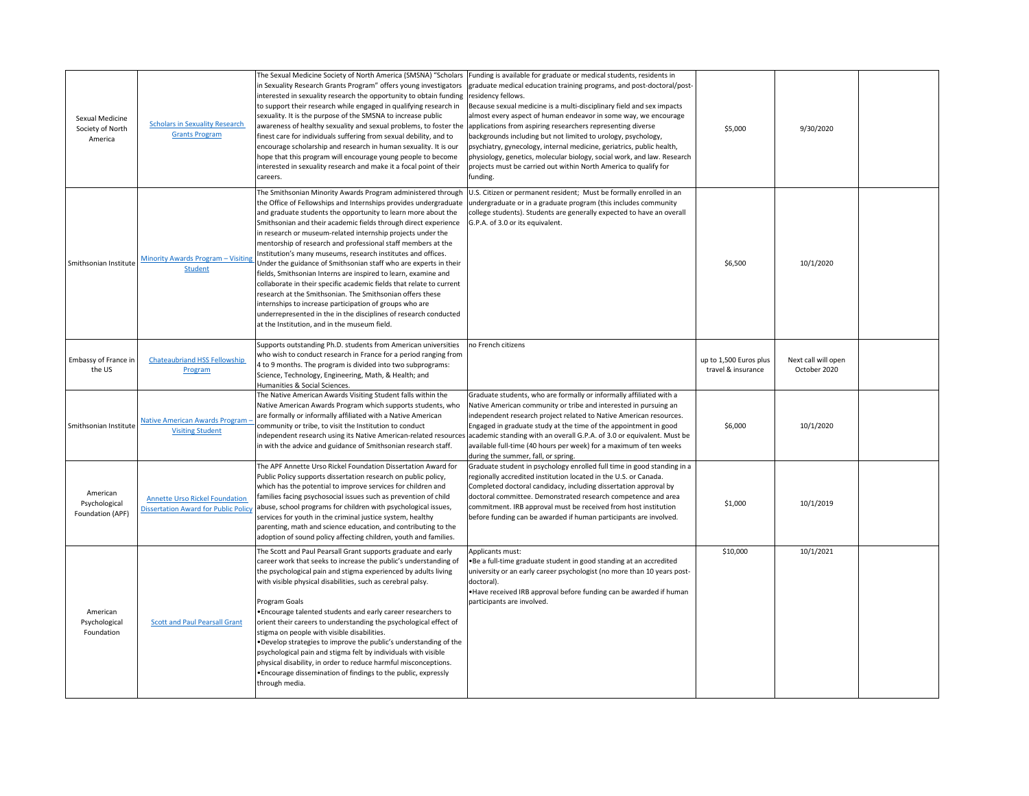| Sexual Medicine<br>Society of North<br>America | <b>Scholars in Sexuality Research</b><br><b>Grants Program</b>                       | The Sexual Medicine Society of North America (SMSNA) "Scholars<br>n Sexuality Research Grants Program" offers young investigators<br>interested in sexuality research the opportunity to obtain funding residency fellows.<br>to support their research while engaged in qualifying research in<br>sexuality. It is the purpose of the SMSNA to increase public<br>awareness of healthy sexuality and sexual problems, to foster the<br>finest care for individuals suffering from sexual debility, and to<br>encourage scholarship and research in human sexuality. It is our<br>ope that this program will encourage young people to become<br>interested in sexuality research and make it a focal point of their<br>careers.                                                                                                                                                                                             | Funding is available for graduate or medical students, residents in<br>graduate medical education training programs, and post-doctoral/post-<br>Because sexual medicine is a multi-disciplinary field and sex impacts<br>almost every aspect of human endeavor in some way, we encourage<br>applications from aspiring researchers representing diverse<br>backgrounds including but not limited to urology, psychology,<br>psychiatry, gynecology, internal medicine, geriatrics, public health,<br>physiology, genetics, molecular biology, social work, and law. Research<br>projects must be carried out within North America to qualify for<br>funding. | \$5,000                                      | 9/30/2020                           |  |
|------------------------------------------------|--------------------------------------------------------------------------------------|------------------------------------------------------------------------------------------------------------------------------------------------------------------------------------------------------------------------------------------------------------------------------------------------------------------------------------------------------------------------------------------------------------------------------------------------------------------------------------------------------------------------------------------------------------------------------------------------------------------------------------------------------------------------------------------------------------------------------------------------------------------------------------------------------------------------------------------------------------------------------------------------------------------------------|--------------------------------------------------------------------------------------------------------------------------------------------------------------------------------------------------------------------------------------------------------------------------------------------------------------------------------------------------------------------------------------------------------------------------------------------------------------------------------------------------------------------------------------------------------------------------------------------------------------------------------------------------------------|----------------------------------------------|-------------------------------------|--|
| Smithsonian Institute                          | Minority Awards Program - Visiting<br><b>Student</b>                                 | The Smithsonian Minority Awards Program administered through<br>the Office of Fellowships and Internships provides undergraduate<br>and graduate students the opportunity to learn more about the<br>Smithsonian and their academic fields through direct experience<br>in research or museum-related internship projects under the<br>mentorship of research and professional staff members at the<br>Institution's many museums, research institutes and offices.<br>Under the guidance of Smithsonian staff who are experts in their<br>fields, Smithsonian Interns are inspired to learn, examine and<br>collaborate in their specific academic fields that relate to current<br>research at the Smithsonian. The Smithsonian offers these<br>nternships to increase participation of groups who are<br>underrepresented in the in the disciplines of research conducted<br>at the Institution, and in the museum field. | U.S. Citizen or permanent resident; Must be formally enrolled in an<br>undergraduate or in a graduate program (this includes community<br>college students). Students are generally expected to have an overall<br>G.P.A. of 3.0 or its equivalent.                                                                                                                                                                                                                                                                                                                                                                                                          | \$6,500                                      | 10/1/2020                           |  |
| Embassy of France in<br>the US                 | <b>Chateaubriand HSS Fellowship</b><br>Program                                       | Supports outstanding Ph.D. students from American universities<br>who wish to conduct research in France for a period ranging from<br>4 to 9 months. The program is divided into two subprograms:<br>Science, Technology, Engineering, Math, & Health; and<br>Humanities & Social Sciences.                                                                                                                                                                                                                                                                                                                                                                                                                                                                                                                                                                                                                                  | no French citizens                                                                                                                                                                                                                                                                                                                                                                                                                                                                                                                                                                                                                                           | up to 1,500 Euros plus<br>travel & insurance | Next call will open<br>October 2020 |  |
| Smithsonian Institute                          | Native American Awards Program -<br><b>Visiting Student</b>                          | The Native American Awards Visiting Student falls within the<br>Native American Awards Program which supports students, who<br>are formally or informally affiliated with a Native American<br>community or tribe, to visit the Institution to conduct<br>independent research using its Native American-related resources<br>in with the advice and guidance of Smithsonian research staff.                                                                                                                                                                                                                                                                                                                                                                                                                                                                                                                                 | Graduate students, who are formally or informally affiliated with a<br>Native American community or tribe and interested in pursuing an<br>independent research project related to Native American resources.<br>Engaged in graduate study at the time of the appointment in good<br>academic standing with an overall G.P.A. of 3.0 or equivalent. Must be<br>available full-time (40 hours per week) for a maximum of ten weeks<br>during the summer, fall, or spring.                                                                                                                                                                                     | \$6,000                                      | 10/1/2020                           |  |
| American<br>Psychological<br>Foundation (APF)  | <b>Annette Urso Rickel Foundation</b><br><b>Dissertation Award for Public Policy</b> | The APF Annette Urso Rickel Foundation Dissertation Award for<br>Public Policy supports dissertation research on public policy,<br>which has the potential to improve services for children and<br>families facing psychosocial issues such as prevention of child<br>abuse, school programs for children with psychological issues,<br>services for youth in the criminal justice system, healthy<br>parenting, math and science education, and contributing to the<br>adoption of sound policy affecting children, youth and families.                                                                                                                                                                                                                                                                                                                                                                                     | Graduate student in psychology enrolled full time in good standing in a<br>regionally accredited institution located in the U.S. or Canada.<br>Completed doctoral candidacy, including dissertation approval by<br>doctoral committee. Demonstrated research competence and area<br>commitment. IRB approval must be received from host institution<br>before funding can be awarded if human participants are involved.                                                                                                                                                                                                                                     | \$1,000                                      | 10/1/2019                           |  |
| American<br>Psychological<br>Foundation        | <b>Scott and Paul Pearsall Grant</b>                                                 | The Scott and Paul Pearsall Grant supports graduate and early<br>career work that seeks to increase the public's understanding of<br>the psychological pain and stigma experienced by adults living<br>with visible physical disabilities, such as cerebral palsy.<br>Program Goals<br>. Encourage talented students and early career researchers to<br>orient their careers to understanding the psychological effect of<br>stigma on people with visible disabilities.<br>. Develop strategies to improve the public's understanding of the<br>psychological pain and stigma felt by individuals with visible<br>physical disability, in order to reduce harmful misconceptions.<br>• Encourage dissemination of findings to the public, expressly<br>through media.                                                                                                                                                       | Applicants must:<br>. Be a full-time graduate student in good standing at an accredited<br>university or an early career psychologist (no more than 10 years post-<br>doctoral).<br>• Have received IRB approval before funding can be awarded if human<br>participants are involved.                                                                                                                                                                                                                                                                                                                                                                        | \$10,000                                     | 10/1/2021                           |  |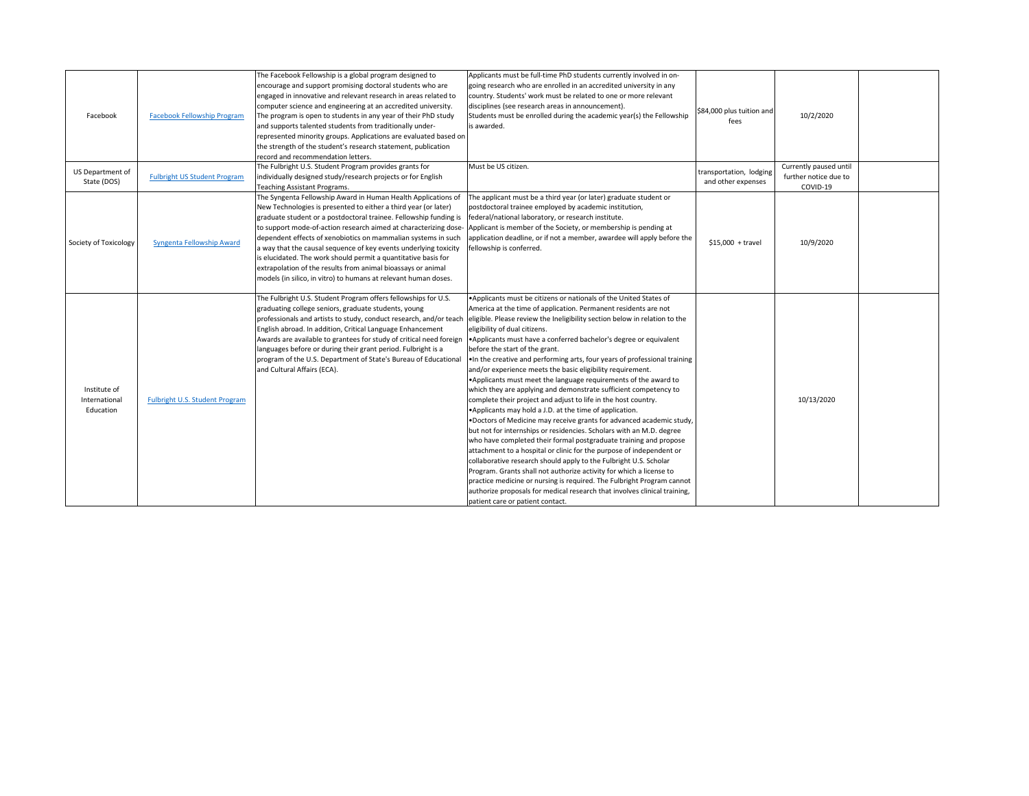| Facebook                                   | <b>Facebook Fellowship Program</b>  | The Facebook Fellowship is a global program designed to<br>encourage and support promising doctoral students who are<br>engaged in innovative and relevant research in areas related to<br>computer science and engineering at an accredited university.<br>The program is open to students in any year of their PhD study<br>and supports talented students from traditionally under-<br>represented minority groups. Applications are evaluated based on<br>the strength of the student's research statement, publication<br>record and recommendation letters.                                                   | Applicants must be full-time PhD students currently involved in on-<br>going research who are enrolled in an accredited university in any<br>country. Students' work must be related to one or more relevant<br>disciplines (see research areas in announcement).<br>Students must be enrolled during the academic year(s) the Fellowship<br>is awarded.                                                                                                                                                                                                                                                                                                                                                                                                                                                                                                                                                                                                                                                                                                                                                                                                                                                                                                                                                                                                                                                                                                                         | \$84,000 plus tuition and<br>fees             | 10/2/2020                                                   |  |
|--------------------------------------------|-------------------------------------|---------------------------------------------------------------------------------------------------------------------------------------------------------------------------------------------------------------------------------------------------------------------------------------------------------------------------------------------------------------------------------------------------------------------------------------------------------------------------------------------------------------------------------------------------------------------------------------------------------------------|----------------------------------------------------------------------------------------------------------------------------------------------------------------------------------------------------------------------------------------------------------------------------------------------------------------------------------------------------------------------------------------------------------------------------------------------------------------------------------------------------------------------------------------------------------------------------------------------------------------------------------------------------------------------------------------------------------------------------------------------------------------------------------------------------------------------------------------------------------------------------------------------------------------------------------------------------------------------------------------------------------------------------------------------------------------------------------------------------------------------------------------------------------------------------------------------------------------------------------------------------------------------------------------------------------------------------------------------------------------------------------------------------------------------------------------------------------------------------------|-----------------------------------------------|-------------------------------------------------------------|--|
| US Department of<br>State (DOS)            | <b>Fulbright US Student Program</b> | The Fulbright U.S. Student Program provides grants for<br>individually designed study/research projects or for English<br>Teaching Assistant Programs.                                                                                                                                                                                                                                                                                                                                                                                                                                                              | Must be US citizen.                                                                                                                                                                                                                                                                                                                                                                                                                                                                                                                                                                                                                                                                                                                                                                                                                                                                                                                                                                                                                                                                                                                                                                                                                                                                                                                                                                                                                                                              | transportation, lodging<br>and other expenses | Currently paused until<br>further notice due to<br>COVID-19 |  |
| Society of Toxicology                      | Syngenta Fellowship Award           | The Syngenta Fellowship Award in Human Health Applications of<br>New Technologies is presented to either a third year (or later)<br>graduate student or a postdoctoral trainee. Fellowship funding is<br>to support mode-of-action research aimed at characterizing dose-<br>dependent effects of xenobiotics on mammalian systems in such<br>a way that the causal sequence of key events underlying toxicity<br>is elucidated. The work should permit a quantitative basis for<br>extrapolation of the results from animal bioassays or animal<br>models (in silico, in vitro) to humans at relevant human doses. | The applicant must be a third year (or later) graduate student or<br>postdoctoral trainee employed by academic institution,<br>federal/national laboratory, or research institute.<br>Applicant is member of the Society, or membership is pending at<br>application deadline, or if not a member, awardee will apply before the<br>fellowship is conferred.                                                                                                                                                                                                                                                                                                                                                                                                                                                                                                                                                                                                                                                                                                                                                                                                                                                                                                                                                                                                                                                                                                                     | $$15,000 + travel$                            | 10/9/2020                                                   |  |
| Institute of<br>International<br>Education | Fulbright U.S. Student Program      | The Fulbright U.S. Student Program offers fellowships for U.S.<br>graduating college seniors, graduate students, young<br>English abroad. In addition, Critical Language Enhancement<br>Awards are available to grantees for study of critical need foreign<br>languages before or during their grant period. Fulbright is a<br>program of the U.S. Department of State's Bureau of Educational<br>and Cultural Affairs (ECA).                                                                                                                                                                                      | •Applicants must be citizens or nationals of the United States of<br>America at the time of application. Permanent residents are not<br>professionals and artists to study, conduct research, and/or teach eligible. Please review the Ineligibility section below in relation to the<br>eligibility of dual citizens.<br>Applicants must have a conferred bachelor's degree or equivalent<br>before the start of the grant.<br>. In the creative and performing arts, four years of professional training<br>and/or experience meets the basic eligibility requirement.<br>• Applicants must meet the language requirements of the award to<br>which they are applying and demonstrate sufficient competency to<br>complete their project and adjust to life in the host country.<br>Applicants may hold a J.D. at the time of application.<br>.Doctors of Medicine may receive grants for advanced academic study,<br>but not for internships or residencies. Scholars with an M.D. degree<br>who have completed their formal postgraduate training and propose<br>attachment to a hospital or clinic for the purpose of independent or<br>collaborative research should apply to the Fulbright U.S. Scholar<br>Program. Grants shall not authorize activity for which a license to<br>practice medicine or nursing is required. The Fulbright Program cannot<br>authorize proposals for medical research that involves clinical training,<br>patient care or patient contact. |                                               | 10/13/2020                                                  |  |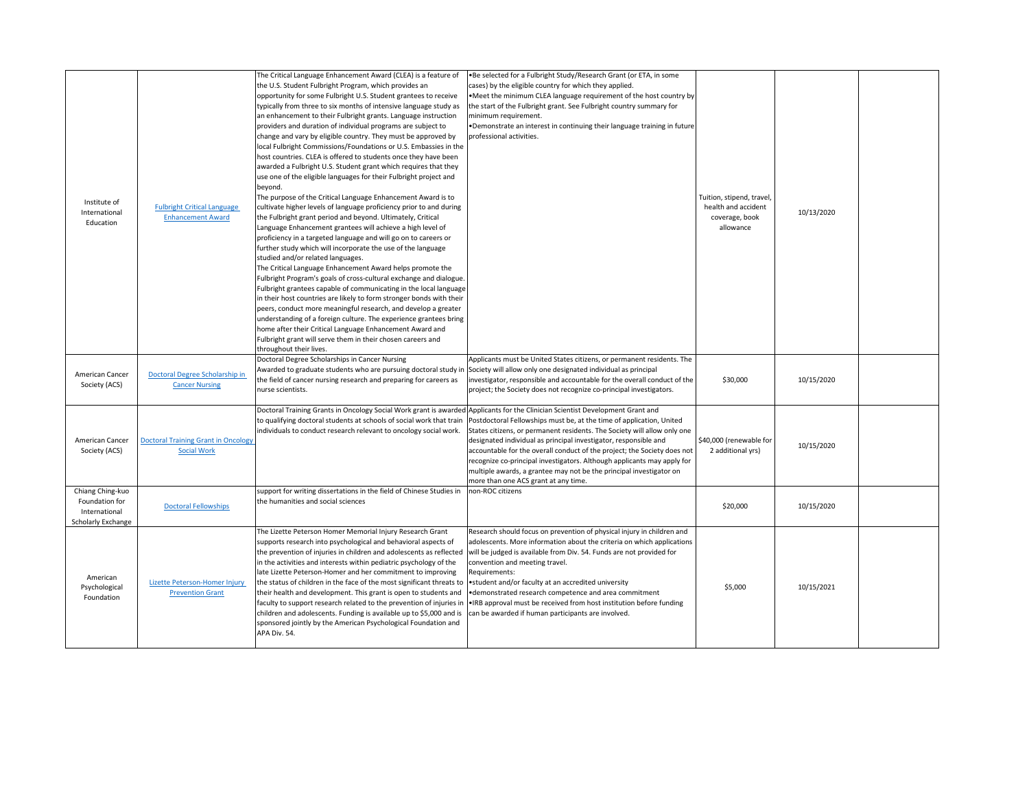| Institute of<br>International<br>Education                                       | <b>Fulbright Critical Language</b><br><b>Enhancement Award</b>   | The Critical Language Enhancement Award (CLEA) is a feature of<br>the U.S. Student Fulbright Program, which provides an<br>opportunity for some Fulbright U.S. Student grantees to receive<br>typically from three to six months of intensive language study as<br>an enhancement to their Fulbright grants. Language instruction<br>providers and duration of individual programs are subject to<br>change and vary by eligible country. They must be approved by<br>local Fulbright Commissions/Foundations or U.S. Embassies in the<br>host countries. CLEA is offered to students once they have been<br>awarded a Fulbright U.S. Student grant which requires that they<br>use one of the eligible languages for their Fulbright project and<br>beyond.<br>The purpose of the Critical Language Enhancement Award is to<br>cultivate higher levels of language proficiency prior to and during<br>the Fulbright grant period and beyond. Ultimately, Critical<br>Language Enhancement grantees will achieve a high level of<br>proficiency in a targeted language and will go on to careers or<br>further study which will incorporate the use of the language<br>studied and/or related languages.<br>The Critical Language Enhancement Award helps promote the<br>Fulbright Program's goals of cross-cultural exchange and dialogue.<br>Fulbright grantees capable of communicating in the local language<br>in their host countries are likely to form stronger bonds with their<br>peers, conduct more meaningful research, and develop a greater<br>understanding of a foreign culture. The experience grantees bring<br>home after their Critical Language Enhancement Award and<br>Fulbright grant will serve them in their chosen careers and<br>throughout their lives. | •Be selected for a Fulbright Study/Research Grant (or ETA, in some<br>cases) by the eligible country for which they applied.<br>•Meet the minimum CLEA language requirement of the host country by<br>the start of the Fulbright grant. See Fulbright country summary for<br>minimum requirement.<br>•Demonstrate an interest in continuing their language training in future<br>professional activities.                                                                                                                                                       | Tuition, stipend, travel,<br>health and accident<br>coverage, book<br>allowance | 10/13/2020 |  |
|----------------------------------------------------------------------------------|------------------------------------------------------------------|---------------------------------------------------------------------------------------------------------------------------------------------------------------------------------------------------------------------------------------------------------------------------------------------------------------------------------------------------------------------------------------------------------------------------------------------------------------------------------------------------------------------------------------------------------------------------------------------------------------------------------------------------------------------------------------------------------------------------------------------------------------------------------------------------------------------------------------------------------------------------------------------------------------------------------------------------------------------------------------------------------------------------------------------------------------------------------------------------------------------------------------------------------------------------------------------------------------------------------------------------------------------------------------------------------------------------------------------------------------------------------------------------------------------------------------------------------------------------------------------------------------------------------------------------------------------------------------------------------------------------------------------------------------------------------------------------------------------------------------------------------------------------------------|-----------------------------------------------------------------------------------------------------------------------------------------------------------------------------------------------------------------------------------------------------------------------------------------------------------------------------------------------------------------------------------------------------------------------------------------------------------------------------------------------------------------------------------------------------------------|---------------------------------------------------------------------------------|------------|--|
| American Cancer<br>Society (ACS)                                                 | Doctoral Degree Scholarship in<br><b>Cancer Nursing</b>          | Doctoral Degree Scholarships in Cancer Nursing<br>Awarded to graduate students who are pursuing doctoral study in Society will allow only one designated individual as principal<br>the field of cancer nursing research and preparing for careers as<br>nurse scientists.                                                                                                                                                                                                                                                                                                                                                                                                                                                                                                                                                                                                                                                                                                                                                                                                                                                                                                                                                                                                                                                                                                                                                                                                                                                                                                                                                                                                                                                                                                            | Applicants must be United States citizens, or permanent residents. The<br>investigator, responsible and accountable for the overall conduct of the<br>project; the Society does not recognize co-principal investigators.                                                                                                                                                                                                                                                                                                                                       | \$30,000                                                                        | 10/15/2020 |  |
| American Cancer<br>Society (ACS)                                                 | <b>Doctoral Training Grant in Oncology</b><br><b>Social Work</b> | Doctoral Training Grants in Oncology Social Work grant is awarded Applicants for the Clinician Scientist Development Grant and<br>individuals to conduct research relevant to oncology social work.                                                                                                                                                                                                                                                                                                                                                                                                                                                                                                                                                                                                                                                                                                                                                                                                                                                                                                                                                                                                                                                                                                                                                                                                                                                                                                                                                                                                                                                                                                                                                                                   | to qualifying doctoral students at schools of social work that train Postdoctoral Fellowships must be, at the time of application, United<br>States citizens, or permanent residents. The Society will allow only one<br>designated individual as principal investigator, responsible and<br>accountable for the overall conduct of the project; the Society does not<br>recognize co-principal investigators. Although applicants may apply for<br>multiple awards, a grantee may not be the principal investigator on<br>more than one ACS grant at any time. | \$40,000 (renewable for<br>2 additional yrs)                                    | 10/15/2020 |  |
| Chiang Ching-kuo<br>Foundation for<br>International<br><b>Scholarly Exchange</b> | <b>Doctoral Fellowships</b>                                      | support for writing dissertations in the field of Chinese Studies in<br>the humanities and social sciences                                                                                                                                                                                                                                                                                                                                                                                                                                                                                                                                                                                                                                                                                                                                                                                                                                                                                                                                                                                                                                                                                                                                                                                                                                                                                                                                                                                                                                                                                                                                                                                                                                                                            | non-ROC citizens                                                                                                                                                                                                                                                                                                                                                                                                                                                                                                                                                | \$20,000                                                                        | 10/15/2020 |  |
| American<br>Psychological<br>Foundation                                          | Lizette Peterson-Homer Injury<br><b>Prevention Grant</b>         | The Lizette Peterson Homer Memorial Injury Research Grant<br>supports research into psychological and behavioral aspects of<br>the prevention of injuries in children and adolescents as reflected<br>in the activities and interests within pediatric psychology of the<br>late Lizette Peterson-Homer and her commitment to improving<br>the status of children in the face of the most significant threats to vestudent and/or faculty at an accredited university<br>their health and development. This grant is open to students and<br>children and adolescents. Funding is available up to \$5,000 and is can be awarded if human participants are involved.<br>sponsored jointly by the American Psychological Foundation and<br>APA Div. 54.                                                                                                                                                                                                                                                                                                                                                                                                                                                                                                                                                                                                                                                                                                                                                                                                                                                                                                                                                                                                                                 | Research should focus on prevention of physical injury in children and<br>adolescents. More information about the criteria on which applications<br>will be judged is available from Div. 54. Funds are not provided for<br>convention and meeting travel.<br>Requirements:<br>• demonstrated research competence and area commitment<br>faculty to support research related to the prevention of injuries in  . IRB approval must be received from host institution before funding                                                                             | \$5,000                                                                         | 10/15/2021 |  |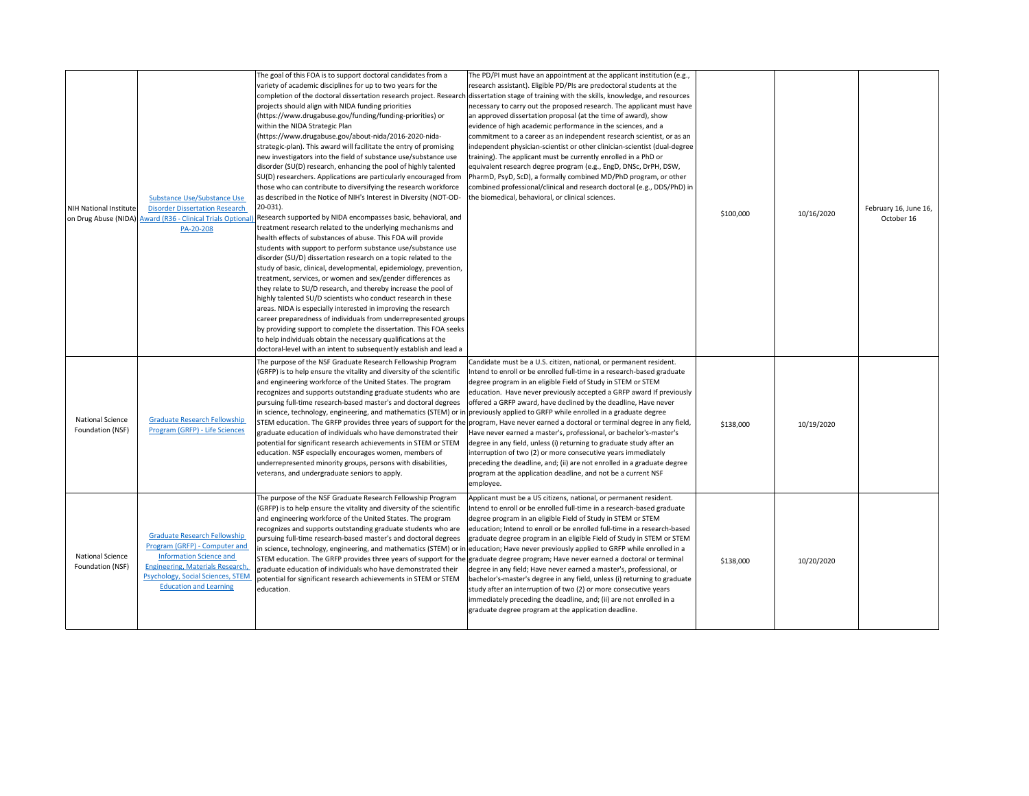| <b>NIH National Institute</b>               | <b>Substance Use/Substance Use</b><br><b>Disorder Dissertation Research</b><br>on Drug Abuse (NIDA) Award (R36 - Clinical Trials Optional<br>PA-20-208                                                                         | The goal of this FOA is to support doctoral candidates from a<br>variety of academic disciplines for up to two years for the<br>completion of the doctoral dissertation research project. Research<br>projects should align with NIDA funding priorities<br>https://www.drugabuse.gov/funding/funding-priorities) or<br>within the NIDA Strategic Plan<br>https://www.drugabuse.gov/about-nida/2016-2020-nida-<br>strategic-plan). This award will facilitate the entry of promising<br>new investigators into the field of substance use/substance use<br>disorder (SU(D) research, enhancing the pool of highly talented<br>SU(D) researchers. Applications are particularly encouraged from<br>those who can contribute to diversifying the research workforce<br>as described in the Notice of NIH's Interest in Diversity (NOT-OD-<br>20-031).<br>Research supported by NIDA encompasses basic, behavioral, and<br>treatment research related to the underlying mechanisms and<br>health effects of substances of abuse. This FOA will provide<br>students with support to perform substance use/substance use<br>disorder (SU/D) dissertation research on a topic related to the<br>study of basic, clinical, developmental, epidemiology, prevention,<br>treatment, services, or women and sex/gender differences as<br>they relate to SU/D research, and thereby increase the pool of<br>highly talented SU/D scientists who conduct research in these<br>areas. NIDA is especially interested in improving the research<br>career preparedness of individuals from underrepresented groups<br>by providing support to complete the dissertation. This FOA seeks<br>to help individuals obtain the necessary qualifications at the<br>doctoral-level with an intent to subsequently establish and lead a | The PD/PI must have an appointment at the applicant institution (e.g.,<br>research assistant). Eligible PD/PIs are predoctoral students at the<br>dissertation stage of training with the skills, knowledge, and resources<br>necessary to carry out the proposed research. The applicant must have<br>an approved dissertation proposal (at the time of award), show<br>evidence of high academic performance in the sciences, and a<br>commitment to a career as an independent research scientist, or as an<br>independent physician-scientist or other clinician-scientist (dual-degree<br>training). The applicant must be currently enrolled in a PhD or<br>equivalent research degree program (e.g., EngD, DNSc, DrPH, DSW,<br>PharmD, PsyD, ScD), a formally combined MD/PhD program, or other<br>combined professional/clinical and research doctoral (e.g., DDS/PhD) in<br>the biomedical, behavioral, or clinical sciences.                                                                  | \$100,000 | 10/16/2020 | February 16, June 16,<br>October 16 |
|---------------------------------------------|--------------------------------------------------------------------------------------------------------------------------------------------------------------------------------------------------------------------------------|------------------------------------------------------------------------------------------------------------------------------------------------------------------------------------------------------------------------------------------------------------------------------------------------------------------------------------------------------------------------------------------------------------------------------------------------------------------------------------------------------------------------------------------------------------------------------------------------------------------------------------------------------------------------------------------------------------------------------------------------------------------------------------------------------------------------------------------------------------------------------------------------------------------------------------------------------------------------------------------------------------------------------------------------------------------------------------------------------------------------------------------------------------------------------------------------------------------------------------------------------------------------------------------------------------------------------------------------------------------------------------------------------------------------------------------------------------------------------------------------------------------------------------------------------------------------------------------------------------------------------------------------------------------------------------------------------------------------------------------------------------------------------------------------------------------|---------------------------------------------------------------------------------------------------------------------------------------------------------------------------------------------------------------------------------------------------------------------------------------------------------------------------------------------------------------------------------------------------------------------------------------------------------------------------------------------------------------------------------------------------------------------------------------------------------------------------------------------------------------------------------------------------------------------------------------------------------------------------------------------------------------------------------------------------------------------------------------------------------------------------------------------------------------------------------------------------------|-----------|------------|-------------------------------------|
| <b>National Science</b><br>Foundation (NSF) | <b>Graduate Research Fellowship</b><br>Program (GRFP) - Life Sciences                                                                                                                                                          | The purpose of the NSF Graduate Research Fellowship Program<br>GRFP) is to help ensure the vitality and diversity of the scientific<br>and engineering workforce of the United States. The program<br>recognizes and supports outstanding graduate students who are<br>pursuing full-time research-based master's and doctoral degrees<br>in science, technology, engineering, and mathematics (STEM) or in previously applied to GRFP while enrolled in a graduate degree<br>graduate education of individuals who have demonstrated their<br>potential for significant research achievements in STEM or STEM<br>education. NSF especially encourages women, members of<br>underrepresented minority groups, persons with disabilities,<br>veterans, and undergraduate seniors to apply.                                                                                                                                                                                                                                                                                                                                                                                                                                                                                                                                                                                                                                                                                                                                                                                                                                                                                                                                                                                                                        | Candidate must be a U.S. citizen, national, or permanent resident.<br>Intend to enroll or be enrolled full-time in a research-based graduate<br>degree program in an eligible Field of Study in STEM or STEM<br>education. Have never previously accepted a GRFP award If previously<br>offered a GRFP award, have declined by the deadline, Have never<br>STEM education. The GRFP provides three years of support for the program, Have never earned a doctoral or terminal degree in any field,<br>Have never earned a master's, professional, or bachelor's-master's<br>degree in any field, unless (i) returning to graduate study after an<br>interruption of two (2) or more consecutive years immediately<br>preceding the deadline, and; (ii) are not enrolled in a graduate degree<br>program at the application deadline, and not be a current NSF<br>employee.                                                                                                                              | \$138,000 | 10/19/2020 |                                     |
| <b>National Science</b><br>Foundation (NSF) | <b>Graduate Research Fellowship</b><br>Program (GRFP) - Computer and<br><b>Information Science and</b><br><b>Engineering, Materials Research,</b><br><b>Psychology, Social Sciences, STEM</b><br><b>Education and Learning</b> | The purpose of the NSF Graduate Research Fellowship Program<br>(GRFP) is to help ensure the vitality and diversity of the scientific<br>and engineering workforce of the United States. The program<br>recognizes and supports outstanding graduate students who are<br>pursuing full-time research-based master's and doctoral degrees<br>graduate education of individuals who have demonstrated their<br>potential for significant research achievements in STEM or STEM<br>education.                                                                                                                                                                                                                                                                                                                                                                                                                                                                                                                                                                                                                                                                                                                                                                                                                                                                                                                                                                                                                                                                                                                                                                                                                                                                                                                        | Applicant must be a US citizens, national, or permanent resident.<br>Intend to enroll or be enrolled full-time in a research-based graduate<br>degree program in an eligible Field of Study in STEM or STEM<br>education; Intend to enroll or be enrolled full-time in a research-based<br>graduate degree program in an eligible Field of Study in STEM or STEM<br>in science, technology, engineering, and mathematics (STEM) or in education; Have never previously applied to GRFP while enrolled in a<br>STEM education. The GRFP provides three years of support for the graduate degree program; Have never earned a doctoral or terminal<br>degree in any field; Have never earned a master's, professional, or<br>bachelor's-master's degree in any field, unless (i) returning to graduate<br>study after an interruption of two (2) or more consecutive years<br>immediately preceding the deadline, and; (ii) are not enrolled in a<br>graduate degree program at the application deadline. | \$138,000 | 10/20/2020 |                                     |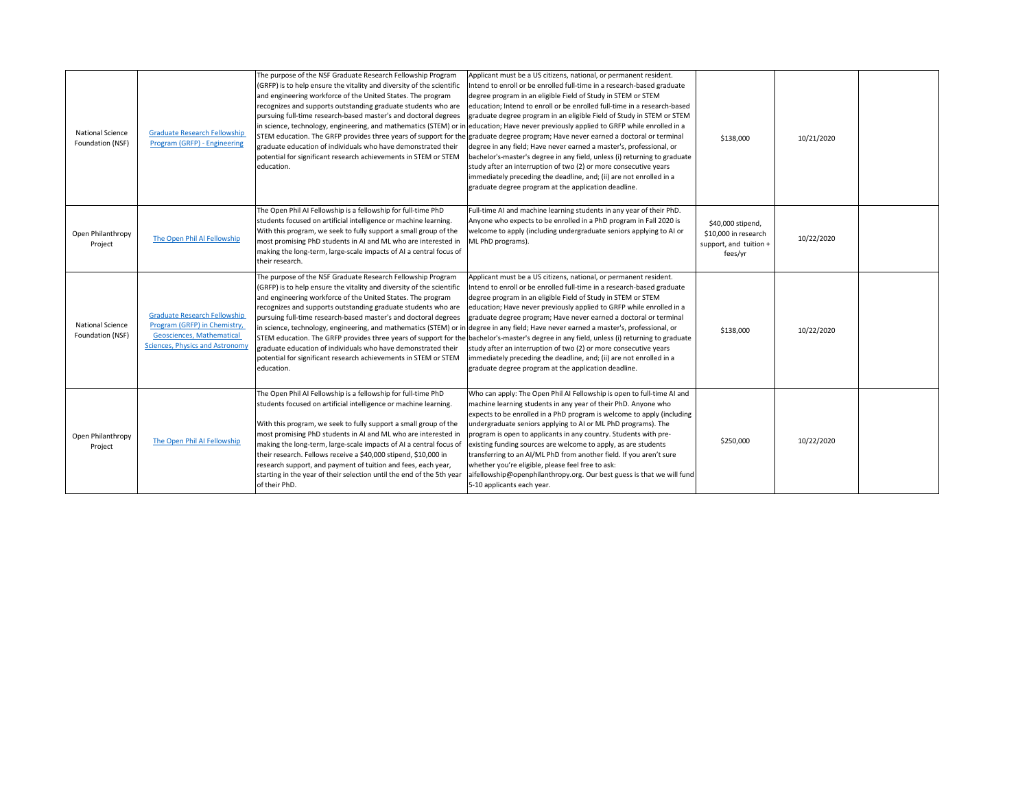| <b>National Science</b><br>Foundation (NSF) | <b>Graduate Research Fellowship</b><br>Program (GRFP) - Engineering                                                                        | The purpose of the NSF Graduate Research Fellowship Program<br>(GRFP) is to help ensure the vitality and diversity of the scientific<br>and engineering workforce of the United States. The program<br>recognizes and supports outstanding graduate students who are<br>pursuing full-time research-based master's and doctoral degrees<br>graduate education of individuals who have demonstrated their<br>potential for significant research achievements in STEM or STEM<br>education.                                                                                   | Applicant must be a US citizens, national, or permanent resident.<br>Intend to enroll or be enrolled full-time in a research-based graduate<br>degree program in an eligible Field of Study in STEM or STEM<br>education; Intend to enroll or be enrolled full-time in a research-based<br>graduate degree program in an eligible Field of Study in STEM or STEM<br>in science, technology, engineering, and mathematics (STEM) or in education; Have never previously applied to GRFP while enrolled in a<br>STEM education. The GRFP provides three years of support for the graduate degree program; Have never earned a doctoral or terminal<br>degree in any field; Have never earned a master's, professional, or<br>bachelor's-master's degree in any field, unless (i) returning to graduate<br>study after an interruption of two (2) or more consecutive years<br>immediately preceding the deadline, and; (ii) are not enrolled in a<br>graduate degree program at the application deadline. | \$138,000                                                                      | 10/21/2020 |  |
|---------------------------------------------|--------------------------------------------------------------------------------------------------------------------------------------------|-----------------------------------------------------------------------------------------------------------------------------------------------------------------------------------------------------------------------------------------------------------------------------------------------------------------------------------------------------------------------------------------------------------------------------------------------------------------------------------------------------------------------------------------------------------------------------|---------------------------------------------------------------------------------------------------------------------------------------------------------------------------------------------------------------------------------------------------------------------------------------------------------------------------------------------------------------------------------------------------------------------------------------------------------------------------------------------------------------------------------------------------------------------------------------------------------------------------------------------------------------------------------------------------------------------------------------------------------------------------------------------------------------------------------------------------------------------------------------------------------------------------------------------------------------------------------------------------------|--------------------------------------------------------------------------------|------------|--|
| Open Philanthropy<br>Project                | The Open Phil Al Fellowship                                                                                                                | The Open Phil AI Fellowship is a fellowship for full-time PhD<br>students focused on artificial intelligence or machine learning.<br>With this program, we seek to fully support a small group of the<br>most promising PhD students in AI and ML who are interested in<br>making the long-term, large-scale impacts of AI a central focus of<br>their research.                                                                                                                                                                                                            | Full-time AI and machine learning students in any year of their PhD.<br>Anyone who expects to be enrolled in a PhD program in Fall 2020 is<br>welcome to apply (including undergraduate seniors applying to AI or<br>ML PhD programs).                                                                                                                                                                                                                                                                                                                                                                                                                                                                                                                                                                                                                                                                                                                                                                  | \$40,000 stipend,<br>\$10,000 in research<br>support, and tuition +<br>fees/yr | 10/22/2020 |  |
| <b>National Science</b><br>Foundation (NSF) | <b>Graduate Research Fellowship</b><br>Program (GRFP) in Chemistry,<br>Geosciences, Mathematical<br><b>Sciences, Physics and Astronomy</b> | The purpose of the NSF Graduate Research Fellowship Program<br>(GRFP) is to help ensure the vitality and diversity of the scientific<br>and engineering workforce of the United States. The program<br>recognizes and supports outstanding graduate students who are<br>pursuing full-time research-based master's and doctoral degrees<br>graduate education of individuals who have demonstrated their<br>potential for significant research achievements in STEM or STEM<br>education.                                                                                   | Applicant must be a US citizens, national, or permanent resident.<br>Intend to enroll or be enrolled full-time in a research-based graduate<br>degree program in an eligible Field of Study in STEM or STEM<br>education; Have never previously applied to GRFP while enrolled in a<br>graduate degree program; Have never earned a doctoral or terminal<br>in science, technology, engineering, and mathematics (STEM) or in degree in any field; Have never earned a master's, professional, or<br>STEM education. The GRFP provides three years of support for the bachelor's-master's degree in any field, unless (i) returning to graduate<br>study after an interruption of two (2) or more consecutive years<br>immediately preceding the deadline, and; (ii) are not enrolled in a<br>graduate degree program at the application deadline.                                                                                                                                                      | \$138,000                                                                      | 10/22/2020 |  |
| Open Philanthropy<br>Project                | The Open Phil AI Fellowship                                                                                                                | The Open Phil AI Fellowship is a fellowship for full-time PhD<br>students focused on artificial intelligence or machine learning.<br>With this program, we seek to fully support a small group of the<br>most promising PhD students in AI and ML who are interested in<br>making the long-term, large-scale impacts of AI a central focus of<br>their research. Fellows receive a \$40,000 stipend, \$10,000 in<br>research support, and payment of tuition and fees, each year,<br>starting in the year of their selection until the end of the 5th year<br>of their PhD. | Who can apply: The Open Phil AI Fellowship is open to full-time AI and<br>machine learning students in any year of their PhD. Anyone who<br>expects to be enrolled in a PhD program is welcome to apply (including<br>undergraduate seniors applying to AI or ML PhD programs). The<br>program is open to applicants in any country. Students with pre-<br>existing funding sources are welcome to apply, as are students<br>transferring to an AI/ML PhD from another field. If you aren't sure<br>whether you're eligible, please feel free to ask:<br>aifellowship@openphilanthropy.org. Our best guess is that we will fund<br>5-10 applicants each year.                                                                                                                                                                                                                                                                                                                                           | \$250,000                                                                      | 10/22/2020 |  |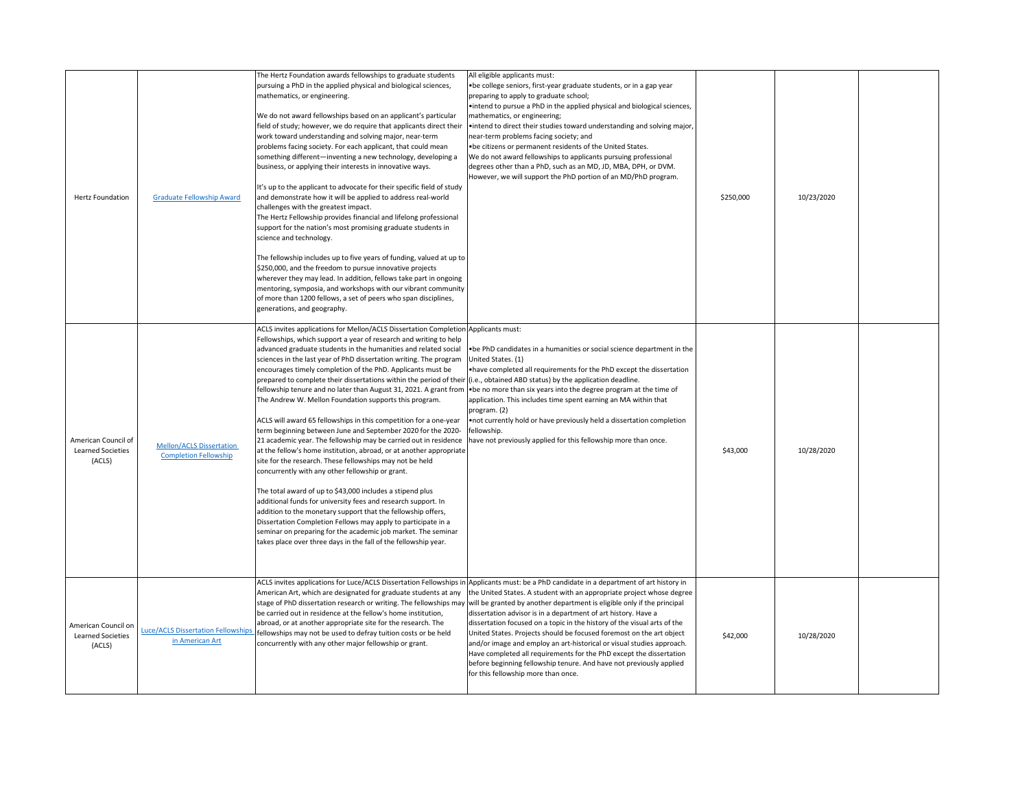| Hertz Foundation                                   | <b>Graduate Fellowship Award</b>                                | The Hertz Foundation awards fellowships to graduate students<br>pursuing a PhD in the applied physical and biological sciences,<br>mathematics, or engineering.<br>We do not award fellowships based on an applicant's particular<br>field of study; however, we do require that applicants direct their<br>work toward understanding and solving major, near-term<br>problems facing society. For each applicant, that could mean<br>something different-inventing a new technology, developing a<br>business, or applying their interests in innovative ways.<br>It's up to the applicant to advocate for their specific field of study<br>and demonstrate how it will be applied to address real-world<br>challenges with the greatest impact.<br>The Hertz Fellowship provides financial and lifelong professional<br>support for the nation's most promising graduate students in<br>science and technology.<br>The fellowship includes up to five years of funding, valued at up to<br>\$250,000, and the freedom to pursue innovative projects<br>wherever they may lead. In addition, fellows take part in ongoing<br>mentoring, symposia, and workshops with our vibrant community<br>of more than 1200 fellows, a set of peers who span disciplines,<br>generations, and geography.                                                                | All eligible applicants must:<br>• be college seniors, first-year graduate students, or in a gap year<br>preparing to apply to graduate school;<br>• intend to pursue a PhD in the applied physical and biological sciences,<br>mathematics, or engineering;<br>• intend to direct their studies toward understanding and solving major,<br>near-term problems facing society; and<br>• be citizens or permanent residents of the United States.<br>We do not award fellowships to applicants pursuing professional<br>degrees other than a PhD, such as an MD, JD, MBA, DPH, or DVM.<br>However, we will support the PhD portion of an MD/PhD program.                                                                                                                                                                                              | \$250,000 | 10/23/2020 |  |
|----------------------------------------------------|-----------------------------------------------------------------|--------------------------------------------------------------------------------------------------------------------------------------------------------------------------------------------------------------------------------------------------------------------------------------------------------------------------------------------------------------------------------------------------------------------------------------------------------------------------------------------------------------------------------------------------------------------------------------------------------------------------------------------------------------------------------------------------------------------------------------------------------------------------------------------------------------------------------------------------------------------------------------------------------------------------------------------------------------------------------------------------------------------------------------------------------------------------------------------------------------------------------------------------------------------------------------------------------------------------------------------------------------------------------------------------------------------------------------------------------------|------------------------------------------------------------------------------------------------------------------------------------------------------------------------------------------------------------------------------------------------------------------------------------------------------------------------------------------------------------------------------------------------------------------------------------------------------------------------------------------------------------------------------------------------------------------------------------------------------------------------------------------------------------------------------------------------------------------------------------------------------------------------------------------------------------------------------------------------------|-----------|------------|--|
| American Council of<br>Learned Societies<br>(ACLS) | <b>Mellon/ACLS Dissertation</b><br><b>Completion Fellowship</b> | ACLS invites applications for Mellon/ACLS Dissertation Completion Applicants must:<br>Fellowships, which support a year of research and writing to help<br>advanced graduate students in the humanities and related social<br>sciences in the last year of PhD dissertation writing. The program<br>encourages timely completion of the PhD. Applicants must be<br>prepared to complete their dissertations within the period of their (i.e., obtained ABD status) by the application deadline.<br>The Andrew W. Mellon Foundation supports this program.<br>ACLS will award 65 fellowships in this competition for a one-year<br>term beginning between June and September 2020 for the 2020-<br>21 academic year. The fellowship may be carried out in residence<br>at the fellow's home institution, abroad, or at another appropriate<br>site for the research. These fellowships may not be held<br>concurrently with any other fellowship or grant.<br>The total award of up to \$43,000 includes a stipend plus<br>additional funds for university fees and research support. In<br>addition to the monetary support that the fellowship offers,<br>Dissertation Completion Fellows may apply to participate in a<br>seminar on preparing for the academic job market. The seminar<br>takes place over three days in the fall of the fellowship year. | • be PhD candidates in a humanities or social science department in the<br>United States. (1)<br>. have completed all requirements for the PhD except the dissertation<br>fellowship tenure and no later than August 31, 2021. A grant from • be no more than six years into the degree program at the time of<br>application. This includes time spent earning an MA within that<br>program. (2)<br>. not currently hold or have previously held a dissertation completion<br>fellowship.<br>have not previously applied for this fellowship more than once.                                                                                                                                                                                                                                                                                        | \$43,000  | 10/28/2020 |  |
| American Council on<br>Learned Societies<br>(ACLS) | <b>Luce/ACLS Dissertation Fellowships</b><br>in American Art    | American Art, which are designated for graduate students at any<br>be carried out in residence at the fellow's home institution,<br>abroad, or at another appropriate site for the research. The<br>fellowships may not be used to defray tuition costs or be held<br>concurrently with any other major fellowship or grant.                                                                                                                                                                                                                                                                                                                                                                                                                                                                                                                                                                                                                                                                                                                                                                                                                                                                                                                                                                                                                                 | ACLS invites applications for Luce/ACLS Dissertation Fellowships in Applicants must: be a PhD candidate in a department of art history in<br>the United States. A student with an appropriate project whose degree<br>stage of PhD dissertation research or writing. The fellowships may will be granted by another department is eligible only if the principal<br>dissertation advisor is in a department of art history. Have a<br>dissertation focused on a topic in the history of the visual arts of the<br>United States. Projects should be focused foremost on the art object<br>and/or image and employ an art-historical or visual studies approach.<br>Have completed all requirements for the PhD except the dissertation<br>before beginning fellowship tenure. And have not previously applied<br>for this fellowship more than once. | \$42,000  | 10/28/2020 |  |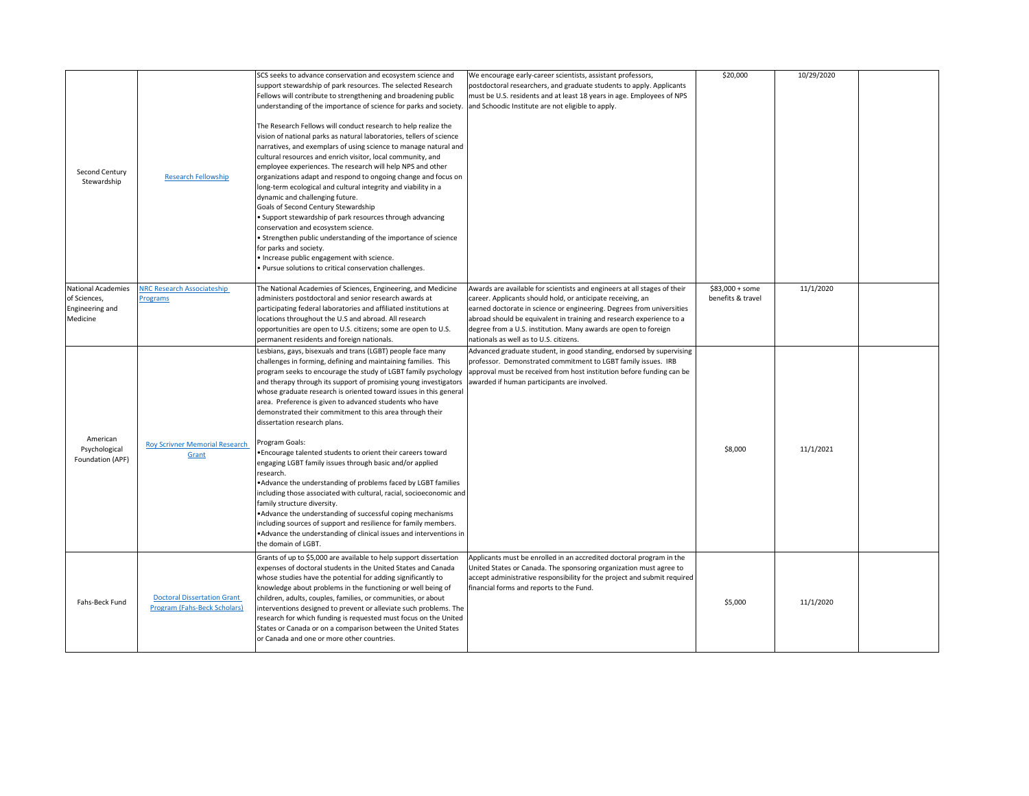| Second Century<br>Stewardship                                            | <b>Research Fellowship</b>                                                | SCS seeks to advance conservation and ecosystem science and<br>support stewardship of park resources. The selected Research<br>Fellows will contribute to strengthening and broadening public<br>understanding of the importance of science for parks and society. and Schoodic Institute are not eligible to apply.<br>The Research Fellows will conduct research to help realize the<br>vision of national parks as natural laboratories, tellers of science<br>narratives, and exemplars of using science to manage natural and<br>cultural resources and enrich visitor, local community, and<br>employee experiences. The research will help NPS and other<br>organizations adapt and respond to ongoing change and focus on<br>long-term ecological and cultural integrity and viability in a<br>dynamic and challenging future.<br>Goals of Second Century Stewardship<br>• Support stewardship of park resources through advancing<br>conservation and ecosystem science.<br>• Strengthen public understanding of the importance of science<br>for parks and society.<br>• Increase public engagement with science.<br>• Pursue solutions to critical conservation challenges. | We encourage early-career scientists, assistant professors,<br>postdoctoral researchers, and graduate students to apply. Applicants<br>must be U.S. residents and at least 18 years in age. Employees of NPS                                                                                                                                                                                          | \$20,000                              | 10/29/2020 |  |
|--------------------------------------------------------------------------|---------------------------------------------------------------------------|----------------------------------------------------------------------------------------------------------------------------------------------------------------------------------------------------------------------------------------------------------------------------------------------------------------------------------------------------------------------------------------------------------------------------------------------------------------------------------------------------------------------------------------------------------------------------------------------------------------------------------------------------------------------------------------------------------------------------------------------------------------------------------------------------------------------------------------------------------------------------------------------------------------------------------------------------------------------------------------------------------------------------------------------------------------------------------------------------------------------------------------------------------------------------------------|-------------------------------------------------------------------------------------------------------------------------------------------------------------------------------------------------------------------------------------------------------------------------------------------------------------------------------------------------------------------------------------------------------|---------------------------------------|------------|--|
| National Academies<br>of Sciences,<br><b>Engineering and</b><br>Medicine | <b>NRC Research Associateship</b><br>Programs                             | The National Academies of Sciences, Engineering, and Medicine<br>administers postdoctoral and senior research awards at<br>participating federal laboratories and affiliated institutions at<br>locations throughout the U.S and abroad. All research<br>opportunities are open to U.S. citizens; some are open to U.S.<br>permanent residents and foreign nationals.                                                                                                                                                                                                                                                                                                                                                                                                                                                                                                                                                                                                                                                                                                                                                                                                                  | Awards are available for scientists and engineers at all stages of their<br>career. Applicants should hold, or anticipate receiving, an<br>earned doctorate in science or engineering. Degrees from universities<br>abroad should be equivalent in training and research experience to a<br>degree from a U.S. institution. Many awards are open to foreign<br>nationals as well as to U.S. citizens. | $$83,000 + some$<br>benefits & travel | 11/1/2020  |  |
| American                                                                 |                                                                           | Lesbians, gays, bisexuals and trans (LGBT) people face many<br>challenges in forming, defining and maintaining families. This<br>and therapy through its support of promising young investigators awarded if human participants are involved.<br>whose graduate research is oriented toward issues in this general<br>area. Preference is given to advanced students who have<br>demonstrated their commitment to this area through their<br>dissertation research plans.                                                                                                                                                                                                                                                                                                                                                                                                                                                                                                                                                                                                                                                                                                              | Advanced graduate student, in good standing, endorsed by supervising<br>professor. Demonstrated commitment to LGBT family issues. IRB<br>program seeks to encourage the study of LGBT family psychology approval must be received from host institution before funding can be                                                                                                                         |                                       |            |  |
| Psychological<br>Foundation (APF)                                        | <b>Roy Scrivner Memorial Research</b><br>Grant                            | Program Goals:<br>. Encourage talented students to orient their careers toward<br>engaging LGBT family issues through basic and/or applied<br>research.<br>• Advance the understanding of problems faced by LGBT families<br>including those associated with cultural, racial, socioeconomic and<br>family structure diversity.<br>• Advance the understanding of successful coping mechanisms<br>including sources of support and resilience for family members.<br>• Advance the understanding of clinical issues and interventions in<br>the domain of LGBT.                                                                                                                                                                                                                                                                                                                                                                                                                                                                                                                                                                                                                        |                                                                                                                                                                                                                                                                                                                                                                                                       | \$8,000                               | 11/1/2021  |  |
| Fahs-Beck Fund                                                           | <b>Doctoral Dissertation Grant</b><br><b>Program (Fahs-Beck Scholars)</b> | Grants of up to \$5,000 are available to help support dissertation<br>expenses of doctoral students in the United States and Canada<br>whose studies have the potential for adding significantly to<br>knowledge about problems in the functioning or well being of<br>children, adults, couples, families, or communities, or about<br>interventions designed to prevent or alleviate such problems. The<br>research for which funding is requested must focus on the United<br>States or Canada or on a comparison between the United States<br>or Canada and one or more other countries.                                                                                                                                                                                                                                                                                                                                                                                                                                                                                                                                                                                           | Applicants must be enrolled in an accredited doctoral program in the<br>United States or Canada. The sponsoring organization must agree to<br>accept administrative responsibility for the project and submit required<br>financial forms and reports to the Fund.                                                                                                                                    | \$5,000                               | 11/1/2020  |  |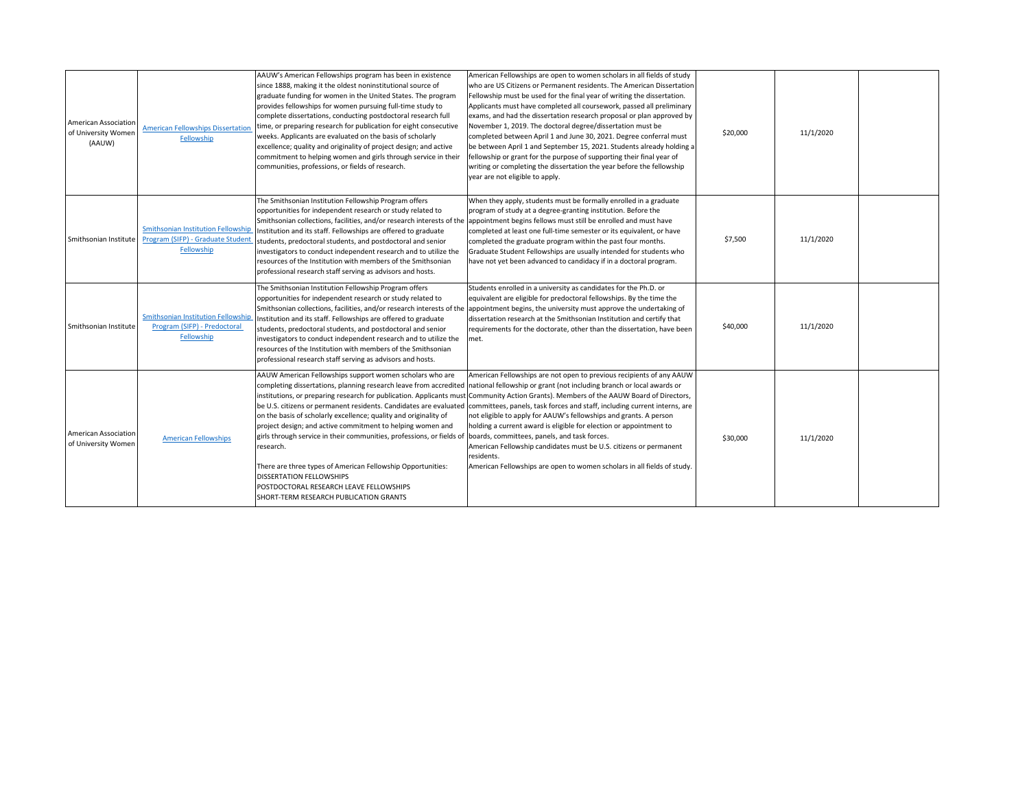| <b>American Association</b><br>of University Women<br>(AAUW) | <b>American Fellowships Dissertation</b><br>Fellowship                                       | AAUW's American Fellowships program has been in existence<br>since 1888, making it the oldest noninstitutional source of<br>graduate funding for women in the United States. The program<br>provides fellowships for women pursuing full-time study to<br>complete dissertations, conducting postdoctoral research full<br>time, or preparing research for publication for eight consecutive<br>weeks. Applicants are evaluated on the basis of scholarly<br>excellence; quality and originality of project design; and active<br>commitment to helping women and girls through service in their<br>communities, professions, or fields of research. | American Fellowships are open to women scholars in all fields of study<br>who are US Citizens or Permanent residents. The American Dissertation<br>Fellowship must be used for the final year of writing the dissertation.<br>Applicants must have completed all coursework, passed all preliminary<br>exams, and had the dissertation research proposal or plan approved by<br>November 1, 2019. The doctoral degree/dissertation must be<br>completed between April 1 and June 30, 2021. Degree conferral must<br>be between April 1 and September 15, 2021. Students already holding a<br>fellowship or grant for the purpose of supporting their final year of<br>writing or completing the dissertation the year before the fellowship<br>year are not eligible to apply.                                     | \$20,000 | 11/1/2020 |  |
|--------------------------------------------------------------|----------------------------------------------------------------------------------------------|------------------------------------------------------------------------------------------------------------------------------------------------------------------------------------------------------------------------------------------------------------------------------------------------------------------------------------------------------------------------------------------------------------------------------------------------------------------------------------------------------------------------------------------------------------------------------------------------------------------------------------------------------|--------------------------------------------------------------------------------------------------------------------------------------------------------------------------------------------------------------------------------------------------------------------------------------------------------------------------------------------------------------------------------------------------------------------------------------------------------------------------------------------------------------------------------------------------------------------------------------------------------------------------------------------------------------------------------------------------------------------------------------------------------------------------------------------------------------------|----------|-----------|--|
| Smithsonian Institute                                        | <b>Smithsonian Institution Fellowship</b><br>Program (SIFP) - Graduate Student<br>Fellowship | The Smithsonian Institution Fellowship Program offers<br>opportunities for independent research or study related to<br>Smithsonian collections, facilities, and/or research interests of the appointment begins fellows must still be enrolled and must have<br>Institution and its staff. Fellowships are offered to graduate<br>students, predoctoral students, and postdoctoral and senior<br>investigators to conduct independent research and to utilize the<br>resources of the Institution with members of the Smithsonian<br>professional research staff serving as advisors and hosts.                                                      | When they apply, students must be formally enrolled in a graduate<br>program of study at a degree-granting institution. Before the<br>completed at least one full-time semester or its equivalent, or have<br>completed the graduate program within the past four months.<br>Graduate Student Fellowships are usually intended for students who<br>have not yet been advanced to candidacy if in a doctoral program.                                                                                                                                                                                                                                                                                                                                                                                               | \$7,500  | 11/1/2020 |  |
| Smithsonian Institute                                        | <b>Smithsonian Institution Fellowship</b><br>Program (SIFP) - Predoctoral<br>Fellowship      | The Smithsonian Institution Fellowship Program offers<br>opportunities for independent research or study related to<br>Institution and its staff. Fellowships are offered to graduate<br>students, predoctoral students, and postdoctoral and senior<br>investigators to conduct independent research and to utilize the<br>resources of the Institution with members of the Smithsonian<br>professional research staff serving as advisors and hosts.                                                                                                                                                                                               | Students enrolled in a university as candidates for the Ph.D. or<br>equivalent are eligible for predoctoral fellowships. By the time the<br>Smithsonian collections, facilities, and/or research interests of the appointment begins, the university must approve the undertaking of<br>dissertation research at the Smithsonian Institution and certify that<br>requirements for the doctorate, other than the dissertation, have been<br>met.                                                                                                                                                                                                                                                                                                                                                                    | \$40,000 | 11/1/2020 |  |
| <b>American Association</b><br>of University Women           | <b>American Fellowships</b>                                                                  | AAUW American Fellowships support women scholars who are<br>on the basis of scholarly excellence; quality and originality of<br>project design; and active commitment to helping women and<br>girls through service in their communities, professions, or fields of  boards, committees, panels, and task forces.<br>research.<br>There are three types of American Fellowship Opportunities:<br><b>DISSERTATION FELLOWSHIPS</b><br>POSTDOCTORAL RESEARCH LEAVE FELLOWSHIPS<br>SHORT-TERM RESEARCH PUBLICATION GRANTS                                                                                                                                | American Fellowships are not open to previous recipients of any AAUW<br>completing dissertations, planning research leave from accredited  national fellowship or grant (not including branch or local awards or<br>institutions, or preparing research for publication. Applicants must Community Action Grants). Members of the AAUW Board of Directors,<br>be U.S. citizens or permanent residents. Candidates are evaluated committees, panels, task forces and staff, including current interns, are<br>not eligible to apply for AAUW's fellowships and grants. A person<br>holding a current award is eligible for election or appointment to<br>American Fellowship candidates must be U.S. citizens or permanent<br>residents.<br>American Fellowships are open to women scholars in all fields of study. | \$30,000 | 11/1/2020 |  |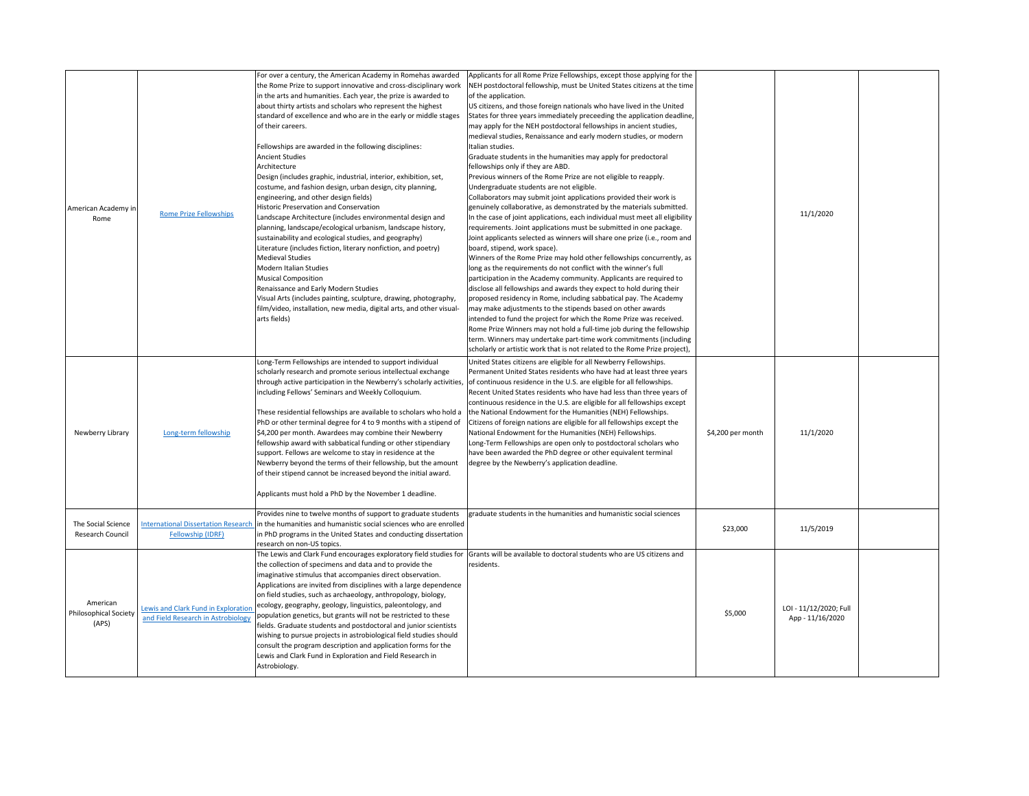| American Academy in<br>Rome                       | <b>Rome Prize Fellowships</b>                                             | For over a century, the American Academy in Romehas awarded<br>the Rome Prize to support innovative and cross-disciplinary work<br>in the arts and humanities. Each year, the prize is awarded to<br>about thirty artists and scholars who represent the highest<br>standard of excellence and who are in the early or middle stages<br>of their careers.<br>Fellowships are awarded in the following disciplines:<br><b>Ancient Studies</b><br>Architecture<br>Design (includes graphic, industrial, interior, exhibition, set,<br>costume, and fashion design, urban design, city planning,<br>engineering, and other design fields)<br><b>Historic Preservation and Conservation</b><br>Landscape Architecture (includes environmental design and<br>planning, landscape/ecological urbanism, landscape history,<br>sustainability and ecological studies, and geography)<br>Literature (includes fiction, literary nonfiction, and poetry)<br><b>Medieval Studies</b><br><b>Modern Italian Studies</b><br><b>Musical Composition</b><br>Renaissance and Early Modern Studies<br>Visual Arts (includes painting, sculpture, drawing, photography,<br>film/video, installation, new media, digital arts, and other visual-<br>arts fields) | Applicants for all Rome Prize Fellowships, except those applying for the<br>NEH postdoctoral fellowship, must be United States citizens at the time<br>of the application.<br>US citizens, and those foreign nationals who have lived in the United<br>States for three years immediately preceeding the application deadline,<br>may apply for the NEH postdoctoral fellowships in ancient studies,<br>medieval studies, Renaissance and early modern studies, or modern<br>Italian studies.<br>Graduate students in the humanities may apply for predoctoral<br>fellowships only if they are ABD.<br>Previous winners of the Rome Prize are not eligible to reapply.<br>Undergraduate students are not eligible.<br>Collaborators may submit joint applications provided their work is<br>genuinely collaborative, as demonstrated by the materials submitted.<br>In the case of joint applications, each individual must meet all eligibility<br>requirements. Joint applications must be submitted in one package.<br>Joint applicants selected as winners will share one prize (i.e., room and<br>board, stipend, work space).<br>Winners of the Rome Prize may hold other fellowships concurrently, as<br>long as the requirements do not conflict with the winner's full<br>participation in the Academy community. Applicants are required to<br>disclose all fellowships and awards they expect to hold during their<br>proposed residency in Rome, including sabbatical pay. The Academy<br>may make adjustments to the stipends based on other awards<br>intended to fund the project for which the Rome Prize was received.<br>Rome Prize Winners may not hold a full-time job during the fellowship<br>term. Winners may undertake part-time work commitments (including<br>scholarly or artistic work that is not related to the Rome Prize project), |                   | 11/1/2020                                  |  |
|---------------------------------------------------|---------------------------------------------------------------------------|----------------------------------------------------------------------------------------------------------------------------------------------------------------------------------------------------------------------------------------------------------------------------------------------------------------------------------------------------------------------------------------------------------------------------------------------------------------------------------------------------------------------------------------------------------------------------------------------------------------------------------------------------------------------------------------------------------------------------------------------------------------------------------------------------------------------------------------------------------------------------------------------------------------------------------------------------------------------------------------------------------------------------------------------------------------------------------------------------------------------------------------------------------------------------------------------------------------------------------------------|---------------------------------------------------------------------------------------------------------------------------------------------------------------------------------------------------------------------------------------------------------------------------------------------------------------------------------------------------------------------------------------------------------------------------------------------------------------------------------------------------------------------------------------------------------------------------------------------------------------------------------------------------------------------------------------------------------------------------------------------------------------------------------------------------------------------------------------------------------------------------------------------------------------------------------------------------------------------------------------------------------------------------------------------------------------------------------------------------------------------------------------------------------------------------------------------------------------------------------------------------------------------------------------------------------------------------------------------------------------------------------------------------------------------------------------------------------------------------------------------------------------------------------------------------------------------------------------------------------------------------------------------------------------------------------------------------------------------------------------------------------------------------------------------------------------------------------------------------------------------|-------------------|--------------------------------------------|--|
| Newberry Library                                  | Long-term fellowship                                                      | Long-Term Fellowships are intended to support individual<br>scholarly research and promote serious intellectual exchange<br>through active participation in the Newberry's scholarly activities, of continuous residence in the U.S. are eligible for all fellowships.<br>including Fellows' Seminars and Weekly Colloquium.<br>These residential fellowships are available to scholars who hold a<br>PhD or other terminal degree for 4 to 9 months with a stipend of<br>\$4,200 per month. Awardees may combine their Newberry<br>fellowship award with sabbatical funding or other stipendiary<br>support. Fellows are welcome to stay in residence at the<br>Newberry beyond the terms of their fellowship, but the amount<br>of their stipend cannot be increased beyond the initial award.<br>Applicants must hold a PhD by the November 1 deadline.                                                                                                                                                                                                                                                                                                                                                                                   | United States citizens are eligible for all Newberry Fellowships.<br>Permanent United States residents who have had at least three years<br>Recent United States residents who have had less than three years of<br>continuous residence in the U.S. are eligible for all fellowships except<br>the National Endowment for the Humanities (NEH) Fellowships.<br>Citizens of foreign nations are eligible for all fellowships except the<br>National Endowment for the Humanities (NEH) Fellowships.<br>Long-Term Fellowships are open only to postdoctoral scholars who<br>have been awarded the PhD degree or other equivalent terminal<br>degree by the Newberry's application deadline.                                                                                                                                                                                                                                                                                                                                                                                                                                                                                                                                                                                                                                                                                                                                                                                                                                                                                                                                                                                                                                                                                                                                                                          | \$4,200 per month | 11/1/2020                                  |  |
| The Social Science<br>Research Council            | <b>International Dissertation Research</b><br>Fellowship (IDRF)           | Provides nine to twelve months of support to graduate students<br>in the humanities and humanistic social sciences who are enrolled<br>in PhD programs in the United States and conducting dissertation<br>research on non-US topics.                                                                                                                                                                                                                                                                                                                                                                                                                                                                                                                                                                                                                                                                                                                                                                                                                                                                                                                                                                                                        | graduate students in the humanities and humanistic social sciences                                                                                                                                                                                                                                                                                                                                                                                                                                                                                                                                                                                                                                                                                                                                                                                                                                                                                                                                                                                                                                                                                                                                                                                                                                                                                                                                                                                                                                                                                                                                                                                                                                                                                                                                                                                                  | \$23,000          | 11/5/2019                                  |  |
| American<br><b>Philosophical Society</b><br>(APS) | Lewis and Clark Fund in Exploration<br>and Field Research in Astrobiology | the collection of specimens and data and to provide the<br>imaginative stimulus that accompanies direct observation.<br>Applications are invited from disciplines with a large dependence<br>on field studies, such as archaeology, anthropology, biology,<br>ecology, geography, geology, linguistics, paleontology, and<br>population genetics, but grants will not be restricted to these<br>fields. Graduate students and postdoctoral and junior scientists<br>wishing to pursue projects in astrobiological field studies should<br>consult the program description and application forms for the<br>Lewis and Clark Fund in Exploration and Field Research in<br>Astrobiology.                                                                                                                                                                                                                                                                                                                                                                                                                                                                                                                                                        | The Lewis and Clark Fund encourages exploratory field studies for $ $ Grants will be available to doctoral students who are US citizens and<br>residents.                                                                                                                                                                                                                                                                                                                                                                                                                                                                                                                                                                                                                                                                                                                                                                                                                                                                                                                                                                                                                                                                                                                                                                                                                                                                                                                                                                                                                                                                                                                                                                                                                                                                                                           | \$5,000           | LOI - 11/12/2020; Full<br>App - 11/16/2020 |  |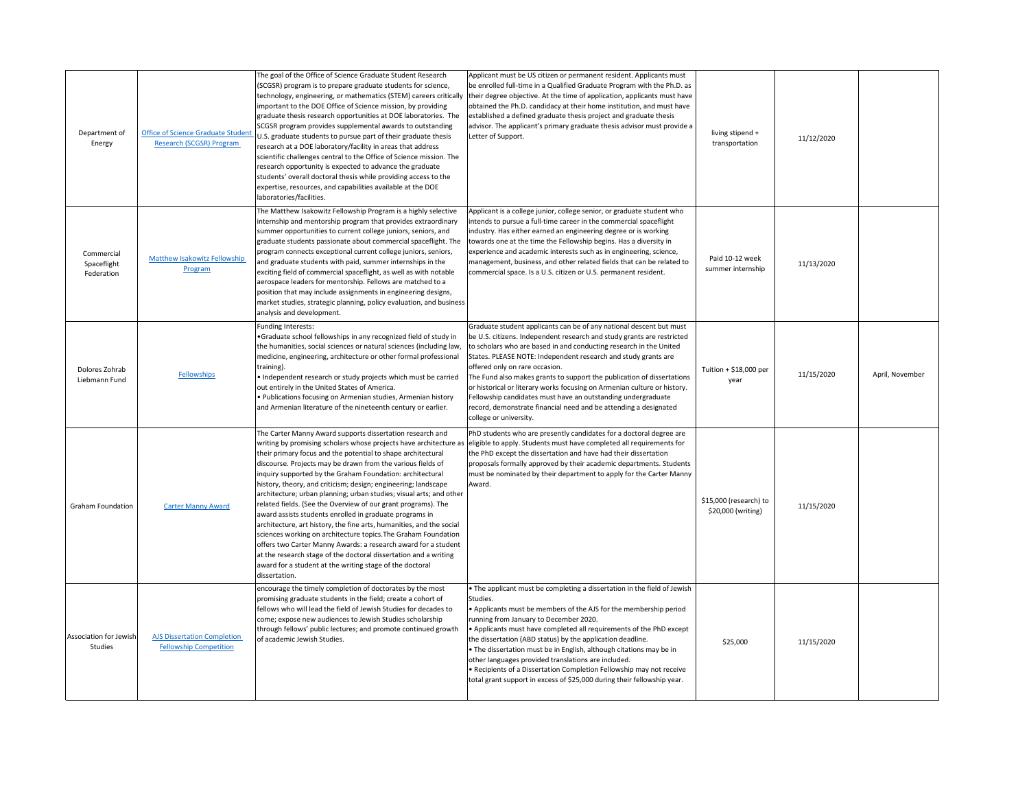| Department of<br>Energy                  | <b>Office of Science Graduate Student</b><br>Research (SCGSR) Program | The goal of the Office of Science Graduate Student Research<br>(SCGSR) program is to prepare graduate students for science,<br>technology, engineering, or mathematics (STEM) careers critically<br>important to the DOE Office of Science mission, by providing<br>graduate thesis research opportunities at DOE laboratories. The<br>SCGSR program provides supplemental awards to outstanding<br>U.S. graduate students to pursue part of their graduate thesis<br>research at a DOE laboratory/facility in areas that address<br>scientific challenges central to the Office of Science mission. The<br>research opportunity is expected to advance the graduate<br>students' overall doctoral thesis while providing access to the<br>expertise, resources, and capabilities available at the DOE<br>laboratories/facilities.                                                                                                                           | Applicant must be US citizen or permanent resident. Applicants must<br>be enrolled full-time in a Qualified Graduate Program with the Ph.D. as<br>their degree objective. At the time of application, applicants must have<br>obtained the Ph.D. candidacy at their home institution, and must have<br>established a defined graduate thesis project and graduate thesis<br>advisor. The applicant's primary graduate thesis advisor must provide a<br>Letter of Support.                                                                                                                                                                   | living stipend +<br>transportation           | 11/12/2020 |                 |
|------------------------------------------|-----------------------------------------------------------------------|--------------------------------------------------------------------------------------------------------------------------------------------------------------------------------------------------------------------------------------------------------------------------------------------------------------------------------------------------------------------------------------------------------------------------------------------------------------------------------------------------------------------------------------------------------------------------------------------------------------------------------------------------------------------------------------------------------------------------------------------------------------------------------------------------------------------------------------------------------------------------------------------------------------------------------------------------------------|---------------------------------------------------------------------------------------------------------------------------------------------------------------------------------------------------------------------------------------------------------------------------------------------------------------------------------------------------------------------------------------------------------------------------------------------------------------------------------------------------------------------------------------------------------------------------------------------------------------------------------------------|----------------------------------------------|------------|-----------------|
| Commercial<br>Spaceflight<br>Federation  | <b>Matthew Isakowitz Fellowship</b><br>Program                        | The Matthew Isakowitz Fellowship Program is a highly selective<br>internship and mentorship program that provides extraordinary<br>summer opportunities to current college juniors, seniors, and<br>graduate students passionate about commercial spaceflight. The<br>program connects exceptional current college juniors, seniors,<br>and graduate students with paid, summer internships in the<br>exciting field of commercial spaceflight, as well as with notable<br>aerospace leaders for mentorship. Fellows are matched to a<br>position that may include assignments in engineering designs,<br>market studies, strategic planning, policy evaluation, and business<br>analysis and development.                                                                                                                                                                                                                                                   | Applicant is a college junior, college senior, or graduate student who<br>intends to pursue a full-time career in the commercial spaceflight<br>industry. Has either earned an engineering degree or is working<br>towards one at the time the Fellowship begins. Has a diversity in<br>experience and academic interests such as in engineering, science,<br>management, business, and other related fields that can be related to<br>commercial space. Is a U.S. citizen or U.S. permanent resident.                                                                                                                                      | Paid 10-12 week<br>summer internship         | 11/13/2020 |                 |
| Dolores Zohrab<br>Liebmann Fund          | <b>Fellowships</b>                                                    | Funding Interests:<br>•Graduate school fellowships in any recognized field of study in<br>the humanities, social sciences or natural sciences (including law,<br>medicine, engineering, architecture or other formal professional<br>training).<br>• Independent research or study projects which must be carried<br>out entirely in the United States of America.<br>· Publications focusing on Armenian studies, Armenian history<br>and Armenian literature of the nineteenth century or earlier.                                                                                                                                                                                                                                                                                                                                                                                                                                                         | Graduate student applicants can be of any national descent but must<br>be U.S. citizens. Independent research and study grants are restricted<br>to scholars who are based in and conducting research in the United<br>States. PLEASE NOTE: Independent research and study grants are<br>offered only on rare occasion.<br>The Fund also makes grants to support the publication of dissertations<br>or historical or literary works focusing on Armenian culture or history.<br>Fellowship candidates must have an outstanding undergraduate<br>record, demonstrate financial need and be attending a designated<br>college or university. | Tuition + \$18,000 per<br>year               | 11/15/2020 | April, November |
| <b>Graham Foundation</b>                 | <b>Carter Manny Award</b>                                             | The Carter Manny Award supports dissertation research and<br>writing by promising scholars whose projects have architecture as<br>their primary focus and the potential to shape architectural<br>discourse. Projects may be drawn from the various fields of<br>inquiry supported by the Graham Foundation: architectural<br>history, theory, and criticism; design; engineering; landscape<br>architecture; urban planning; urban studies; visual arts; and other<br>related fields. (See the Overview of our grant programs). The<br>award assists students enrolled in graduate programs in<br>architecture, art history, the fine arts, humanities, and the social<br>sciences working on architecture topics. The Graham Foundation<br>offers two Carter Manny Awards: a research award for a student<br>at the research stage of the doctoral dissertation and a writing<br>award for a student at the writing stage of the doctoral<br>dissertation. | PhD students who are presently candidates for a doctoral degree are<br>eligible to apply. Students must have completed all requirements for<br>the PhD except the dissertation and have had their dissertation<br>proposals formally approved by their academic departments. Students<br>must be nominated by their department to apply for the Carter Manny<br>Award.                                                                                                                                                                                                                                                                      | \$15,000 (research) to<br>\$20,000 (writing) | 11/15/2020 |                 |
| <b>Association for Jewish</b><br>Studies | <b>AJS Dissertation Completion</b><br><b>Fellowship Competition</b>   | encourage the timely completion of doctorates by the most<br>promising graduate students in the field; create a cohort of<br>fellows who will lead the field of Jewish Studies for decades to<br>come; expose new audiences to Jewish Studies scholarship<br>through fellows' public lectures; and promote continued growth<br>of academic Jewish Studies.                                                                                                                                                                                                                                                                                                                                                                                                                                                                                                                                                                                                   | • The applicant must be completing a dissertation in the field of Jewish<br>Studies.<br>• Applicants must be members of the AJS for the membership period<br>running from January to December 2020.<br>• Applicants must have completed all requirements of the PhD except<br>the dissertation (ABD status) by the application deadline.<br>• The dissertation must be in English, although citations may be in<br>other languages provided translations are included.<br>• Recipients of a Dissertation Completion Fellowship may not receive<br>total grant support in excess of \$25,000 during their fellowship year.                   | \$25,000                                     | 11/15/2020 |                 |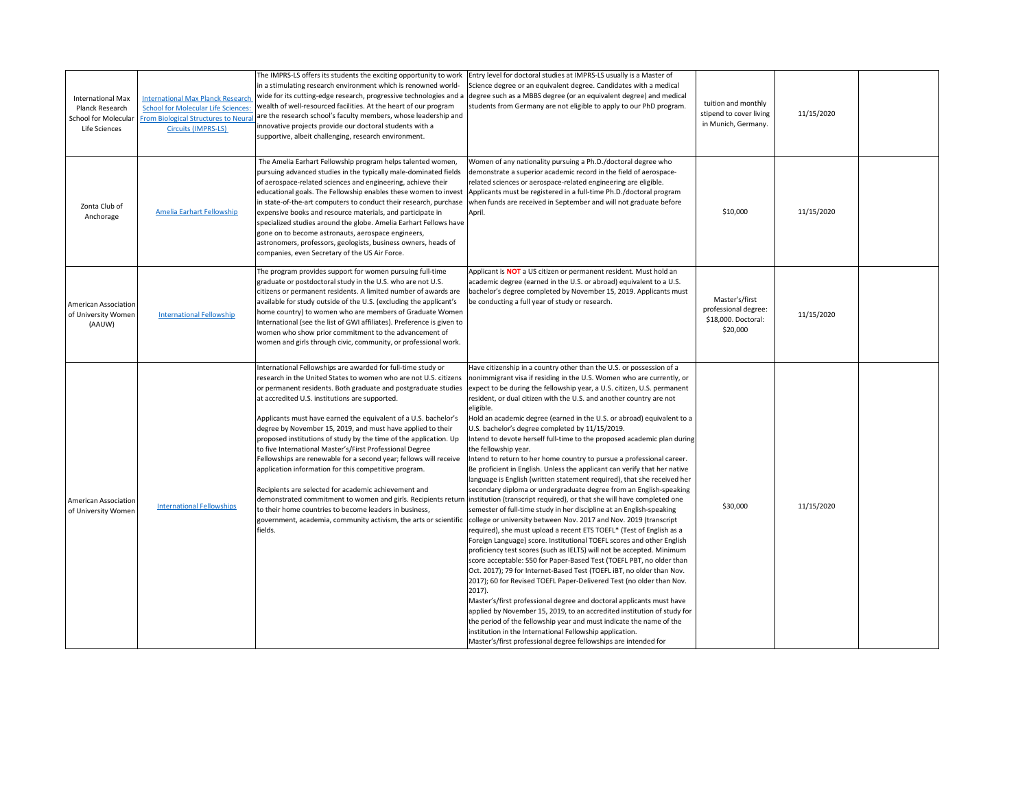| <b>International Max</b><br><b>Planck Research</b><br>School for Molecular<br>Life Sciences | <b>International Max Planck Research</b><br><b>School for Molecular Life Sciences:</b><br><b>From Biological Structures to Neura</b><br>Circuits (IMPRS-LS) | The IMPRS-LS offers its students the exciting opportunity to work<br>in a stimulating research environment which is renowned world-<br>wealth of well-resourced facilities. At the heart of our program<br>are the research school's faculty members, whose leadership and<br>innovative projects provide our doctoral students with a<br>supportive, albeit challenging, research environment.                                                                                                                                                                                                                                                                                                                  | Entry level for doctoral studies at IMPRS-LS usually is a Master of<br>Science degree or an equivalent degree. Candidates with a medical<br>wide for its cutting-edge research, progressive technologies and a degree such as a MBBS degree (or an equivalent degree) and medical<br>students from Germany are not eligible to apply to our PhD program.                                                                                                                                                                                                                                                                                                                                                                                                                                                                                                                                                                                                                                                                                                                                                                                                                                                                                                                                                                                                                                                                                                                                                                                                                                                                                                                                                                                                                                                                                                                                                                                                                                                                                                                                           | tuition and monthly<br>stipend to cover living<br>in Munich, Germany.     | 11/15/2020 |  |
|---------------------------------------------------------------------------------------------|-------------------------------------------------------------------------------------------------------------------------------------------------------------|------------------------------------------------------------------------------------------------------------------------------------------------------------------------------------------------------------------------------------------------------------------------------------------------------------------------------------------------------------------------------------------------------------------------------------------------------------------------------------------------------------------------------------------------------------------------------------------------------------------------------------------------------------------------------------------------------------------|----------------------------------------------------------------------------------------------------------------------------------------------------------------------------------------------------------------------------------------------------------------------------------------------------------------------------------------------------------------------------------------------------------------------------------------------------------------------------------------------------------------------------------------------------------------------------------------------------------------------------------------------------------------------------------------------------------------------------------------------------------------------------------------------------------------------------------------------------------------------------------------------------------------------------------------------------------------------------------------------------------------------------------------------------------------------------------------------------------------------------------------------------------------------------------------------------------------------------------------------------------------------------------------------------------------------------------------------------------------------------------------------------------------------------------------------------------------------------------------------------------------------------------------------------------------------------------------------------------------------------------------------------------------------------------------------------------------------------------------------------------------------------------------------------------------------------------------------------------------------------------------------------------------------------------------------------------------------------------------------------------------------------------------------------------------------------------------------------|---------------------------------------------------------------------------|------------|--|
| Zonta Club of<br>Anchorage                                                                  | Amelia Earhart Fellowship                                                                                                                                   | The Amelia Earhart Fellowship program helps talented women,<br>pursuing advanced studies in the typically male-dominated fields<br>of aerospace-related sciences and engineering, achieve their<br>educational goals. The Fellowship enables these women to invest<br>in state-of-the-art computers to conduct their research, purchase<br>expensive books and resource materials, and participate in<br>specialized studies around the globe. Amelia Earhart Fellows have<br>gone on to become astronauts, aerospace engineers,<br>astronomers, professors, geologists, business owners, heads of<br>companies, even Secretary of the US Air Force.                                                             | Women of any nationality pursuing a Ph.D./doctoral degree who<br>demonstrate a superior academic record in the field of aerospace-<br>related sciences or aerospace-related engineering are eligible.<br>Applicants must be registered in a full-time Ph.D./doctoral program<br>when funds are received in September and will not graduate before<br>April.                                                                                                                                                                                                                                                                                                                                                                                                                                                                                                                                                                                                                                                                                                                                                                                                                                                                                                                                                                                                                                                                                                                                                                                                                                                                                                                                                                                                                                                                                                                                                                                                                                                                                                                                        | \$10,000                                                                  | 11/15/2020 |  |
| <b>American Association</b><br>of University Women<br>(AAUW)                                | <b>International Fellowship</b>                                                                                                                             | The program provides support for women pursuing full-time<br>graduate or postdoctoral study in the U.S. who are not U.S.<br>citizens or permanent residents. A limited number of awards are<br>available for study outside of the U.S. (excluding the applicant's<br>home country) to women who are members of Graduate Women<br>International (see the list of GWI affiliates). Preference is given to<br>women who show prior commitment to the advancement of<br>women and girls through civic, community, or professional work.                                                                                                                                                                              | Applicant is <b>NOT</b> a US citizen or permanent resident. Must hold an<br>academic degree (earned in the U.S. or abroad) equivalent to a U.S.<br>bachelor's degree completed by November 15, 2019. Applicants must<br>be conducting a full year of study or research.                                                                                                                                                                                                                                                                                                                                                                                                                                                                                                                                                                                                                                                                                                                                                                                                                                                                                                                                                                                                                                                                                                                                                                                                                                                                                                                                                                                                                                                                                                                                                                                                                                                                                                                                                                                                                            | Master's/first<br>professional degree:<br>\$18,000. Doctoral:<br>\$20,000 | 11/15/2020 |  |
| <b>American Association</b><br>of University Women                                          | <b>International Fellowships</b>                                                                                                                            | International Fellowships are awarded for full-time study or<br>research in the United States to women who are not U.S. citizens<br>at accredited U.S. institutions are supported.<br>Applicants must have earned the equivalent of a U.S. bachelor's<br>degree by November 15, 2019, and must have applied to their<br>proposed institutions of study by the time of the application. Up<br>to five International Master's/First Professional Degree<br>Fellowships are renewable for a second year; fellows will receive<br>application information for this competitive program.<br>Recipients are selected for academic achievement and<br>to their home countries to become leaders in business,<br>fields. | Have citizenship in a country other than the U.S. or possession of a<br>nonimmigrant visa if residing in the U.S. Women who are currently, or<br>or permanent residents. Both graduate and postgraduate studies expect to be during the fellowship year, a U.S. citizen, U.S. permanent<br>resident, or dual citizen with the U.S. and another country are not<br>eligible.<br>Hold an academic degree (earned in the U.S. or abroad) equivalent to a<br>U.S. bachelor's degree completed by 11/15/2019.<br>Intend to devote herself full-time to the proposed academic plan during<br>the fellowship year.<br>Intend to return to her home country to pursue a professional career.<br>Be proficient in English. Unless the applicant can verify that her native<br>language is English (written statement required), that she received her<br>secondary diploma or undergraduate degree from an English-speaking<br>demonstrated commitment to women and girls. Recipients return linstitution (transcript required), or that she will have completed one<br>semester of full-time study in her discipline at an English-speaking<br>government, academia, community activism, the arts or scientific college or university between Nov. 2017 and Nov. 2019 (transcript<br>required), she must upload a recent ETS TOEFL* (Test of English as a<br>Foreign Language) score. Institutional TOEFL scores and other English<br>proficiency test scores (such as IELTS) will not be accepted. Minimum<br>score acceptable: 550 for Paper-Based Test (TOEFL PBT, no older than<br>Oct. 2017); 79 for Internet-Based Test (TOEFL iBT, no older than Nov.<br>2017); 60 for Revised TOEFL Paper-Delivered Test (no older than Nov.<br>$2017$ ).<br>Master's/first professional degree and doctoral applicants must have<br>applied by November 15, 2019, to an accredited institution of study for<br>the period of the fellowship year and must indicate the name of the<br>institution in the International Fellowship application.<br>Master's/first professional degree fellowships are intended for | \$30,000                                                                  | 11/15/2020 |  |

master's or professional degree-level programs such as J.D., M.F.A.,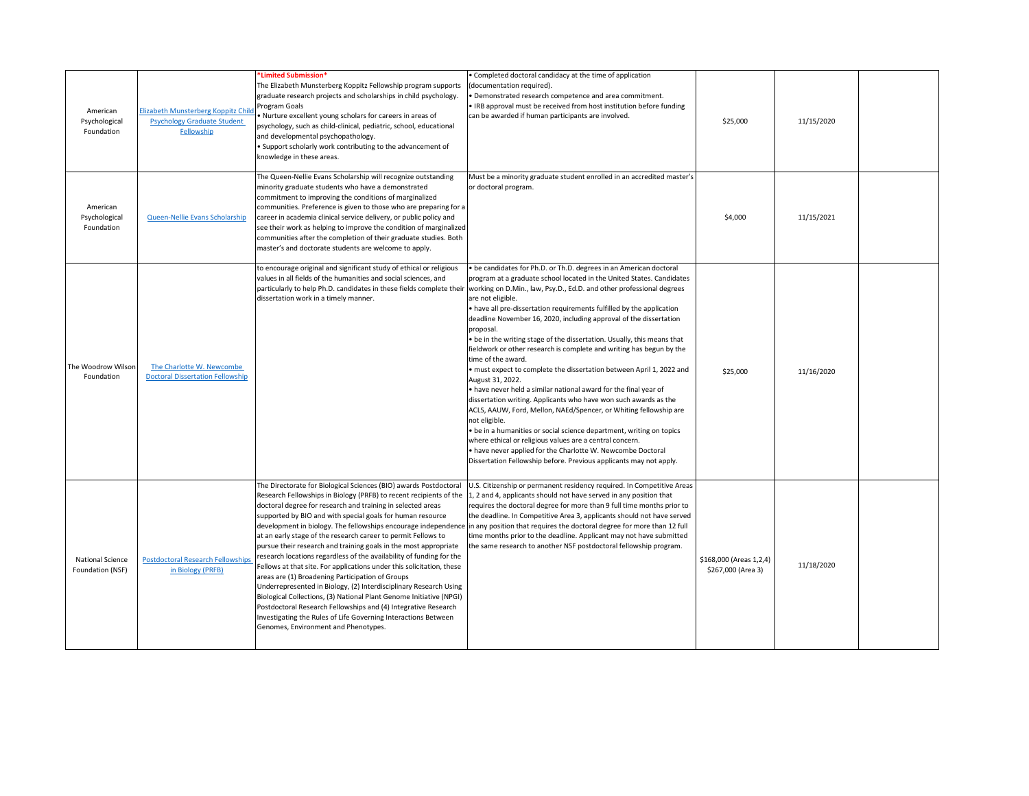| American<br>Psychological<br>Foundation     | Elizabeth Munsterberg Koppitz Child<br><b>Psychology Graduate Student</b><br>Fellowship | *Limited Submission*<br>The Elizabeth Munsterberg Koppitz Fellowship program supports<br>graduate research projects and scholarships in child psychology.<br>Program Goals<br>• Nurture excellent young scholars for careers in areas of<br>psychology, such as child-clinical, pediatric, school, educational<br>and developmental psychopathology.<br>• Support scholarly work contributing to the advancement of<br>knowledge in these areas.                                                                                                                                                                                                                                                                                                                                                                                                                                                                                                                                                                  | • Completed doctoral candidacy at the time of application<br>(documentation required).<br>• Demonstrated research competence and area commitment.<br>. IRB approval must be received from host institution before funding<br>can be awarded if human participants are involved.                                                                                                                                                                                                                                                                                                                                                                                                                                                                                                                                                                                                                                                                                                                                                                                                                                                                                                                                                                                                 | \$25,000                                      | 11/15/2020 |  |
|---------------------------------------------|-----------------------------------------------------------------------------------------|-------------------------------------------------------------------------------------------------------------------------------------------------------------------------------------------------------------------------------------------------------------------------------------------------------------------------------------------------------------------------------------------------------------------------------------------------------------------------------------------------------------------------------------------------------------------------------------------------------------------------------------------------------------------------------------------------------------------------------------------------------------------------------------------------------------------------------------------------------------------------------------------------------------------------------------------------------------------------------------------------------------------|---------------------------------------------------------------------------------------------------------------------------------------------------------------------------------------------------------------------------------------------------------------------------------------------------------------------------------------------------------------------------------------------------------------------------------------------------------------------------------------------------------------------------------------------------------------------------------------------------------------------------------------------------------------------------------------------------------------------------------------------------------------------------------------------------------------------------------------------------------------------------------------------------------------------------------------------------------------------------------------------------------------------------------------------------------------------------------------------------------------------------------------------------------------------------------------------------------------------------------------------------------------------------------|-----------------------------------------------|------------|--|
| American<br>Psychological<br>Foundation     | Queen-Nellie Evans Scholarship                                                          | The Queen-Nellie Evans Scholarship will recognize outstanding<br>minority graduate students who have a demonstrated<br>commitment to improving the conditions of marginalized<br>communities. Preference is given to those who are preparing for a<br>career in academia clinical service delivery, or public policy and<br>see their work as helping to improve the condition of marginalized<br>communities after the completion of their graduate studies. Both<br>master's and doctorate students are welcome to apply.                                                                                                                                                                                                                                                                                                                                                                                                                                                                                       | Must be a minority graduate student enrolled in an accredited master's<br>or doctoral program.                                                                                                                                                                                                                                                                                                                                                                                                                                                                                                                                                                                                                                                                                                                                                                                                                                                                                                                                                                                                                                                                                                                                                                                  | \$4,000                                       | 11/15/2021 |  |
| The Woodrow Wilson<br>Foundation            | The Charlotte W. Newcombe<br><b>Doctoral Dissertation Fellowship</b>                    | to encourage original and significant study of ethical or religious<br>values in all fields of the humanities and social sciences, and<br>dissertation work in a timely manner.                                                                                                                                                                                                                                                                                                                                                                                                                                                                                                                                                                                                                                                                                                                                                                                                                                   | • be candidates for Ph.D. or Th.D. degrees in an American doctoral<br>program at a graduate school located in the United States. Candidates<br>particularly to help Ph.D. candidates in these fields complete their working on D.Min., law, Psy.D., Ed.D. and other professional degrees<br>are not eligible.<br>$\bullet$ have all pre-dissertation requirements fulfilled by the application<br>deadline November 16, 2020, including approval of the dissertation<br>proposal.<br>$\bullet$ be in the writing stage of the dissertation. Usually, this means that<br>fieldwork or other research is complete and writing has begun by the<br>time of the award.<br>must expect to complete the dissertation between April 1, 2022 and<br>August 31, 2022.<br>$\cdot$ have never held a similar national award for the final year of<br>dissertation writing. Applicants who have won such awards as the<br>ACLS, AAUW, Ford, Mellon, NAEd/Spencer, or Whiting fellowship are<br>not eligible.<br>$\cdot$ be in a humanities or social science department, writing on topics<br>where ethical or religious values are a central concern.<br>. have never applied for the Charlotte W. Newcombe Doctoral<br>Dissertation Fellowship before. Previous applicants may not apply. | \$25,000                                      | 11/16/2020 |  |
| <b>National Science</b><br>Foundation (NSF) | <b>Postdoctoral Research Fellowships</b><br>in Biology (PRFB)                           | The Directorate for Biological Sciences (BIO) awards Postdoctoral<br>Research Fellowships in Biology (PRFB) to recent recipients of the $\vert$ 1, 2 and 4, applicants should not have served in any position that<br>doctoral degree for research and training in selected areas<br>supported by BIO and with special goals for human resource<br>at an early stage of the research career to permit Fellows to<br>pursue their research and training goals in the most appropriate<br>research locations regardless of the availability of funding for the<br>Fellows at that site. For applications under this solicitation, these<br>areas are (1) Broadening Participation of Groups<br>Underrepresented in Biology, (2) Interdisciplinary Research Using<br>Biological Collections, (3) National Plant Genome Initiative (NPGI)<br>Postdoctoral Research Fellowships and (4) Integrative Research<br>Investigating the Rules of Life Governing Interactions Between<br>Genomes, Environment and Phenotypes. | U.S. Citizenship or permanent residency required. In Competitive Areas<br>requires the doctoral degree for more than 9 full time months prior to<br>the deadline. In Competitive Area 3, applicants should not have served<br>development in biology. The fellowships encourage independence in any position that requires the doctoral degree for more than 12 full<br>time months prior to the deadline. Applicant may not have submitted<br>the same research to another NSF postdoctoral fellowship program.                                                                                                                                                                                                                                                                                                                                                                                                                                                                                                                                                                                                                                                                                                                                                                | \$168,000 (Areas 1,2,4)<br>\$267,000 (Area 3) | 11/18/2020 |  |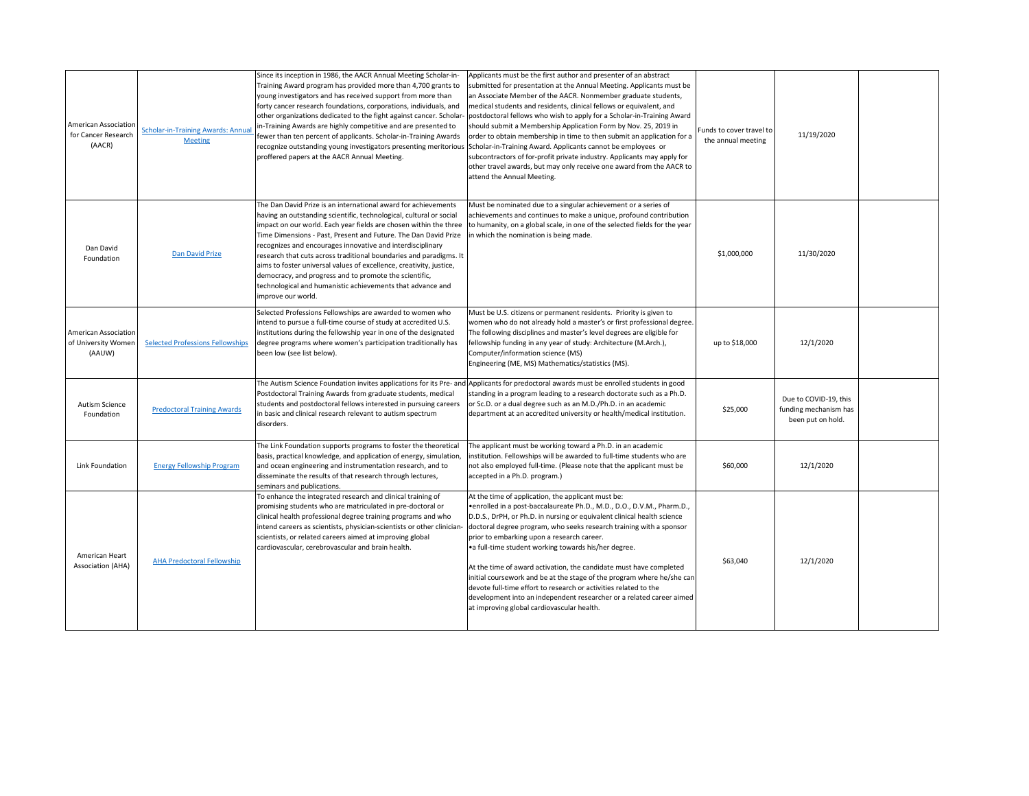| <b>American Association</b><br>for Cancer Research<br>(AACR) | <b>Scholar-in-Training Awards: Annua</b><br><b>Meeting</b> | Since its inception in 1986, the AACR Annual Meeting Scholar-in-<br>Training Award program has provided more than 4,700 grants to<br>young investigators and has received support from more than<br>forty cancer research foundations, corporations, individuals, and<br>other organizations dedicated to the fight against cancer. Scholar-<br>in-Training Awards are highly competitive and are presented to<br>fewer than ten percent of applicants. Scholar-in-Training Awards<br>recognize outstanding young investigators presenting meritorious Scholar-in-Training Award. Applicants cannot be employees or<br>proffered papers at the AACR Annual Meeting. | Applicants must be the first author and presenter of an abstract<br>submitted for presentation at the Annual Meeting. Applicants must be<br>an Associate Member of the AACR. Nonmember graduate students,<br>medical students and residents, clinical fellows or equivalent, and<br>postdoctoral fellows who wish to apply for a Scholar-in-Training Award<br>should submit a Membership Application Form by Nov. 25, 2019 in<br>order to obtain membership in time to then submit an application for a<br>subcontractors of for-profit private industry. Applicants may apply for<br>other travel awards, but may only receive one award from the AACR to<br>attend the Annual Meeting.                                         | Funds to cover travel to<br>the annual meeting | 11/19/2020                                                          |  |
|--------------------------------------------------------------|------------------------------------------------------------|---------------------------------------------------------------------------------------------------------------------------------------------------------------------------------------------------------------------------------------------------------------------------------------------------------------------------------------------------------------------------------------------------------------------------------------------------------------------------------------------------------------------------------------------------------------------------------------------------------------------------------------------------------------------|----------------------------------------------------------------------------------------------------------------------------------------------------------------------------------------------------------------------------------------------------------------------------------------------------------------------------------------------------------------------------------------------------------------------------------------------------------------------------------------------------------------------------------------------------------------------------------------------------------------------------------------------------------------------------------------------------------------------------------|------------------------------------------------|---------------------------------------------------------------------|--|
| Dan David<br>Foundation                                      | Dan David Prize                                            | The Dan David Prize is an international award for achievements<br>having an outstanding scientific, technological, cultural or social<br>impact on our world. Each year fields are chosen within the three<br>Time Dimensions - Past, Present and Future. The Dan David Prize<br>recognizes and encourages innovative and interdisciplinary<br>research that cuts across traditional boundaries and paradigms. It<br>aims to foster universal values of excellence, creativity, justice,<br>democracy, and progress and to promote the scientific,<br>technological and humanistic achievements that advance and<br>improve our world.                              | Must be nominated due to a singular achievement or a series of<br>achievements and continues to make a unique, profound contribution<br>to humanity, on a global scale, in one of the selected fields for the year<br>in which the nomination is being made.                                                                                                                                                                                                                                                                                                                                                                                                                                                                     | \$1,000,000                                    | 11/30/2020                                                          |  |
| <b>American Association</b><br>of University Women<br>(AAUW) | <b>Selected Professions Fellowships</b>                    | Selected Professions Fellowships are awarded to women who<br>intend to pursue a full-time course of study at accredited U.S.<br>institutions during the fellowship year in one of the designated<br>degree programs where women's participation traditionally has<br>been low (see list below).                                                                                                                                                                                                                                                                                                                                                                     | Must be U.S. citizens or permanent residents. Priority is given to<br>women who do not already hold a master's or first professional degree.<br>The following disciplines and master's level degrees are eligible for<br>fellowship funding in any year of study: Architecture (M.Arch.),<br>Computer/information science (MS)<br>Engineering (ME, MS) Mathematics/statistics (MS).                                                                                                                                                                                                                                                                                                                                              | up to \$18,000                                 | 12/1/2020                                                           |  |
| <b>Autism Science</b><br>Foundation                          | <b>Predoctoral Training Awards</b>                         | Postdoctoral Training Awards from graduate students, medical<br>students and postdoctoral fellows interested in pursuing careers<br>in basic and clinical research relevant to autism spectrum<br>disorders.                                                                                                                                                                                                                                                                                                                                                                                                                                                        | The Autism Science Foundation invites applications for its Pre- and Applicants for predoctoral awards must be enrolled students in good<br>standing in a program leading to a research doctorate such as a Ph.D.<br>or Sc.D. or a dual degree such as an M.D./Ph.D. in an academic<br>department at an accredited university or health/medical institution.                                                                                                                                                                                                                                                                                                                                                                      | \$25,000                                       | Due to COVID-19, this<br>funding mechanism has<br>been put on hold. |  |
| Link Foundation                                              | <b>Energy Fellowship Program</b>                           | The Link Foundation supports programs to foster the theoretical<br>basis, practical knowledge, and application of energy, simulation,<br>and ocean engineering and instrumentation research, and to<br>disseminate the results of that research through lectures,<br>seminars and publications.                                                                                                                                                                                                                                                                                                                                                                     | The applicant must be working toward a Ph.D. in an academic<br>institution. Fellowships will be awarded to full-time students who are<br>not also employed full-time. (Please note that the applicant must be<br>accepted in a Ph.D. program.)                                                                                                                                                                                                                                                                                                                                                                                                                                                                                   | \$60,000                                       | 12/1/2020                                                           |  |
| American Heart<br><b>Association (AHA)</b>                   | <b>AHA Predoctoral Fellowship</b>                          | To enhance the integrated research and clinical training of<br>promising students who are matriculated in pre-doctoral or<br>clinical health professional degree training programs and who<br>intend careers as scientists, physician-scientists or other clinician-<br>scientists, or related careers aimed at improving global<br>cardiovascular, cerebrovascular and brain health.                                                                                                                                                                                                                                                                               | At the time of application, the applicant must be:<br>• enrolled in a post-baccalaureate Ph.D., M.D., D.O., D.V.M., Pharm.D.,<br>D.D.S., DrPH, or Ph.D. in nursing or equivalent clinical health science<br>doctoral degree program, who seeks research training with a sponsor<br>prior to embarking upon a research career.<br>• a full-time student working towards his/her degree.<br>At the time of award activation, the candidate must have completed<br>initial coursework and be at the stage of the program where he/she can<br>devote full-time effort to research or activities related to the<br>development into an independent researcher or a related career aimed<br>at improving global cardiovascular health. | \$63,040                                       | 12/1/2020                                                           |  |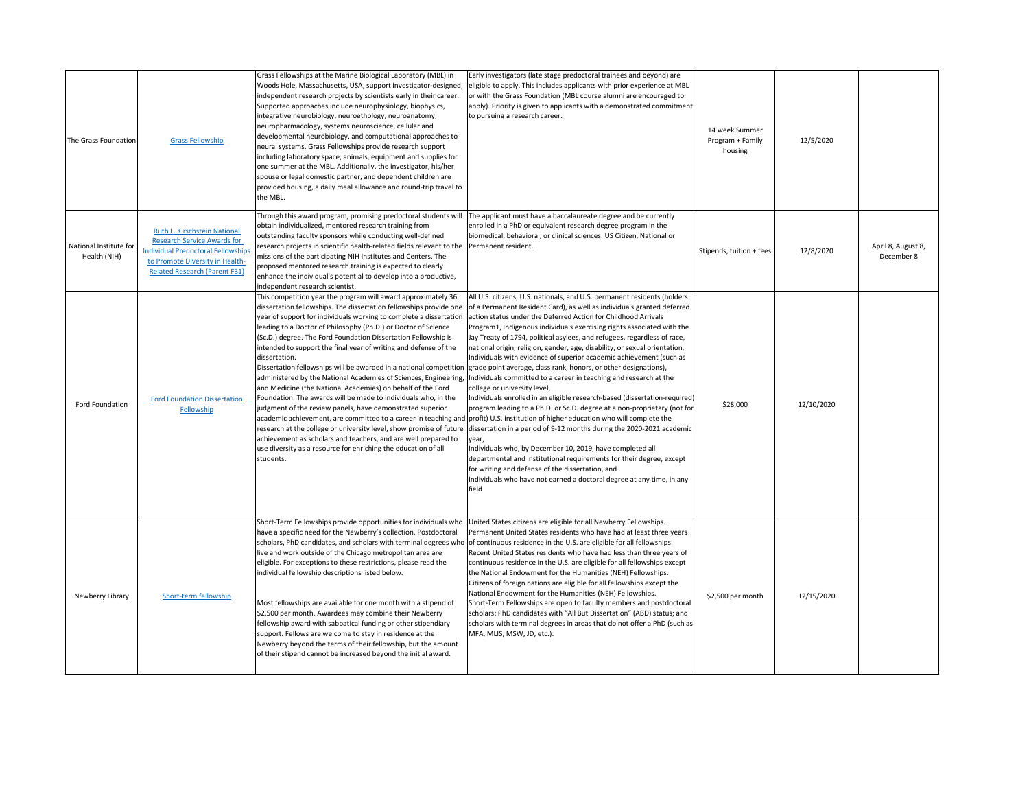| The Grass Foundation                   | <b>Grass Fellowship</b>                                                                                                                                                                    | Grass Fellowships at the Marine Biological Laboratory (MBL) in<br>Woods Hole, Massachusetts, USA, support investigator-designed,<br>independent research projects by scientists early in their career.<br>Supported approaches include neurophysiology, biophysics,<br>integrative neurobiology, neuroethology, neuroanatomy,<br>neuropharmacology, systems neuroscience, cellular and<br>developmental neurobiology, and computational approaches to<br>neural systems. Grass Fellowships provide research support<br>including laboratory space, animals, equipment and supplies for<br>one summer at the MBL. Additionally, the investigator, his/her<br>spouse or legal domestic partner, and dependent children are<br>provided housing, a daily meal allowance and round-trip travel to<br>the MBL.                                                                                                                                                                                       | Early investigators (late stage predoctoral trainees and beyond) are<br>eligible to apply. This includes applicants with prior experience at MBL<br>or with the Grass Foundation (MBL course alumni are encouraged to<br>apply). Priority is given to applicants with a demonstrated commitment<br>to pursuing a research career.                                                                                                                                                                                                                                                                                                                                                                                                                                                                                                                                                                                                                                                                                                                                                                                                                                                                                                                                                                                                                                   | 14 week Summer<br>Program + Family<br>housing | 12/5/2020  |                                  |
|----------------------------------------|--------------------------------------------------------------------------------------------------------------------------------------------------------------------------------------------|-------------------------------------------------------------------------------------------------------------------------------------------------------------------------------------------------------------------------------------------------------------------------------------------------------------------------------------------------------------------------------------------------------------------------------------------------------------------------------------------------------------------------------------------------------------------------------------------------------------------------------------------------------------------------------------------------------------------------------------------------------------------------------------------------------------------------------------------------------------------------------------------------------------------------------------------------------------------------------------------------|---------------------------------------------------------------------------------------------------------------------------------------------------------------------------------------------------------------------------------------------------------------------------------------------------------------------------------------------------------------------------------------------------------------------------------------------------------------------------------------------------------------------------------------------------------------------------------------------------------------------------------------------------------------------------------------------------------------------------------------------------------------------------------------------------------------------------------------------------------------------------------------------------------------------------------------------------------------------------------------------------------------------------------------------------------------------------------------------------------------------------------------------------------------------------------------------------------------------------------------------------------------------------------------------------------------------------------------------------------------------|-----------------------------------------------|------------|----------------------------------|
| National Institute for<br>Health (NIH) | Ruth L. Kirschstein National<br><b>Research Service Awards for</b><br><b>Individual Predoctoral Fellowships</b><br>to Promote Diversity in Health-<br><b>Related Research (Parent F31)</b> | Through this award program, promising predoctoral students will<br>obtain individualized, mentored research training from<br>outstanding faculty sponsors while conducting well-defined<br>research projects in scientific health-related fields relevant to the<br>missions of the participating NIH Institutes and Centers. The<br>proposed mentored research training is expected to clearly<br>enhance the individual's potential to develop into a productive,<br>independent research scientist.                                                                                                                                                                                                                                                                                                                                                                                                                                                                                          | The applicant must have a baccalaureate degree and be currently<br>enrolled in a PhD or equivalent research degree program in the<br>biomedical, behavioral, or clinical sciences. US Citizen, National or<br>Permanent resident.                                                                                                                                                                                                                                                                                                                                                                                                                                                                                                                                                                                                                                                                                                                                                                                                                                                                                                                                                                                                                                                                                                                                   | Stipends, tuition + fees                      | 12/8/2020  | April 8, August 8,<br>December 8 |
| Ford Foundation                        | <b>Ford Foundation Dissertation</b><br>Fellowship                                                                                                                                          | This competition year the program will award approximately 36<br>dissertation fellowships. The dissertation fellowships provide one<br>year of support for individuals working to complete a dissertation<br>leading to a Doctor of Philosophy (Ph.D.) or Doctor of Science<br>(Sc.D.) degree. The Ford Foundation Dissertation Fellowship is<br>intended to support the final year of writing and defense of the<br>dissertation.<br>Dissertation fellowships will be awarded in a national competition grade point average, class rank, honors, or other designations),<br>and Medicine (the National Academies) on behalf of the Ford<br>Foundation. The awards will be made to individuals who, in the<br>judgment of the review panels, have demonstrated superior<br>research at the college or university level, show promise of future<br>achievement as scholars and teachers, and are well prepared to<br>use diversity as a resource for enriching the education of all<br>students. | All U.S. citizens, U.S. nationals, and U.S. permanent residents (holders<br>of a Permanent Resident Card), as well as individuals granted deferred<br>action status under the Deferred Action for Childhood Arrivals<br>Program1, Indigenous individuals exercising rights associated with the<br>Jay Treaty of 1794, political asylees, and refugees, regardless of race,<br>national origin, religion, gender, age, disability, or sexual orientation,<br>Individuals with evidence of superior academic achievement (such as<br>administered by the National Academies of Sciences, Engineering,  Individuals committed to a career in teaching and research at the<br>college or university level,<br>Individuals enrolled in an eligible research-based (dissertation-required)<br>program leading to a Ph.D. or Sc.D. degree at a non-proprietary (not for<br>academic achievement, are committed to a career in teaching and profit) U.S. institution of higher education who will complete the<br>dissertation in a period of 9-12 months during the 2020-2021 academic<br>year,<br>Individuals who, by December 10, 2019, have completed all<br>departmental and institutional requirements for their degree, except<br>for writing and defense of the dissertation, and<br>Individuals who have not earned a doctoral degree at any time, in any<br>field | \$28,000                                      | 12/10/2020 |                                  |
| Newberry Library                       | Short-term fellowship                                                                                                                                                                      | Short-Term Fellowships provide opportunities for individuals who<br>have a specific need for the Newberry's collection. Postdoctoral<br>live and work outside of the Chicago metropolitan area are<br>eligible. For exceptions to these restrictions, please read the<br>individual fellowship descriptions listed below.<br>Most fellowships are available for one month with a stipend of<br>\$2,500 per month. Awardees may combine their Newberry<br>fellowship award with sabbatical funding or other stipendiary<br>support. Fellows are welcome to stay in residence at the<br>Newberry beyond the terms of their fellowship, but the amount<br>of their stipend cannot be increased beyond the initial award.                                                                                                                                                                                                                                                                           | United States citizens are eligible for all Newberry Fellowships.<br>Permanent United States residents who have had at least three years<br>scholars, PhD candidates, and scholars with terminal degrees who of continuous residence in the U.S. are eligible for all fellowships.<br>Recent United States residents who have had less than three years of<br>continuous residence in the U.S. are eligible for all fellowships except<br>the National Endowment for the Humanities (NEH) Fellowships.<br>Citizens of foreign nations are eligible for all fellowships except the<br>National Endowment for the Humanities (NEH) Fellowships.<br>Short-Term Fellowships are open to faculty members and postdoctoral<br>scholars; PhD candidates with "All But Dissertation" (ABD) status; and<br>scholars with terminal degrees in areas that do not offer a PhD (such as<br>MFA, MLIS, MSW, JD, etc.).                                                                                                                                                                                                                                                                                                                                                                                                                                                            | \$2,500 per month                             | 12/15/2020 |                                  |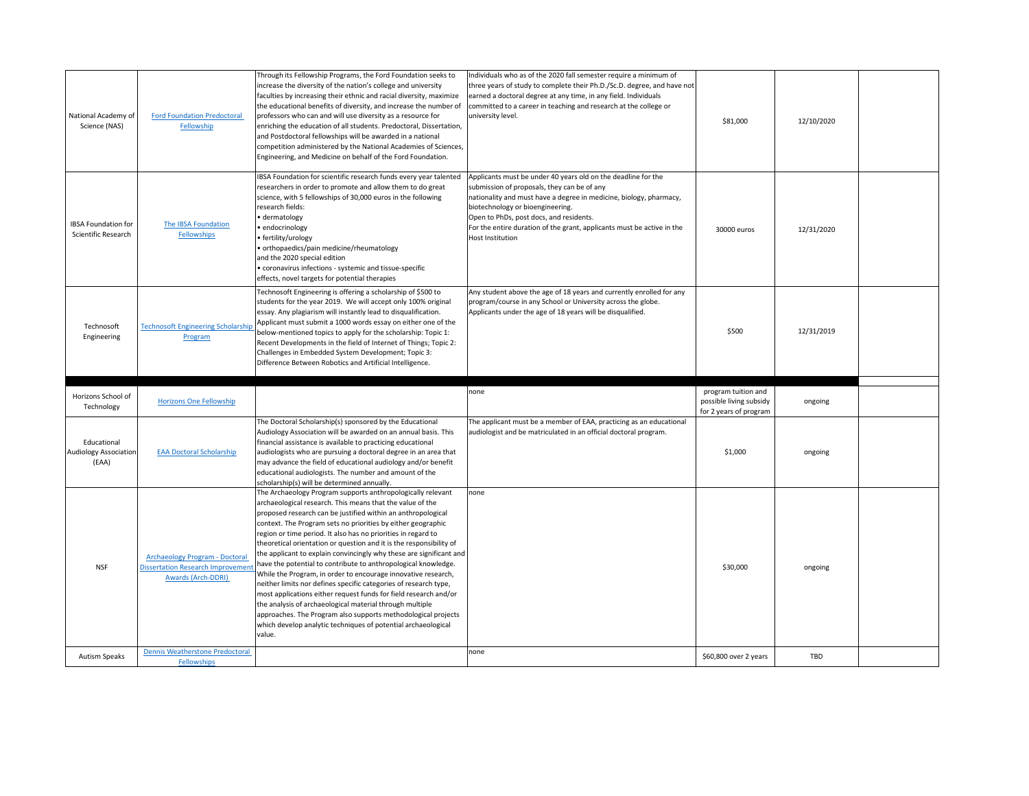| National Academy of<br>Science (NAS)                 | <b>Ford Foundation Predoctoral</b><br>Fellowship                                                               | Through its Fellowship Programs, the Ford Foundation seeks to<br>increase the diversity of the nation's college and university<br>faculties by increasing their ethnic and racial diversity, maximize<br>the educational benefits of diversity, and increase the number of<br>professors who can and will use diversity as a resource for<br>enriching the education of all students. Predoctoral, Dissertation,<br>and Postdoctoral fellowships will be awarded in a national<br>competition administered by the National Academies of Sciences,<br>Engineering, and Medicine on behalf of the Ford Foundation.                                                                                                                                                                                                                                                                                                                                           | Individuals who as of the 2020 fall semester require a minimum of<br>three years of study to complete their Ph.D./Sc.D. degree, and have not<br>earned a doctoral degree at any time, in any field. Individuals<br>committed to a career in teaching and research at the college or<br>university level.                                                               | \$81,000                                       | 12/10/2020 |  |
|------------------------------------------------------|----------------------------------------------------------------------------------------------------------------|------------------------------------------------------------------------------------------------------------------------------------------------------------------------------------------------------------------------------------------------------------------------------------------------------------------------------------------------------------------------------------------------------------------------------------------------------------------------------------------------------------------------------------------------------------------------------------------------------------------------------------------------------------------------------------------------------------------------------------------------------------------------------------------------------------------------------------------------------------------------------------------------------------------------------------------------------------|------------------------------------------------------------------------------------------------------------------------------------------------------------------------------------------------------------------------------------------------------------------------------------------------------------------------------------------------------------------------|------------------------------------------------|------------|--|
| <b>IBSA Foundation for</b><br>Scientific Research    | The IBSA Foundation<br><b>Fellowships</b>                                                                      | IBSA Foundation for scientific research funds every year talented<br>researchers in order to promote and allow them to do great<br>science, with 5 fellowships of 30,000 euros in the following<br>research fields:<br>• dermatology<br>• endocrinology<br>• fertility/urology<br>• orthopaedics/pain medicine/rheumatology<br>and the 2020 special edition<br>• coronavirus infections - systemic and tissue-specific<br>effects, novel targets for potential therapies                                                                                                                                                                                                                                                                                                                                                                                                                                                                                   | Applicants must be under 40 years old on the deadline for the<br>submission of proposals, they can be of any<br>nationality and must have a degree in medicine, biology, pharmacy,<br>biotechnology or bioengineering.<br>Open to PhDs, post docs, and residents.<br>For the entire duration of the grant, applicants must be active in the<br><b>Host Institution</b> | 30000 euros                                    | 12/31/2020 |  |
| Technosoft<br>Engineering                            | <b>Technosoft Engineering Scholarship</b><br>Program                                                           | Technosoft Engineering is offering a scholarship of \$500 to<br>students for the year 2019. We will accept only 100% original<br>essay. Any plagiarism will instantly lead to disqualification.<br>Applicant must submit a 1000 words essay on either one of the<br>below-mentioned topics to apply for the scholarship: Topic 1:<br>Recent Developments in the field of Internet of Things; Topic 2:<br>Challenges in Embedded System Development; Topic 3:<br>Difference Between Robotics and Artificial Intelligence.                                                                                                                                                                                                                                                                                                                                                                                                                                   | Any student above the age of 18 years and currently enrolled for any<br>program/course in any School or University across the globe.<br>Applicants under the age of 18 years will be disqualified.                                                                                                                                                                     | \$500                                          | 12/31/2019 |  |
|                                                      |                                                                                                                |                                                                                                                                                                                                                                                                                                                                                                                                                                                                                                                                                                                                                                                                                                                                                                                                                                                                                                                                                            |                                                                                                                                                                                                                                                                                                                                                                        |                                                |            |  |
| Horizons School of<br>Technology                     | <b>Horizons One Fellowship</b>                                                                                 |                                                                                                                                                                                                                                                                                                                                                                                                                                                                                                                                                                                                                                                                                                                                                                                                                                                                                                                                                            | none                                                                                                                                                                                                                                                                                                                                                                   | program tuition and<br>possible living subsidy | ongoing    |  |
| Educational<br><b>Audiology Association</b><br>(EAA) | <b>EAA Doctoral Scholarship</b>                                                                                | The Doctoral Scholarship(s) sponsored by the Educational<br>Audiology Association will be awarded on an annual basis. This<br>financial assistance is available to practicing educational<br>audiologists who are pursuing a doctoral degree in an area that<br>may advance the field of educational audiology and/or benefit<br>educational audiologists. The number and amount of the<br>scholarship(s) will be determined annually.                                                                                                                                                                                                                                                                                                                                                                                                                                                                                                                     | The applicant must be a member of EAA, practicing as an educational<br>audiologist and be matriculated in an official doctoral program.                                                                                                                                                                                                                                | for 2 years of program<br>\$1,000              | ongoing    |  |
| <b>NSF</b>                                           | <b>Archaeology Program - Doctoral</b><br><b>Dissertation Research Improvement</b><br><b>Awards (Arch-DDRI)</b> | The Archaeology Program supports anthropologically relevant<br>archaeological research. This means that the value of the<br>proposed research can be justified within an anthropological<br>context. The Program sets no priorities by either geographic<br>region or time period. It also has no priorities in regard to<br>theoretical orientation or question and it is the responsibility of<br>the applicant to explain convincingly why these are significant and<br>have the potential to contribute to anthropological knowledge.<br>While the Program, in order to encourage innovative research,<br>neither limits nor defines specific categories of research type,<br>most applications either request funds for field research and/or<br>the analysis of archaeological material through multiple<br>approaches. The Program also supports methodological projects<br>which develop analytic techniques of potential archaeological<br>value. | none                                                                                                                                                                                                                                                                                                                                                                   | \$30,000                                       | ongoing    |  |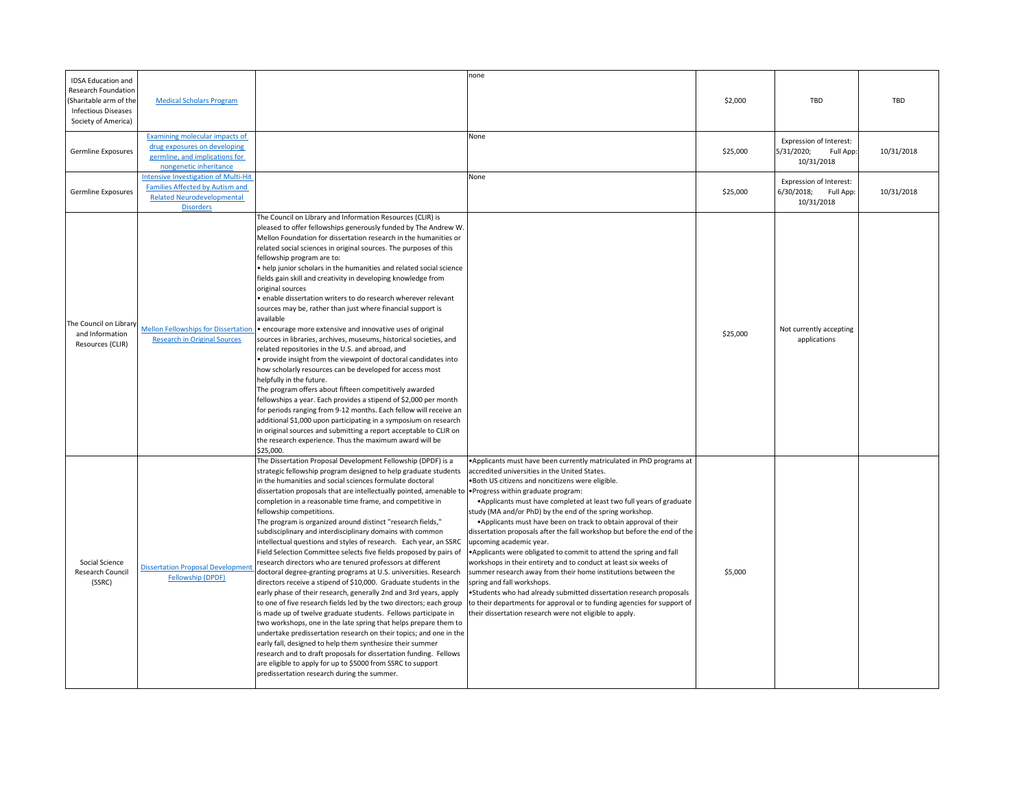| <b>IDSA Education and</b><br><b>Research Foundation</b><br>(Sharitable arm of the<br><b>Infectious Diseases</b><br>Society of America) | <b>Medical Scholars Program</b>                                                                                                                | none                                                                                                                                                                                                                                                                                                                                                                                                                                                                                                                                                                                                                                                                                                                                                                                                                                                                                                                                                                                                                                                                                                                                                                                                                                                                                                                                                                                                                                                                                                                                                                                                                                                                                                                                                                                                                                                                                                                                                                                                                                                                                                                                                                                                                                                                                                                                                                                                                                      | \$2,000  | <b>TBD</b>                                                              | <b>TBD</b> |
|----------------------------------------------------------------------------------------------------------------------------------------|------------------------------------------------------------------------------------------------------------------------------------------------|-------------------------------------------------------------------------------------------------------------------------------------------------------------------------------------------------------------------------------------------------------------------------------------------------------------------------------------------------------------------------------------------------------------------------------------------------------------------------------------------------------------------------------------------------------------------------------------------------------------------------------------------------------------------------------------------------------------------------------------------------------------------------------------------------------------------------------------------------------------------------------------------------------------------------------------------------------------------------------------------------------------------------------------------------------------------------------------------------------------------------------------------------------------------------------------------------------------------------------------------------------------------------------------------------------------------------------------------------------------------------------------------------------------------------------------------------------------------------------------------------------------------------------------------------------------------------------------------------------------------------------------------------------------------------------------------------------------------------------------------------------------------------------------------------------------------------------------------------------------------------------------------------------------------------------------------------------------------------------------------------------------------------------------------------------------------------------------------------------------------------------------------------------------------------------------------------------------------------------------------------------------------------------------------------------------------------------------------------------------------------------------------------------------------------------------------|----------|-------------------------------------------------------------------------|------------|
| <b>Germline Exposures</b>                                                                                                              | Examining molecular impacts of<br>drug exposures on developing<br>germline, and implications for<br>nongenetic inheritance                     | None                                                                                                                                                                                                                                                                                                                                                                                                                                                                                                                                                                                                                                                                                                                                                                                                                                                                                                                                                                                                                                                                                                                                                                                                                                                                                                                                                                                                                                                                                                                                                                                                                                                                                                                                                                                                                                                                                                                                                                                                                                                                                                                                                                                                                                                                                                                                                                                                                                      | \$25,000 | <b>Expression of Interest:</b><br>5/31/2020;<br>Full App:<br>10/31/2018 | 10/31/2018 |
| <b>Germline Exposures</b>                                                                                                              | <b>Intensive Investigation of Multi-Hit</b><br><b>Families Affected by Autism and</b><br><b>Related Neurodevelopmental</b><br><b>Disorders</b> | None                                                                                                                                                                                                                                                                                                                                                                                                                                                                                                                                                                                                                                                                                                                                                                                                                                                                                                                                                                                                                                                                                                                                                                                                                                                                                                                                                                                                                                                                                                                                                                                                                                                                                                                                                                                                                                                                                                                                                                                                                                                                                                                                                                                                                                                                                                                                                                                                                                      | \$25,000 | Expression of Interest:<br>6/30/2018; Full App:<br>10/31/2018           | 10/31/2018 |
| The Council on Library<br>and Information<br>Resources (CLIR)                                                                          | <b>Mellon Fellowships for Dissertation</b><br><b>Research in Original Sources</b>                                                              | The Council on Library and Information Resources (CLIR) is<br>pleased to offer fellowships generously funded by The Andrew W.<br>Mellon Foundation for dissertation research in the humanities or<br>related social sciences in original sources. The purposes of this<br>fellowship program are to:<br>• help junior scholars in the humanities and related social science<br>ields gain skill and creativity in developing knowledge from<br>original sources<br>· enable dissertation writers to do research wherever relevant<br>sources may be, rather than just where financial support is<br>available<br>• encourage more extensive and innovative uses of original<br>sources in libraries, archives, museums, historical societies, and<br>related repositories in the U.S. and abroad, and<br>• provide insight from the viewpoint of doctoral candidates into<br>how scholarly resources can be developed for access most<br>helpfully in the future.<br>The program offers about fifteen competitively awarded<br>fellowships a year. Each provides a stipend of \$2,000 per month<br>for periods ranging from 9-12 months. Each fellow will receive an<br>additional \$1,000 upon participating in a symposium on research<br>in original sources and submitting a report acceptable to CLIR on<br>the research experience. Thus the maximum award will be<br>\$25,000.                                                                                                                                                                                                                                                                                                                                                                                                                                                                                                                                                                                                                                                                                                                                                                                                                                                                                                                                                                                                                                                     | \$25,000 | Not currently accepting<br>applications                                 |            |
| Social Science<br><b>Research Council</b><br>(SSRC)                                                                                    | <b>Dissertation Proposal Development</b><br>Fellowship (DPDF)                                                                                  | The Dissertation Proposal Development Fellowship (DPDF) is a<br>•Applicants must have been currently matriculated in PhD programs at<br>strategic fellowship program designed to help graduate students<br>accredited universities in the United States.<br>in the humanities and social sciences formulate doctoral<br>.Both US citizens and noncitizens were eligible.<br>dissertation proposals that are intellectually pointed, amenable to • Progress within graduate program:<br>• Applicants must have completed at least two full years of graduate<br>completion in a reasonable time frame, and competitive in<br>fellowship competitions.<br>study (MA and/or PhD) by the end of the spring workshop.<br>The program is organized around distinct "research fields,"<br>• Applicants must have been on track to obtain approval of their<br>dissertation proposals after the fall workshop but before the end of the<br>subdisciplinary and interdisciplinary domains with common<br>intellectual questions and styles of research. Each year, an SSRC<br>upcoming academic year.<br>Field Selection Committee selects five fields proposed by pairs of<br>• Applicants were obligated to commit to attend the spring and fall<br>research directors who are tenured professors at different<br>workshops in their entirety and to conduct at least six weeks of<br>doctoral degree-granting programs at U.S. universities. Research<br>summer research away from their home institutions between the<br>directors receive a stipend of \$10,000. Graduate students in the<br>spring and fall workshops.<br>early phase of their research, generally 2nd and 3rd years, apply<br>. Students who had already submitted dissertation research proposals<br>to one of five research fields led by the two directors; each group<br>to their departments for approval or to funding agencies for support of<br>is made up of twelve graduate students. Fellows participate in<br>their dissertation research were not eligible to apply.<br>two workshops, one in the late spring that helps prepare them to<br>undertake predissertation research on their topics; and one in the<br>early fall, designed to help them synthesize their summer<br>research and to draft proposals for dissertation funding. Fellows<br>are eligible to apply for up to \$5000 from SSRC to support<br>predissertation research during the summer. | \$5,000  |                                                                         |            |